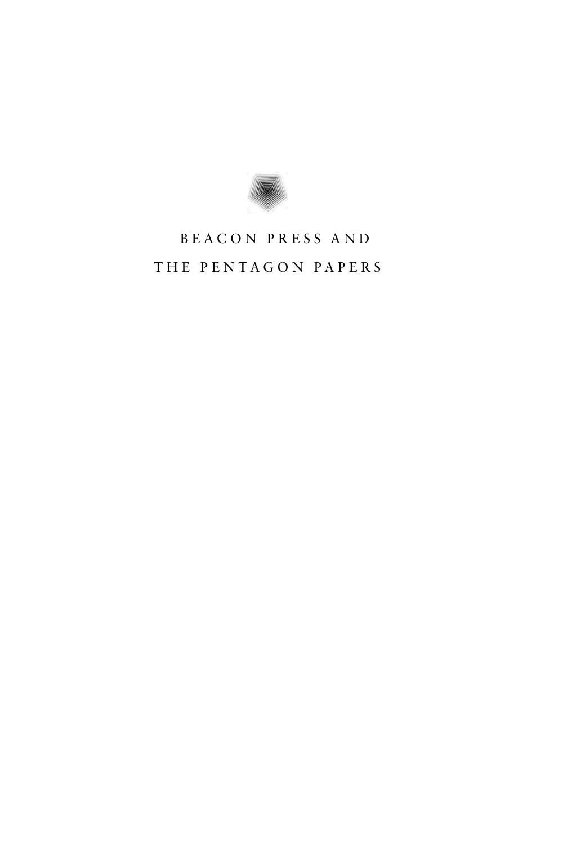

# BEACON PRESS AND THE PENTAGON PAPERS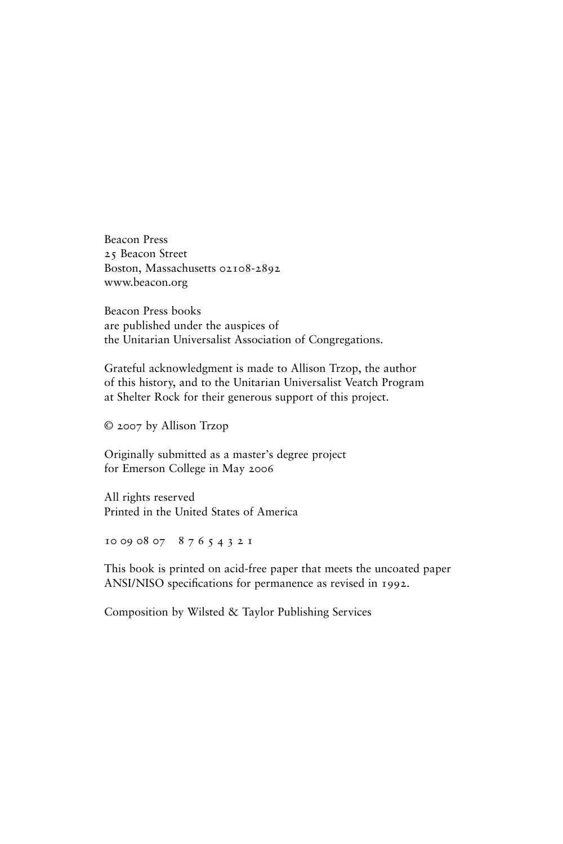Beacon Press 25 Beacon Street Boston, Massachusetts 02108-2892 www.beacon.org

Beacon Press books are published under the auspices of the Unitarian Universalist Association of Congregations.

Grateful acknowledgment is made to Allison Trzop, the author of this history, and to the Unitarian Universalist Veatch Program at Shelter Rock for their generous support of this project.

© 2007 by Allison Trzop

Originally submitted as a master's degree project for Emerson College in May 2006

All rights reserved Printed in the United States of America

10 09 08 07 8 7 6 5 4 3 2 1

This book is printed on acid-free paper that meets the uncoated paper ANSI/NISO specifications for permanence as revised in 1992.

Composition by Wilsted & Taylor Publishing Services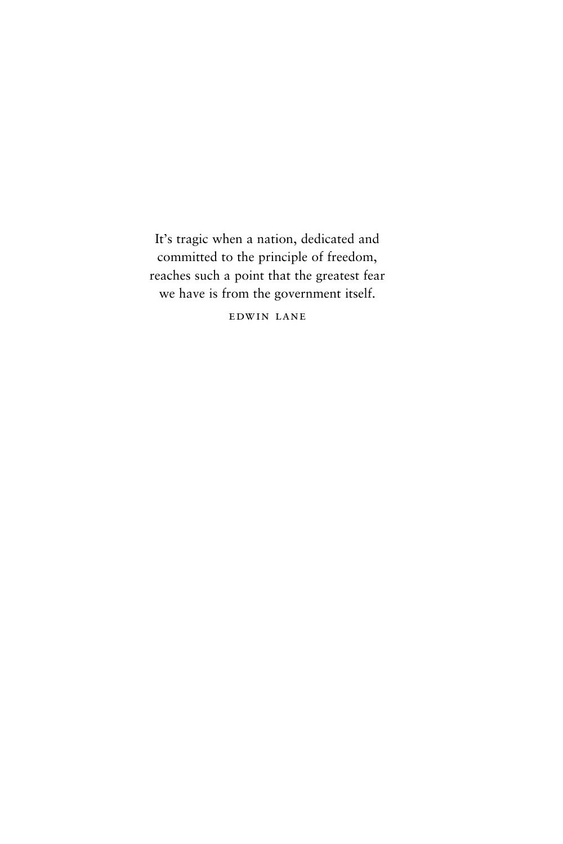It's tragic when a nation, dedicated and committed to the principle of freedom, reaches such a point that the greatest fear we have is from the government itself.

edwin lane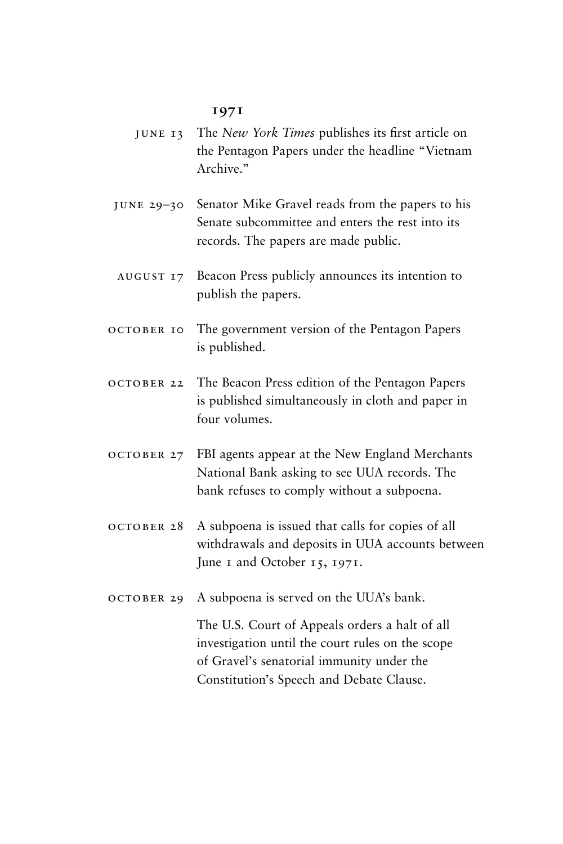#### **1971**

- june 13 The *New York Times* publishes its first article on the Pentagon Papers under the headline "Vietnam Archive<sup>"</sup>
- june 29–30 Senator Mike Gravel reads from the papers to his Senate subcommittee and enters the rest into its records. The papers are made public.
- august 17 Beacon Press publicly announces its intention to publish the papers.
- october 10 The government version of the Pentagon Papers is published.
- october 22 The Beacon Press edition of the Pentagon Papers is published simultaneously in cloth and paper in four volumes.
- october 27 FBI agents appear at the New England Merchants National Bank asking to see UUA records. The bank refuses to comply without a subpoena.
- october 28 A subpoena is issued that calls for copies of all withdrawals and deposits in UUA accounts between June 1 and October 15, 1971.
- october 29 A subpoena is served on the UUA's bank.

The U.S. Court of Appeals orders a halt of all investigation until the court rules on the scope of Gravel's senatorial immunity under the Constitution's Speech and Debate Clause.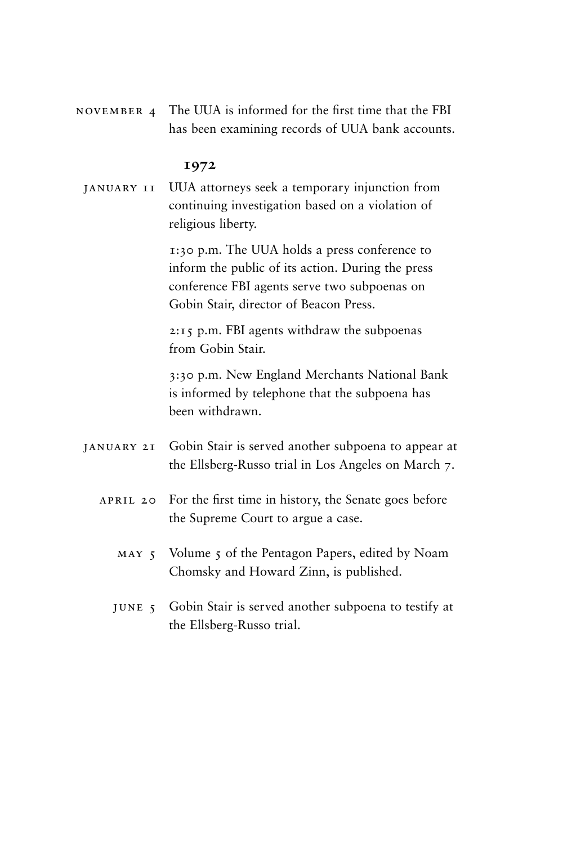november 4 The UUA is informed for the first time that the FBI has been examining records of UUA bank accounts.

# **1972**

january 11 UUA attorneys seek a temporary injunction from continuing investigation based on a violation of religious liberty.

> 1:30 p.m. The UUA holds a press conference to inform the public of its action. During the press conference FBI agents serve two subpoenas on Gobin Stair, director of Beacon Press.

2:15 p.m. FBI agents withdraw the subpoenas from Gobin Stair.

3:30 p.m. New England Merchants National Bank is informed by telephone that the subpoena has been withdrawn.

- january 21 Gobin Stair is served another subpoena to appear at the Ellsberg-Russo trial in Los Angeles on March 7.
	- APRIL 20 For the first time in history, the Senate goes before the Supreme Court to argue a case.
		- MAY 5 Volume 5 of the Pentagon Papers, edited by Noam Chomsky and Howard Zinn, is published.
		- june 5 Gobin Stair is served another subpoena to testify at the Ellsberg-Russo trial.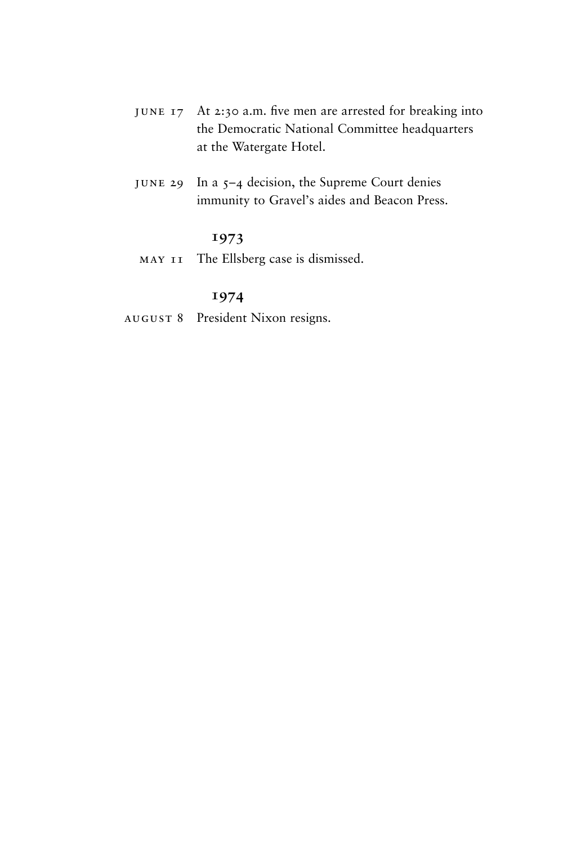- june 17 At 2:30 a.m. five men are arrested for breaking into the Democratic National Committee headquarters at the Watergate Hotel.
- june 29 In a 5–4 decision, the Supreme Court denies immunity to Gravel's aides and Beacon Press.

# **1973**

may 11 The Ellsberg case is dismissed.

# **1974**

august 8 President Nixon resigns.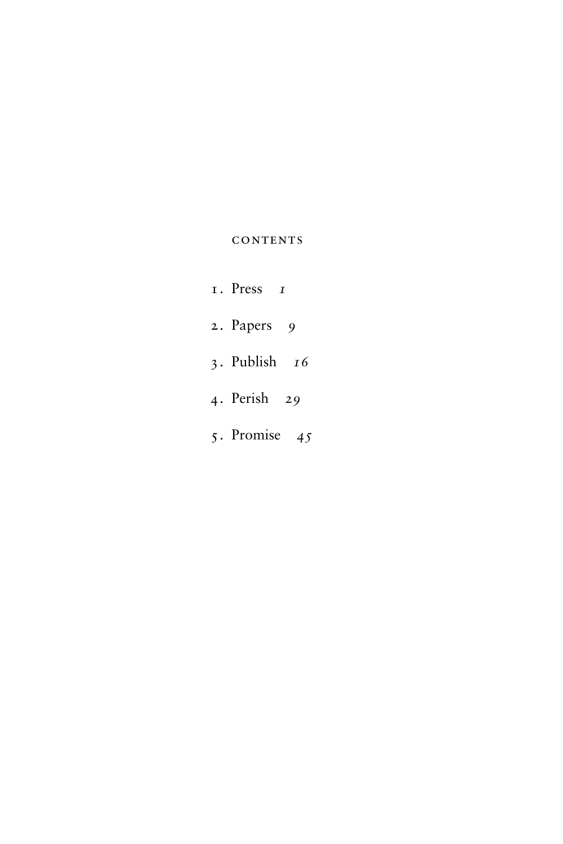# **CONTENTS**

- 1. Press *1*
- 2. Papers *9*
- 3. Publish *16*
- 4. Perish *29*
- 5. Promise *45*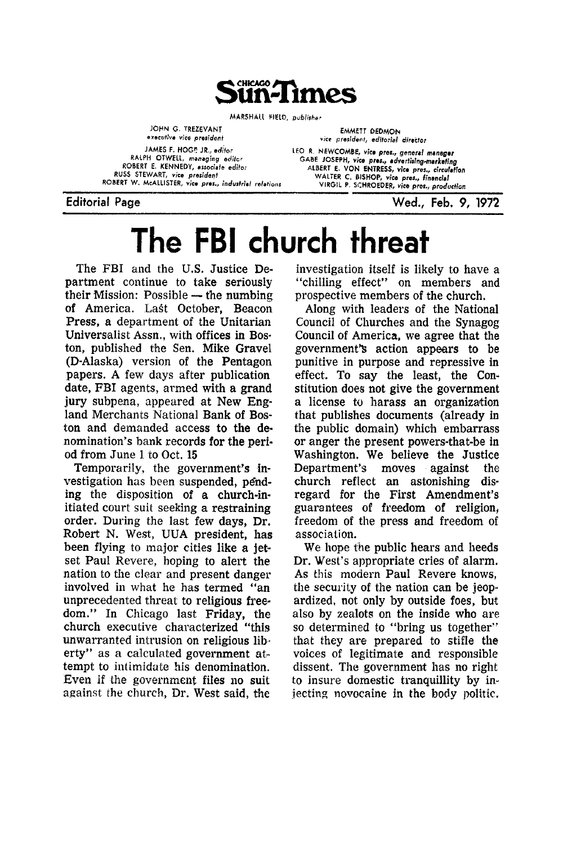

MARSHALL FIELD, publisher

JOHN G. TREZEVANT executive vice president JAMES F. HOGE JR., editor RALPH OTWELL, managing editor ROBERT E. KENNEDY, associate editor RUSS STEWART, vice president ROBERT W. McALLISTER, vice pres., industrial relations

vice president, editorial director LEO R. NEWCOMBE, vice pres., general manager GABE JOSEPH, vice pres., advertising-marketing ALBERT E. VON ENTRESS, vice pres., circulation WALTER C. BISHOP, vice pres., financial<br>VIRGIL P. SCHROEDER, vice pres., production

**EMMETT DEDMON** 

**Editorial Page** 

Wed., Feb. 9, 1972

# The FBI church threat

The FBI and the U.S. Justice Department continue to take seriously their Mission: Possible — the numbing of America. Last October, Beacon Press, a department of the Unitarian Universalist Assn., with offices in Boston, published the Sen. Mike Gravel (D-Alaska) version of the Pentagon papers. A few days after publication date, FBI agents, armed with a grand jury subpena, appeared at New England Merchants National Bank of Boston and demanded access to the denomination's bank records for the period from June 1 to Oct. 15

Temporarily, the government's investigation has been suspended, pending the disposition of a church-initiated court suit seeking a restraining order. During the last few days, Dr. Robert N. West, UUA president, has been flying to major cities like a jetset Paul Revere, hoping to alert the nation to the clear and present danger involved in what he has termed "an unprecedented threat to religious freedom." In Chicago last Friday, the church executive characterized "this unwarranted intrusion on religious liberty" as a calculated government attempt to intimidate his denomination. Even if the government files no suit against the church, Dr. West said, the

investigation itself is likely to have a "chilling effect" on members and prospective members of the church.

Along with leaders of the National Council of Churches and the Synagog Council of America, we agree that the government's action appears to be punitive in purpose and repressive in effect. To say the least, the Constitution does not give the government a license to harass an organization that publishes documents (already in the public domain) which embarrass or anger the present powers-that-be in Washington. We believe the Justice Department's moves against the church reflect an astonishing disregard for the First Amendment's guarantees of freedom of religion. freedom of the press and freedom of association.

We hope the public hears and heeds Dr. West's appropriate cries of alarm. As this modern Paul Revere knows, the security of the nation can be jeopardized, not only by outside foes, but also by zealots on the inside who are so determined to "bring us together" that they are prepared to stifle the voices of legitimate and responsible dissent. The government has no right to insure domestic tranquillity by injecting novocaine in the body politic.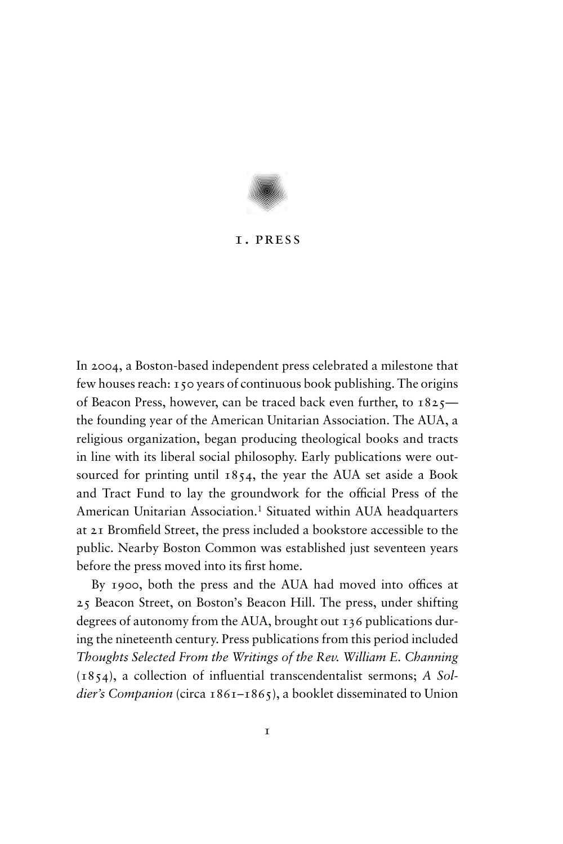

### 1. press

In 2004, a Boston-based independent press celebrated a milestone that few houses reach: 150 years of continuous book publishing. The origins of Beacon Press, however, can be traced back even further, to 1825 the founding year of the American Unitarian Association. The AUA, a religious organization, began producing theological books and tracts in line with its liberal social philosophy. Early publications were outsourced for printing until 1854, the year the AUA set aside a Book and Tract Fund to lay the groundwork for the official Press of the American Unitarian Association.<sup>1</sup> Situated within AUA headquarters at 21 Bromfield Street, the press included a bookstore accessible to the public. Nearby Boston Common was established just seventeen years before the press moved into its first home.

By 1900, both the press and the AUA had moved into offices at 25 Beacon Street, on Boston's Beacon Hill. The press, under shifting degrees of autonomy from the AUA, brought out 136 publications during the nineteenth century. Press publications from this period included *Thoughts Selected From the Writings of the Rev. William E. Channing* (1854), a collection of influential transcendentalist sermons; *A Soldier's Companion* (circa 1861–1865), a booklet disseminated to Union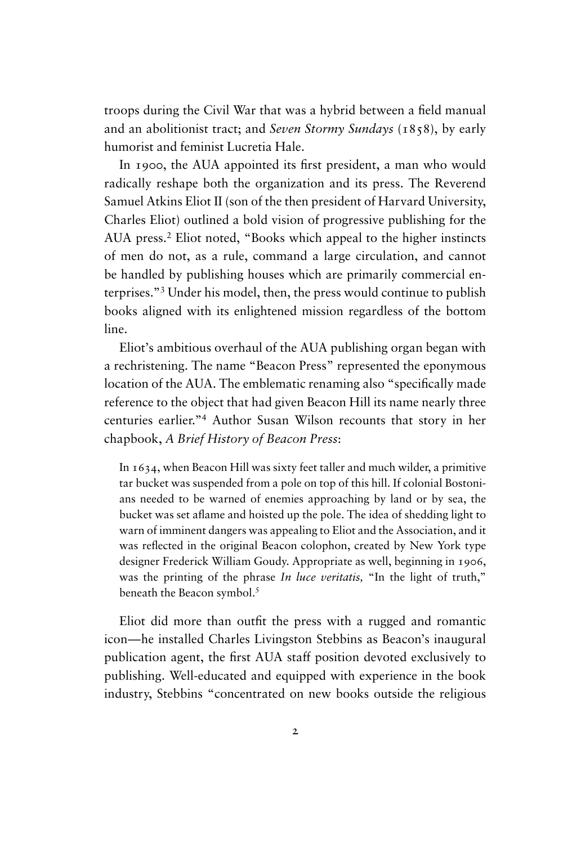troops during the Civil War that was a hybrid between a field manual and an abolitionist tract; and *Seven Stormy Sundays* (1858), by early humorist and feminist Lucretia Hale.

In 1900, the AUA appointed its first president, a man who would radically reshape both the organization and its press. The Reverend Samuel Atkins Eliot II (son of the then president of Harvard University, Charles Eliot) outlined a bold vision of progressive publishing for the AUA press.<sup>2</sup> Eliot noted, "Books which appeal to the higher instincts of men do not, as a rule, command a large circulation, and cannot be handled by publishing houses which are primarily commercial enterprises."<sup>3</sup> Under his model, then, the press would continue to publish books aligned with its enlightened mission regardless of the bottom line.

Eliot's ambitious overhaul of the AUA publishing organ began with a rechristening. The name "Beacon Press" represented the eponymous location of the AUA. The emblematic renaming also "specifically made reference to the object that had given Beacon Hill its name nearly three centuries earlier."<sup>4</sup> Author Susan Wilson recounts that story in her chapbook, *A Brief History of Beacon Press*:

In 1634, when Beacon Hill was sixty feet taller and much wilder, a primitive tar bucket was suspended from a pole on top of this hill. If colonial Bostonians needed to be warned of enemies approaching by land or by sea, the bucket was set aflame and hoisted up the pole. The idea of shedding light to warn of imminent dangers was appealing to Eliot and the Association, and it was reflected in the original Beacon colophon, created by New York type designer Frederick William Goudy. Appropriate as well, beginning in 1906, was the printing of the phrase *In luce veritatis*, "In the light of truth," beneath the Beacon symbol.<sup>5</sup>

Eliot did more than outfit the press with a rugged and romantic icon—he installed Charles Livingston Stebbins as Beacon's inaugural publication agent, the first AUA staff position devoted exclusively to publishing. Well-educated and equipped with experience in the book industry, Stebbins "concentrated on new books outside the religious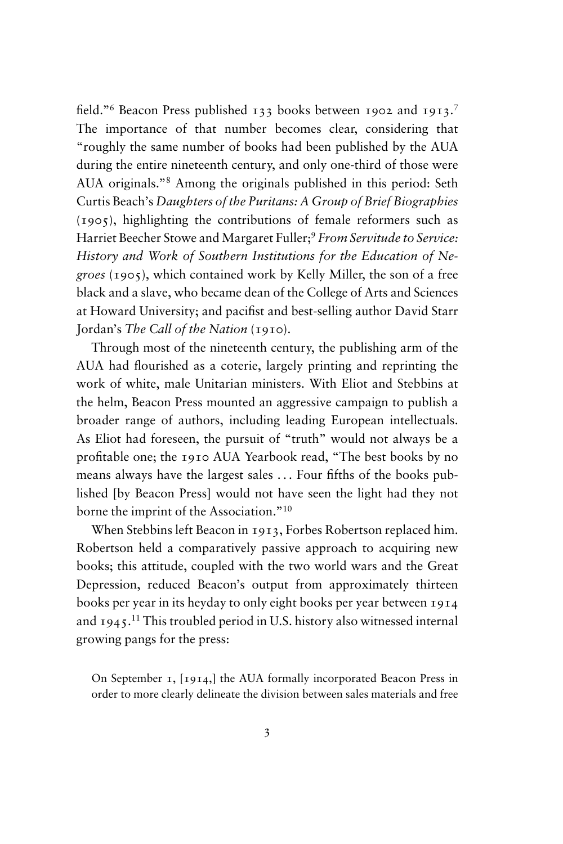field."<sup>6</sup> Beacon Press published 133 books between 1902 and 1913.<sup>7</sup> The importance of that number becomes clear, considering that "roughly the same number of books had been published by the AUA during the entire nineteenth century, and only one-third of those were AUA originals."<sup>8</sup> Among the originals published in this period: Seth Curtis Beach's *Daughters of the Puritans: A Group of Brief Biographies* (1905), highlighting the contributions of female reformers such as Harriet Beecher Stowe and Margaret Fuller;<sup>9</sup> *From Servitude to Service*: *History and Work of Southern Institutions for the Education of Negroes* (1905), which contained work by Kelly Miller, the son of a free black and a slave, who became dean of the College of Arts and Sciences at Howard University; and pacifist and best-selling author David Starr Jordan's *The Call of the Nation* (1910).

Through most of the nineteenth century, the publishing arm of the AUA had flourished as a coterie, largely printing and reprinting the work of white, male Unitarian ministers. With Eliot and Stebbins at the helm, Beacon Press mounted an aggressive campaign to publish a broader range of authors, including leading European intellectuals. As Eliot had foreseen, the pursuit of "truth" would not always be a profitable one; the 1910 AUA Yearbook read, "The best books by no means always have the largest sales . . . Four fifths of the books published [by Beacon Press] would not have seen the light had they not borne the imprint of the Association."<sup>10</sup>

When Stebbins left Beacon in 1913, Forbes Robertson replaced him. Robertson held a comparatively passive approach to acquiring new books; this attitude, coupled with the two world wars and the Great Depression, reduced Beacon's output from approximately thirteen books per year in its heyday to only eight books per year between 1914 and  $1945$ .<sup>11</sup> This troubled period in U.S. history also witnessed internal growing pangs for the press:

On September 1, [1914,] the AUA formally incorporated Beacon Press in order to more clearly delineate the division between sales materials and free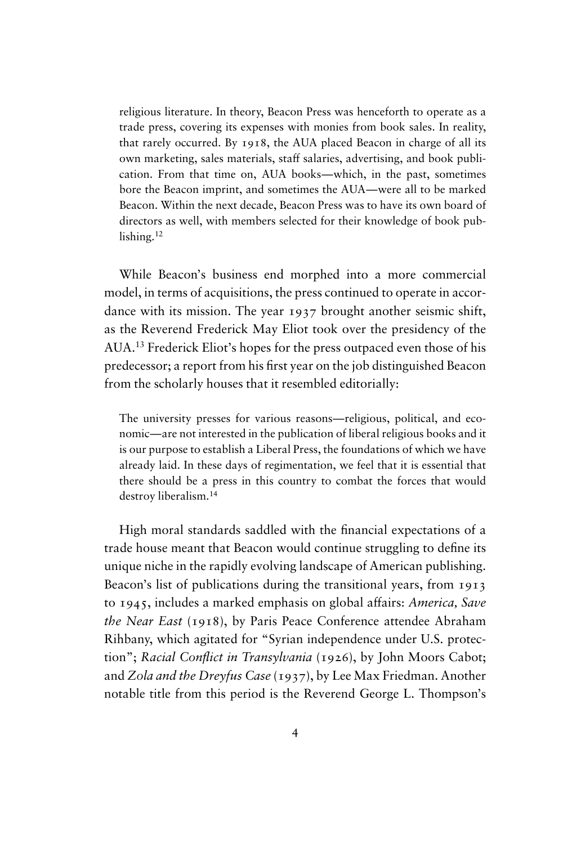religious literature. In theory, Beacon Press was henceforth to operate as a trade press, covering its expenses with monies from book sales. In reality, that rarely occurred. By 1918, the AUA placed Beacon in charge of all its own marketing, sales materials, staff salaries, advertising, and book publication. From that time on, AUA books—which, in the past, sometimes bore the Beacon imprint, and sometimes the AUA—were all to be marked Beacon. Within the next decade, Beacon Press was to have its own board of directors as well, with members selected for their knowledge of book publishing.<sup>12</sup>

While Beacon's business end morphed into a more commercial model, in terms of acquisitions, the press continued to operate in accordance with its mission. The year 1937 brought another seismic shift, as the Reverend Frederick May Eliot took over the presidency of the AUA.<sup>13</sup> Frederick Eliot's hopes for the press outpaced even those of his predecessor; a report from his first year on the job distinguished Beacon from the scholarly houses that it resembled editorially:

The university presses for various reasons—religious, political, and economic—are not interested in the publication of liberal religious books and it is our purpose to establish a Liberal Press, the foundations of which we have already laid. In these days of regimentation, we feel that it is essential that there should be a press in this country to combat the forces that would destroy liberalism.<sup>14</sup>

High moral standards saddled with the financial expectations of a trade house meant that Beacon would continue struggling to define its unique niche in the rapidly evolving landscape of American publishing. Beacon's list of publications during the transitional years, from 1913 to 1945, includes a marked emphasis on global affairs: *America, Save the Near East* (1918), by Paris Peace Conference attendee Abraham Rihbany, which agitated for "Syrian independence under U.S. protection"; *Racial Conflict in Transylvania* (1926), by John Moors Cabot; and *Zola and the Dreyfus Case* (1937), by Lee Max Friedman. Another notable title from this period is the Reverend George L. Thompson's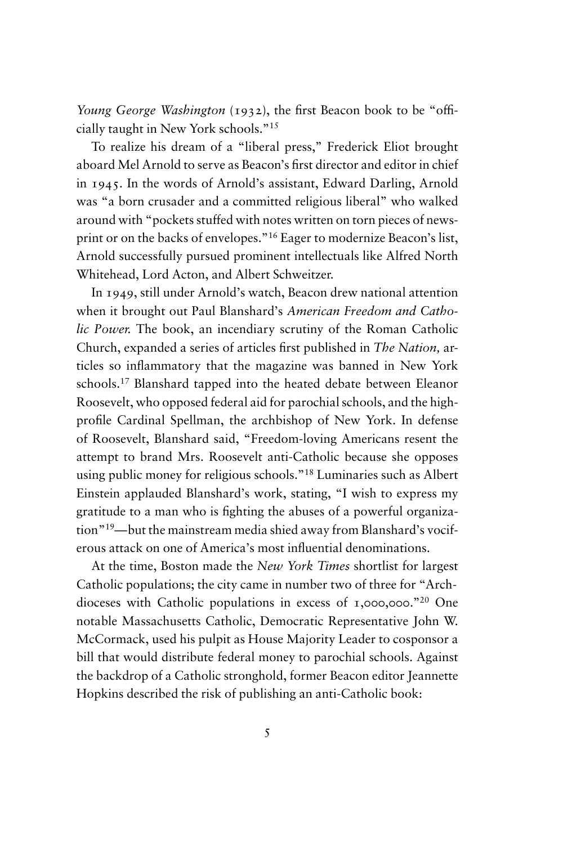*Young George Washington* (1932), the first Beacon book to be "officially taught in New York schools."<sup>15</sup>

To realize his dream of a "liberal press," Frederick Eliot brought aboard Mel Arnold to serve as Beacon's first director and editor in chief in 1945. In the words of Arnold's assistant, Edward Darling, Arnold was "a born crusader and a committed religious liberal" who walked around with "pockets stuffed with notes written on torn pieces of newsprint or on the backs of envelopes."<sup>16</sup> Eager to modernize Beacon's list, Arnold successfully pursued prominent intellectuals like Alfred North Whitehead, Lord Acton, and Albert Schweitzer.

In 1949, still under Arnold's watch, Beacon drew national attention when it brought out Paul Blanshard's *American Freedom and Catholic Power.* The book, an incendiary scrutiny of the Roman Catholic Church, expanded a series of articles first published in *The Nation,* articles so inflammatory that the magazine was banned in New York schools.<sup>17</sup> Blanshard tapped into the heated debate between Eleanor Roosevelt, who opposed federal aid for parochial schools, and the highprofile Cardinal Spellman, the archbishop of New York. In defense of Roosevelt, Blanshard said, "Freedom-loving Americans resent the attempt to brand Mrs. Roosevelt anti-Catholic because she opposes using public money for religious schools."<sup>18</sup> Luminaries such as Albert Einstein applauded Blanshard's work, stating, "I wish to express my gratitude to a man who is fighting the abuses of a powerful organization"19—but the mainstream media shied away from Blanshard's vociferous attack on one of America's most influential denominations.

At the time, Boston made the *New York Times* shortlist for largest Catholic populations; the city came in number two of three for "Archdioceses with Catholic populations in excess of 1,000,000."<sup>20</sup> One notable Massachusetts Catholic, Democratic Representative John W. McCormack, used his pulpit as House Majority Leader to cosponsor a bill that would distribute federal money to parochial schools. Against the backdrop of a Catholic stronghold, former Beacon editor Jeannette Hopkins described the risk of publishing an anti-Catholic book: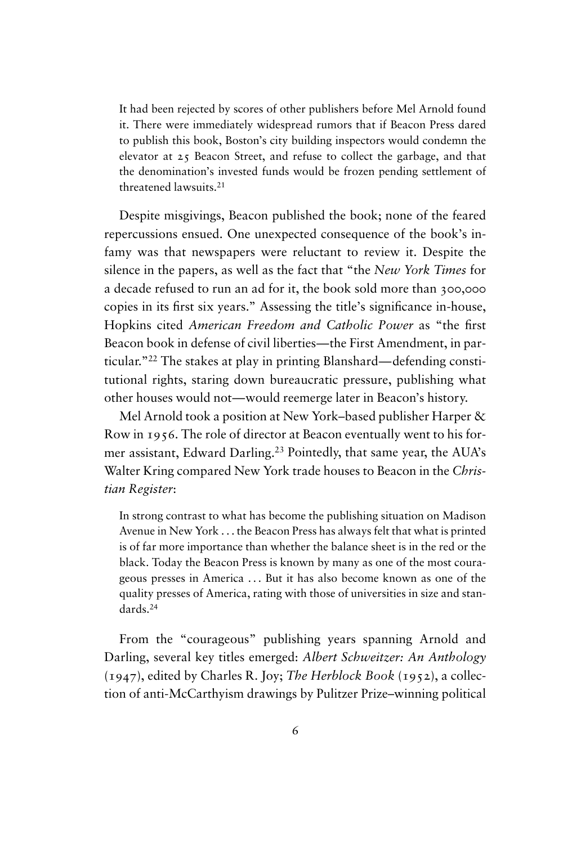It had been rejected by scores of other publishers before Mel Arnold found it. There were immediately widespread rumors that if Beacon Press dared to publish this book, Boston's city building inspectors would condemn the elevator at 25 Beacon Street, and refuse to collect the garbage, and that the denomination's invested funds would be frozen pending settlement of threatened lawsuits.<sup>21</sup>

Despite misgivings, Beacon published the book; none of the feared repercussions ensued. One unexpected consequence of the book's infamy was that newspapers were reluctant to review it. Despite the silence in the papers, as well as the fact that "the *New York Times* for a decade refused to run an ad for it, the book sold more than 300,000 copies in its first six years." Assessing the title's significance in-house, Hopkins cited *American Freedom and Catholic Power* as "the first Beacon book in defense of civil liberties—the First Amendment, in particular."<sup>22</sup> The stakes at play in printing Blanshard—defending constitutional rights, staring down bureaucratic pressure, publishing what other houses would not—would reemerge later in Beacon's history.

Mel Arnold took a position at New York–based publisher Harper & Row in 1956. The role of director at Beacon eventually went to his former assistant, Edward Darling.<sup>23</sup> Pointedly, that same year, the AUA's Walter Kring compared New York trade houses to Beacon in the *Christian Register*:

In strong contrast to what has become the publishing situation on Madison Avenue in New York . . . the Beacon Press has always felt that what is printed is of far more importance than whether the balance sheet is in the red or the black. Today the Beacon Press is known by many as one of the most courageous presses in America . . . But it has also become known as one of the quality presses of America, rating with those of universities in size and standards.<sup>24</sup>

From the "courageous" publishing years spanning Arnold and Darling, several key titles emerged: *Albert Schweitzer: An Anthology* (1947), edited by Charles R. Joy; *The Herblock Book* (1952), a collection of anti-McCarthyism drawings by Pulitzer Prize–winning political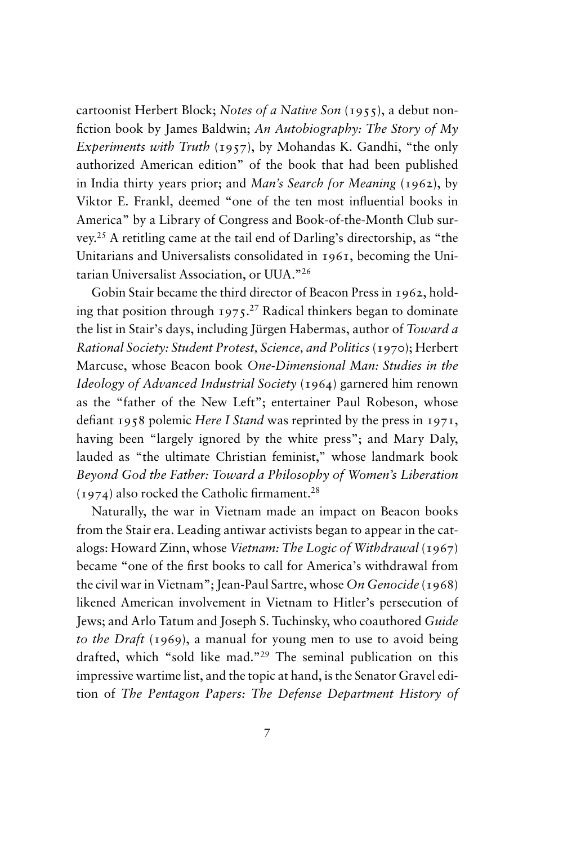cartoonist Herbert Block; *Notes of a Native Son* (1955), a debut nonfiction book by James Baldwin; *An Autobiography: The Story of My Experiments with Truth* (1957), by Mohandas K. Gandhi, "the only authorized American edition" of the book that had been published in India thirty years prior; and *Man's Search for Meaning* (1962), by Viktor E. Frankl, deemed "one of the ten most influential books in America" by a Library of Congress and Book-of-the-Month Club survey.<sup>25</sup> A retitling came at the tail end of Darling's directorship, as "the Unitarians and Universalists consolidated in 1961, becoming the Unitarian Universalist Association, or UUA."<sup>26</sup>

Gobin Stair became the third director of Beacon Press in 1962, holding that position through  $1975$ <sup>27</sup> Radical thinkers began to dominate the list in Stair's days, including Jürgen Habermas, author of *Toward a Rational Society: Student Protest, Science, and Politics* (1970); Herbert Marcuse, whose Beacon book *One-Dimensional Man: Studies in the Ideology of Advanced Industrial Society* (1964) garnered him renown as the "father of the New Left"; entertainer Paul Robeson, whose defiant 1958 polemic *Here I Stand* was reprinted by the press in 1971, having been "largely ignored by the white press"; and Mary Daly, lauded as "the ultimate Christian feminist," whose landmark book *Beyond God the Father: Toward a Philosophy of Women's Liberation*  $(1974)$  also rocked the Catholic firmament.<sup>28</sup>

Naturally, the war in Vietnam made an impact on Beacon books from the Stair era. Leading antiwar activists began to appear in the catalogs: Howard Zinn, whose *Vietnam: The Logic of Withdrawal* (1967) became "one of the first books to call for America's withdrawal from the civil war in Vietnam"; Jean-Paul Sartre, whose *On Genocide* (1968) likened American involvement in Vietnam to Hitler's persecution of Jews; and Arlo Tatum and Joseph S. Tuchinsky, who coauthored *Guide to the Draft* (1969), a manual for young men to use to avoid being drafted, which "sold like mad."<sup>29</sup> The seminal publication on this impressive wartime list, and the topic at hand, is the Senator Gravel edition of *The Pentagon Papers: The Defense Department History of*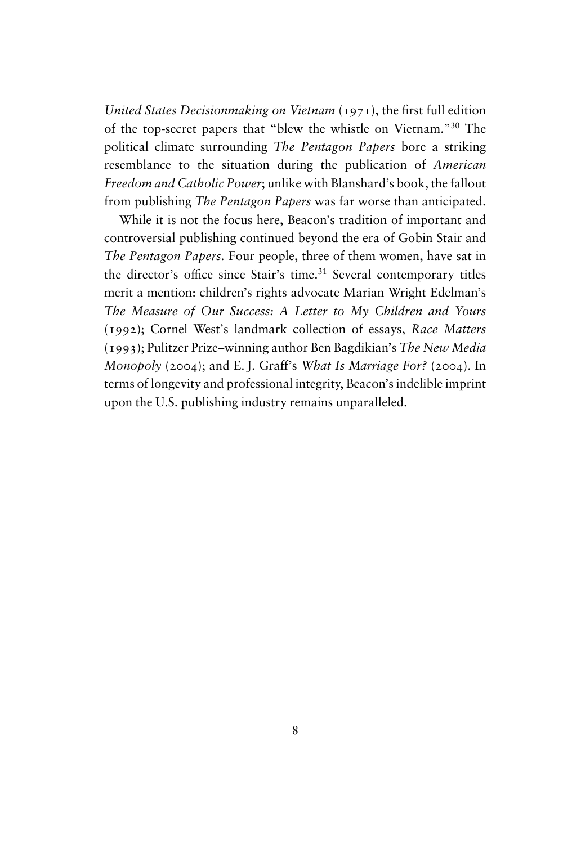*United States Decisionmaking on Vietnam* (1971), the first full edition of the top-secret papers that "blew the whistle on Vietnam."<sup>30</sup> The political climate surrounding *The Pentagon Papers* bore a striking resemblance to the situation during the publication of *American Freedom and Catholic Power*; unlike with Blanshard's book, the fallout from publishing *The Pentagon Papers* was far worse than anticipated.

While it is not the focus here, Beacon's tradition of important and controversial publishing continued beyond the era of Gobin Stair and *The Pentagon Papers.* Four people, three of them women, have sat in the director's office since Stair's time.<sup>31</sup> Several contemporary titles merit a mention: children's rights advocate Marian Wright Edelman's *The Measure of Our Success: A Letter to My Children and Yours* (1992); Cornel West's landmark collection of essays, *Race Matters* (1993); Pulitzer Prize–winning author Ben Bagdikian's *The New Media Monopoly* (2004); and E. J. Graff's *What Is Marriage For?* (2004). In terms of longevity and professional integrity, Beacon's indelible imprint upon the U.S. publishing industry remains unparalleled.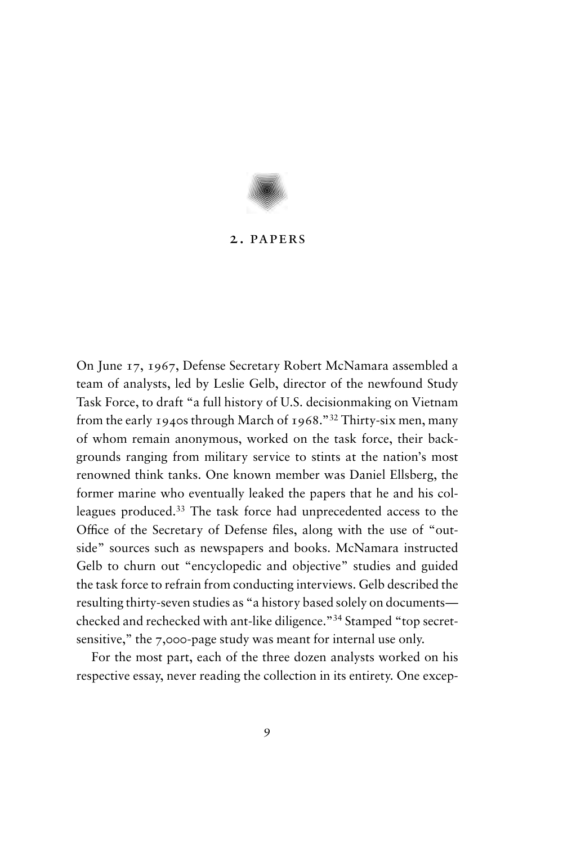

## 2. papers

On June 17, 1967, Defense Secretary Robert McNamara assembled a team of analysts, led by Leslie Gelb, director of the newfound Study Task Force, to draft "a full history of U.S. decisionmaking on Vietnam from the early 1940s through March of 1968."<sup>32</sup> Thirty-six men, many of whom remain anonymous, worked on the task force, their backgrounds ranging from military service to stints at the nation's most renowned think tanks. One known member was Daniel Ellsberg, the former marine who eventually leaked the papers that he and his colleagues produced.<sup>33</sup> The task force had unprecedented access to the Office of the Secretary of Defense files, along with the use of "outside" sources such as newspapers and books. McNamara instructed Gelb to churn out "encyclopedic and objective" studies and guided the task force to refrain from conducting interviews. Gelb described the resulting thirty-seven studies as "a history based solely on documents checked and rechecked with ant-like diligence."<sup>34</sup> Stamped "top secretsensitive," the 7,000-page study was meant for internal use only.

For the most part, each of the three dozen analysts worked on his respective essay, never reading the collection in its entirety. One excep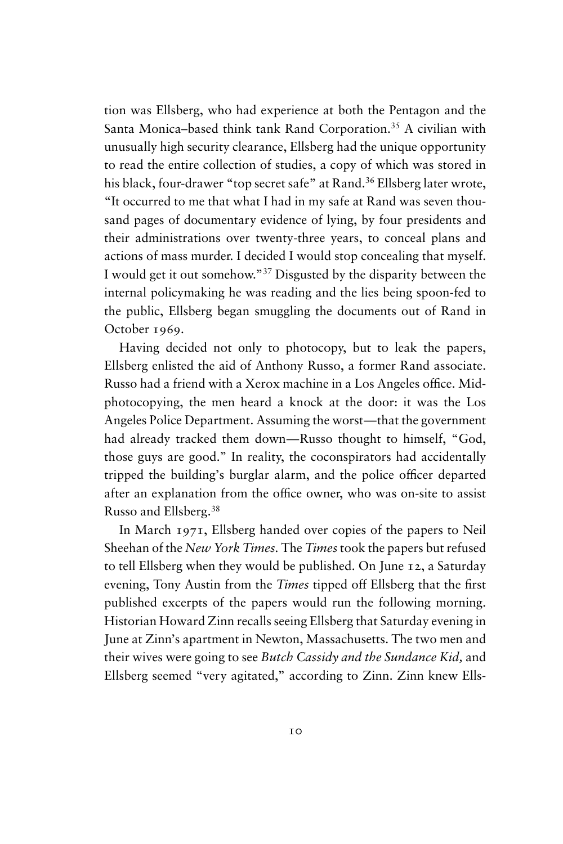tion was Ellsberg, who had experience at both the Pentagon and the Santa Monica–based think tank Rand Corporation.<sup>35</sup> A civilian with unusually high security clearance, Ellsberg had the unique opportunity to read the entire collection of studies, a copy of which was stored in his black, four-drawer "top secret safe" at Rand.<sup>36</sup> Ellsberg later wrote, "It occurred to me that what I had in my safe at Rand was seven thousand pages of documentary evidence of lying, by four presidents and their administrations over twenty-three years, to conceal plans and actions of mass murder. I decided I would stop concealing that myself. I would get it out somehow."<sup>37</sup> Disgusted by the disparity between the internal policymaking he was reading and the lies being spoon-fed to the public, Ellsberg began smuggling the documents out of Rand in October 1969.

Having decided not only to photocopy, but to leak the papers, Ellsberg enlisted the aid of Anthony Russo, a former Rand associate. Russo had a friend with a Xerox machine in a Los Angeles office. Midphotocopying, the men heard a knock at the door: it was the Los Angeles Police Department. Assuming the worst—that the government had already tracked them down—Russo thought to himself, "God, those guys are good." In reality, the coconspirators had accidentally tripped the building's burglar alarm, and the police officer departed after an explanation from the office owner, who was on-site to assist Russo and Ellsberg.<sup>38</sup>

In March 1971, Ellsberg handed over copies of the papers to Neil Sheehan of the *New York Times.* The *Times*took the papers but refused to tell Ellsberg when they would be published. On June 12, a Saturday evening, Tony Austin from the *Times* tipped off Ellsberg that the first published excerpts of the papers would run the following morning. Historian Howard Zinn recalls seeing Ellsberg that Saturday evening in June at Zinn's apartment in Newton, Massachusetts. The two men and their wives were going to see *Butch Cassidy and the Sundance Kid,* and Ellsberg seemed "very agitated," according to Zinn. Zinn knew Ells-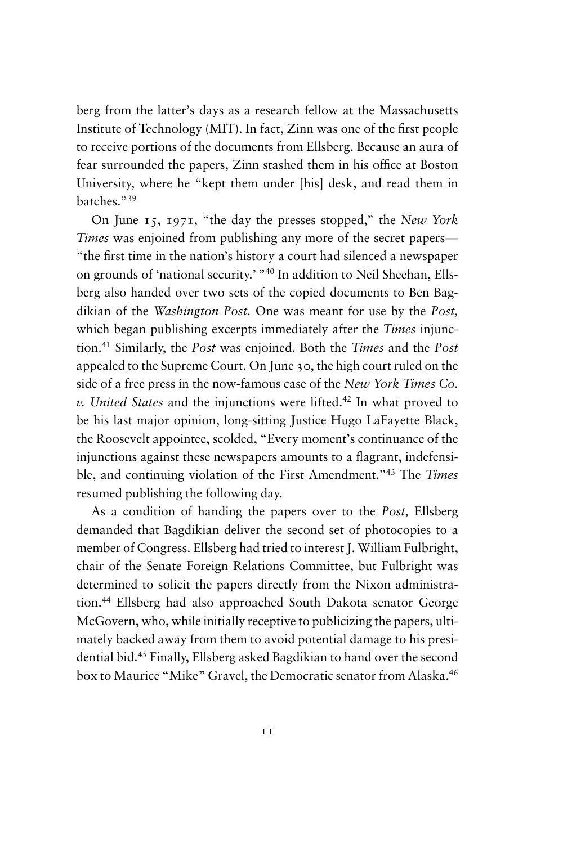berg from the latter's days as a research fellow at the Massachusetts Institute of Technology (MIT). In fact, Zinn was one of the first people to receive portions of the documents from Ellsberg. Because an aura of fear surrounded the papers, Zinn stashed them in his office at Boston University, where he "kept them under [his] desk, and read them in batches."<sup>39</sup>

On June 15, 1971, "the day the presses stopped," the *New York Times* was enjoined from publishing any more of the secret papers— "the first time in the nation's history a court had silenced a newspaper on grounds of 'national security.' "<sup>40</sup> In addition to Neil Sheehan, Ellsberg also handed over two sets of the copied documents to Ben Bagdikian of the *Washington Post.* One was meant for use by the *Post,* which began publishing excerpts immediately after the *Times* injunction.<sup>41</sup> Similarly, the *Post* was enjoined. Both the *Times* and the *Post* appealed to the Supreme Court. On June 30, the high court ruled on the side of a free press in the now-famous case of the *New York Times Co. v. United States* and the injunctions were lifted.<sup>42</sup> In what proved to be his last major opinion, long-sitting Justice Hugo LaFayette Black, the Roosevelt appointee, scolded, "Every moment's continuance of the injunctions against these newspapers amounts to a flagrant, indefensible, and continuing violation of the First Amendment."<sup>43</sup> The *Times* resumed publishing the following day.

As a condition of handing the papers over to the *Post,* Ellsberg demanded that Bagdikian deliver the second set of photocopies to a member of Congress. Ellsberg had tried to interest J. William Fulbright, chair of the Senate Foreign Relations Committee, but Fulbright was determined to solicit the papers directly from the Nixon administration.<sup>44</sup> Ellsberg had also approached South Dakota senator George McGovern, who, while initially receptive to publicizing the papers, ultimately backed away from them to avoid potential damage to his presidential bid.<sup>45</sup> Finally, Ellsberg asked Bagdikian to hand over the second box to Maurice "Mike" Gravel, the Democratic senator from Alaska.<sup>46</sup>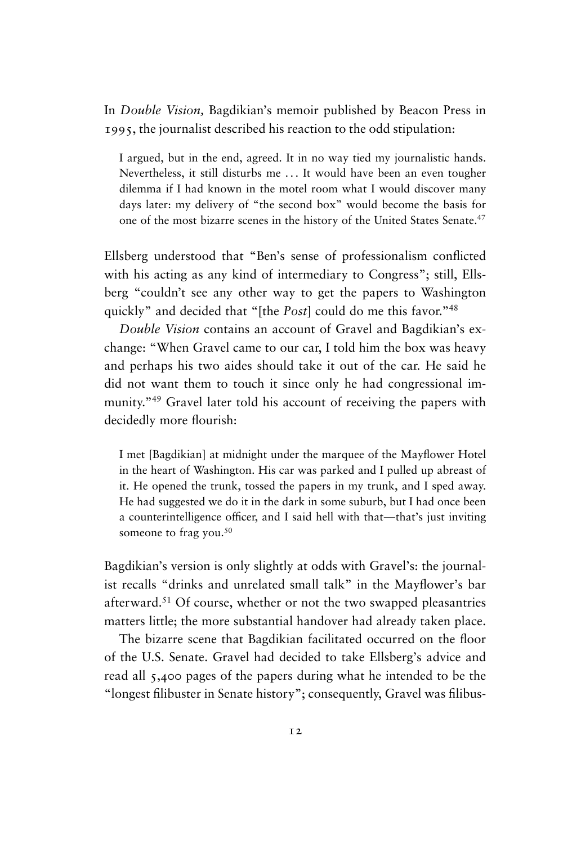In *Double Vision,* Bagdikian's memoir published by Beacon Press in 1995, the journalist described his reaction to the odd stipulation:

I argued, but in the end, agreed. It in no way tied my journalistic hands. Nevertheless, it still disturbs me ... It would have been an even tougher dilemma if I had known in the motel room what I would discover many days later: my delivery of "the second box" would become the basis for one of the most bizarre scenes in the history of the United States Senate.<sup>47</sup>

Ellsberg understood that "Ben's sense of professionalism conflicted with his acting as any kind of intermediary to Congress"; still, Ellsberg "couldn't see any other way to get the papers to Washington quickly" and decided that "[the *Post*] could do me this favor."<sup>48</sup>

*Double Vision* contains an account of Gravel and Bagdikian's exchange: "When Gravel came to our car, I told him the box was heavy and perhaps his two aides should take it out of the car. He said he did not want them to touch it since only he had congressional immunity.<sup>"49</sup> Gravel later told his account of receiving the papers with decidedly more flourish:

I met [Bagdikian] at midnight under the marquee of the Mayflower Hotel in the heart of Washington. His car was parked and I pulled up abreast of it. He opened the trunk, tossed the papers in my trunk, and I sped away. He had suggested we do it in the dark in some suburb, but I had once been a counterintelligence officer, and I said hell with that—that's just inviting someone to frag you.<sup>50</sup>

Bagdikian's version is only slightly at odds with Gravel's: the journalist recalls "drinks and unrelated small talk" in the Mayflower's bar afterward.<sup>51</sup> Of course, whether or not the two swapped pleasantries matters little; the more substantial handover had already taken place.

The bizarre scene that Bagdikian facilitated occurred on the floor of the U.S. Senate. Gravel had decided to take Ellsberg's advice and read all 5,400 pages of the papers during what he intended to be the "longest filibuster in Senate history"; consequently, Gravel was filibus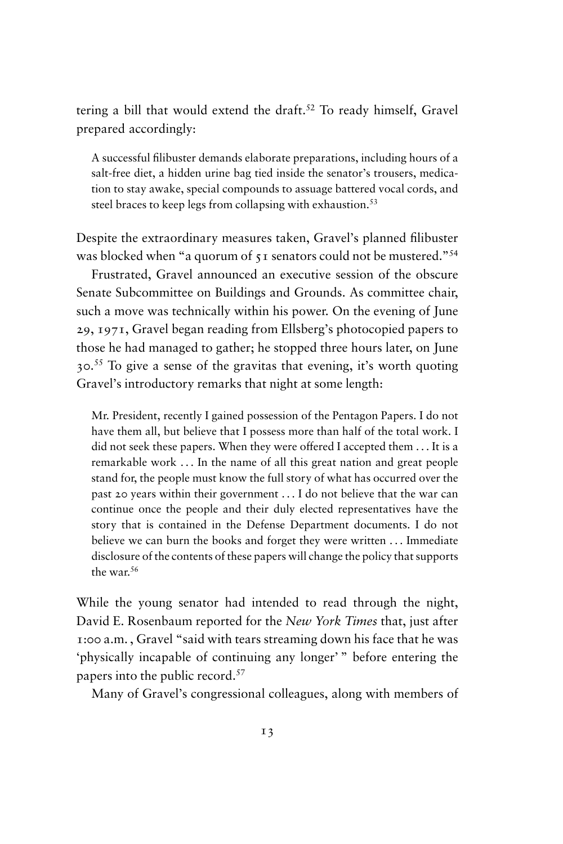tering a bill that would extend the draft.<sup>52</sup> To ready himself, Gravel prepared accordingly:

A successful filibuster demands elaborate preparations, including hours of a salt-free diet, a hidden urine bag tied inside the senator's trousers, medication to stay awake, special compounds to assuage battered vocal cords, and steel braces to keep legs from collapsing with exhaustion.<sup>53</sup>

Despite the extraordinary measures taken, Gravel's planned filibuster was blocked when "a quorum of 51 senators could not be mustered."<sup>54</sup>

Frustrated, Gravel announced an executive session of the obscure Senate Subcommittee on Buildings and Grounds. As committee chair, such a move was technically within his power. On the evening of June 29, 1971, Gravel began reading from Ellsberg's photocopied papers to those he had managed to gather; he stopped three hours later, on June 30.<sup>55</sup> To give a sense of the gravitas that evening, it's worth quoting Gravel's introductory remarks that night at some length:

Mr. President, recently I gained possession of the Pentagon Papers. I do not have them all, but believe that I possess more than half of the total work. I did not seek these papers. When they were offered I accepted them . . . It is a remarkable work . . . In the name of all this great nation and great people stand for, the people must know the full story of what has occurred over the past 20 years within their government . . . I do not believe that the war can continue once the people and their duly elected representatives have the story that is contained in the Defense Department documents. I do not believe we can burn the books and forget they were written . . . Immediate disclosure of the contents of these papers will change the policy that supports the war<sup>56</sup>

While the young senator had intended to read through the night, David E. Rosenbaum reported for the *New York Times* that, just after 1:00 a.m. , Gravel "said with tears streaming down his face that he was 'physically incapable of continuing any longer' " before entering the papers into the public record.<sup>57</sup>

Many of Gravel's congressional colleagues, along with members of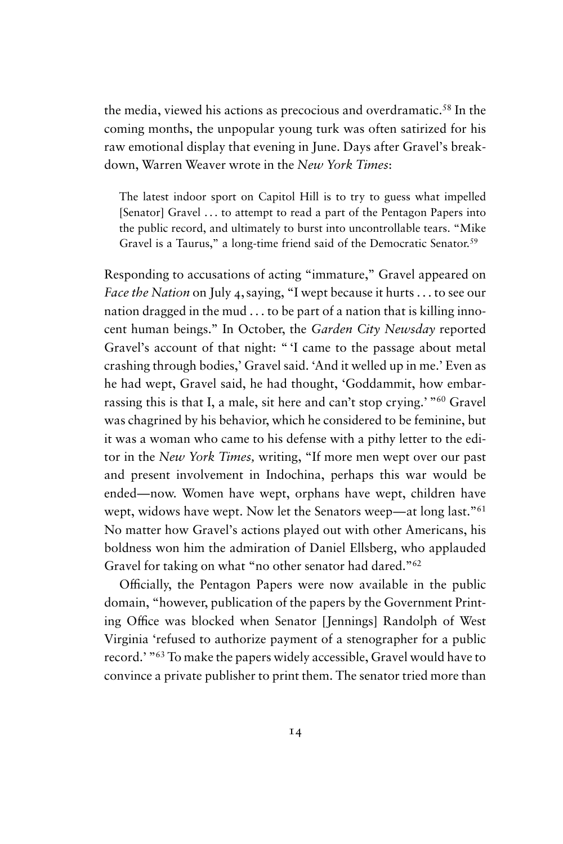the media, viewed his actions as precocious and overdramatic.<sup>58</sup> In the coming months, the unpopular young turk was often satirized for his raw emotional display that evening in June. Days after Gravel's breakdown, Warren Weaver wrote in the *New York Times*:

The latest indoor sport on Capitol Hill is to try to guess what impelled [Senator] Gravel ... to attempt to read a part of the Pentagon Papers into the public record, and ultimately to burst into uncontrollable tears. "Mike Gravel is a Taurus," a long-time friend said of the Democratic Senator.<sup>59</sup>

Responding to accusations of acting "immature," Gravel appeared on *Face the Nation* on July 4, saying, "I wept because it hurts . . . to see our nation dragged in the mud . . . to be part of a nation that is killing innocent human beings." In October, the *Garden City Newsday* reported Gravel's account of that night: " 'I came to the passage about metal crashing through bodies,' Gravel said. 'And it welled up in me.' Even as he had wept, Gravel said, he had thought, 'Goddammit, how embarrassing this is that I, a male, sit here and can't stop crying.' "<sup>60</sup> Gravel was chagrined by his behavior, which he considered to be feminine, but it was a woman who came to his defense with a pithy letter to the editor in the *New York Times,* writing, "If more men wept over our past and present involvement in Indochina, perhaps this war would be ended—now. Women have wept, orphans have wept, children have wept, widows have wept. Now let the Senators weep—at long last."<sup>61</sup> No matter how Gravel's actions played out with other Americans, his boldness won him the admiration of Daniel Ellsberg, who applauded Gravel for taking on what "no other senator had dared."<sup>62</sup>

Officially, the Pentagon Papers were now available in the public domain, "however, publication of the papers by the Government Printing Office was blocked when Senator [Jennings] Randolph of West Virginia 'refused to authorize payment of a stenographer for a public record.' "<sup>63</sup> To make the papers widely accessible, Gravel would have to convince a private publisher to print them. The senator tried more than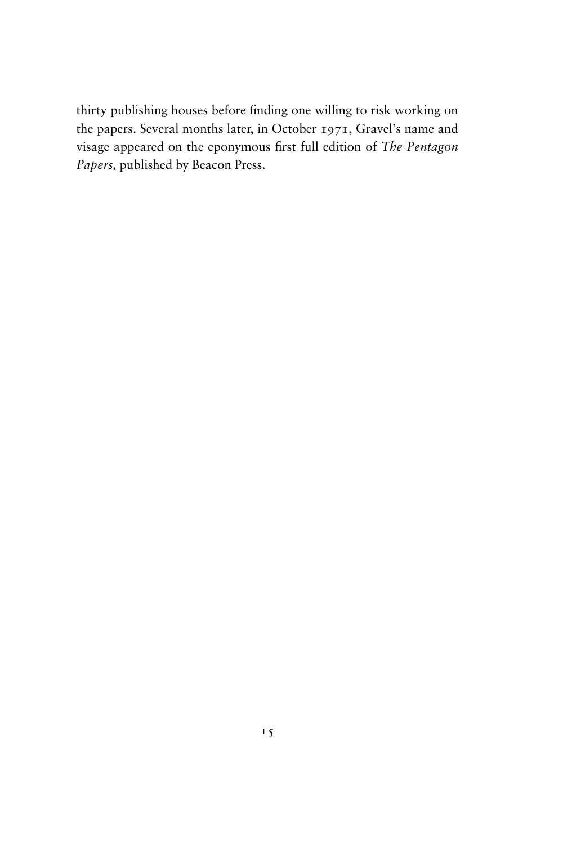thirty publishing houses before finding one willing to risk working on the papers. Several months later, in October 1971, Gravel's name and visage appeared on the eponymous first full edition of *The Pentagon Papers,* published by Beacon Press.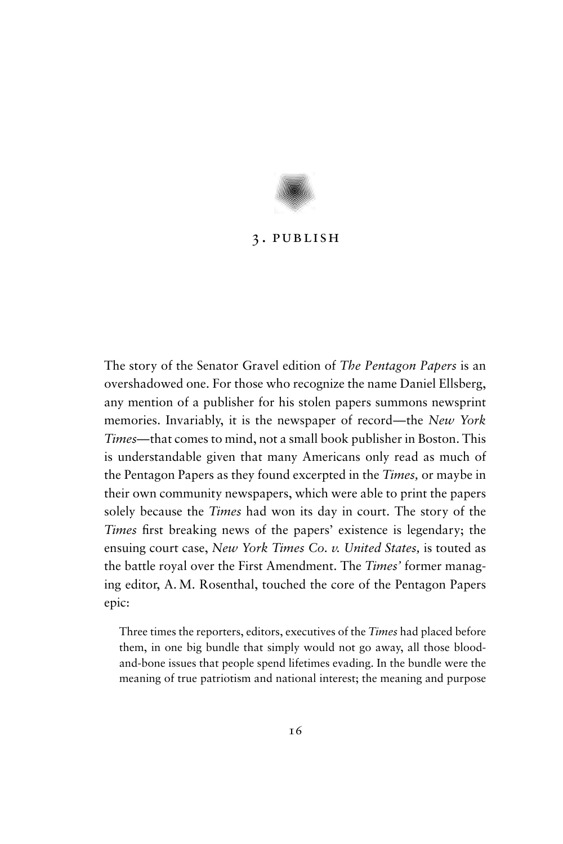

# 3. publish

The story of the Senator Gravel edition of *The Pentagon Papers* is an overshadowed one. For those who recognize the name Daniel Ellsberg, any mention of a publisher for his stolen papers summons newsprint memories. Invariably, it is the newspaper of record—the *New York Times*—that comes to mind, not a small book publisher in Boston. This is understandable given that many Americans only read as much of the Pentagon Papers as they found excerpted in the *Times,* or maybe in their own community newspapers, which were able to print the papers solely because the *Times* had won its day in court. The story of the *Times* first breaking news of the papers' existence is legendary; the ensuing court case, *New York Times Co. v. United States,* is touted as the battle royal over the First Amendment. The *Times'* former managing editor, A. M. Rosenthal, touched the core of the Pentagon Papers epic:

Three times the reporters, editors, executives of the *Times* had placed before them, in one big bundle that simply would not go away, all those bloodand-bone issues that people spend lifetimes evading. In the bundle were the meaning of true patriotism and national interest; the meaning and purpose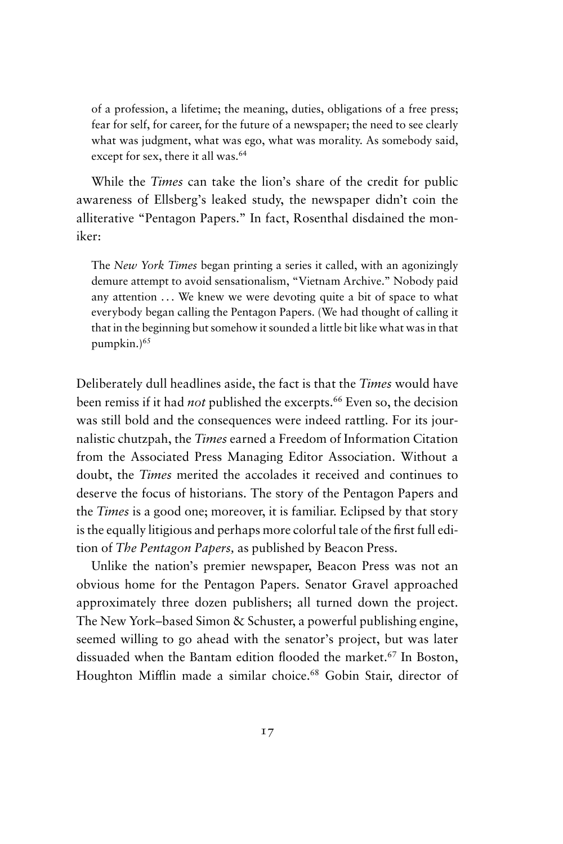of a profession, a lifetime; the meaning, duties, obligations of a free press; fear for self, for career, for the future of a newspaper; the need to see clearly what was judgment, what was ego, what was morality. As somebody said, except for sex, there it all was.<sup>64</sup>

While the *Times* can take the lion's share of the credit for public awareness of Ellsberg's leaked study, the newspaper didn't coin the alliterative "Pentagon Papers." In fact, Rosenthal disdained the moniker:

The *New York Times* began printing a series it called, with an agonizingly demure attempt to avoid sensationalism, "Vietnam Archive." Nobody paid any attention ... We knew we were devoting quite a bit of space to what everybody began calling the Pentagon Papers. (We had thought of calling it that in the beginning but somehow it sounded a little bit like what was in that pumpkin.)<sup>65</sup>

Deliberately dull headlines aside, the fact is that the *Times* would have been remiss if it had *not* published the excerpts.<sup>66</sup> Even so, the decision was still bold and the consequences were indeed rattling. For its journalistic chutzpah, the *Times* earned a Freedom of Information Citation from the Associated Press Managing Editor Association. Without a doubt, the *Times* merited the accolades it received and continues to deserve the focus of historians. The story of the Pentagon Papers and the *Times* is a good one; moreover, it is familiar. Eclipsed by that story is the equally litigious and perhaps more colorful tale of the first full edition of *The Pentagon Papers,* as published by Beacon Press.

Unlike the nation's premier newspaper, Beacon Press was not an obvious home for the Pentagon Papers. Senator Gravel approached approximately three dozen publishers; all turned down the project. The New York–based Simon & Schuster, a powerful publishing engine, seemed willing to go ahead with the senator's project, but was later dissuaded when the Bantam edition flooded the market.<sup>67</sup> In Boston, Houghton Mifflin made a similar choice.<sup>68</sup> Gobin Stair, director of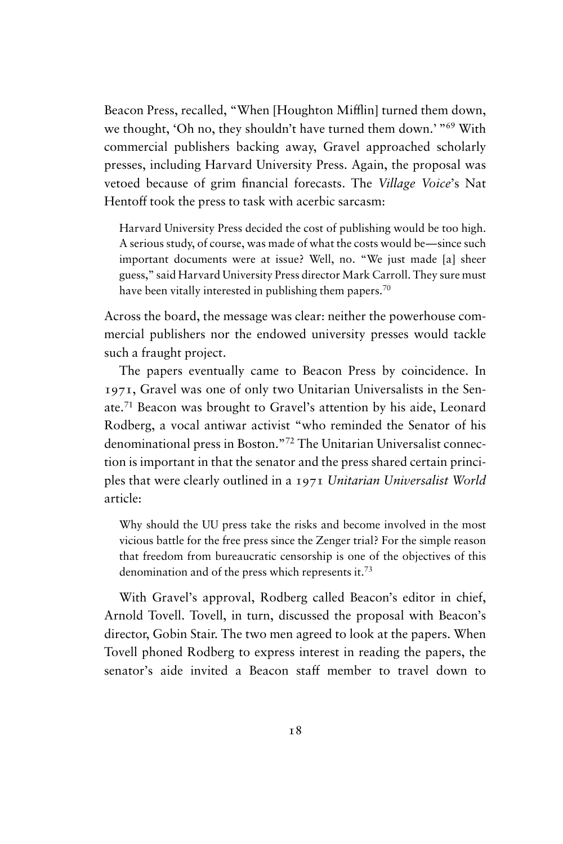Beacon Press, recalled, "When [Houghton Mifflin] turned them down, we thought, 'Oh no, they shouldn't have turned them down.' "<sup>69</sup> With commercial publishers backing away, Gravel approached scholarly presses, including Harvard University Press. Again, the proposal was vetoed because of grim financial forecasts. The *Village Voice*'s Nat Hentoff took the press to task with acerbic sarcasm:

Harvard University Press decided the cost of publishing would be too high. A serious study, of course, was made of what the costs would be—since such important documents were at issue? Well, no. "We just made [a] sheer guess," said Harvard University Press director Mark Carroll. They sure must have been vitally interested in publishing them papers.<sup>70</sup>

Across the board, the message was clear: neither the powerhouse commercial publishers nor the endowed university presses would tackle such a fraught project.

The papers eventually came to Beacon Press by coincidence. In 1971, Gravel was one of only two Unitarian Universalists in the Senate.<sup>71</sup> Beacon was brought to Gravel's attention by his aide, Leonard Rodberg, a vocal antiwar activist "who reminded the Senator of his denominational press in Boston."<sup>72</sup> The Unitarian Universalist connection is important in that the senator and the press shared certain principles that were clearly outlined in a 1971 *Unitarian Universalist World* article:

Why should the UU press take the risks and become involved in the most vicious battle for the free press since the Zenger trial? For the simple reason that freedom from bureaucratic censorship is one of the objectives of this denomination and of the press which represents it.<sup>73</sup>

With Gravel's approval, Rodberg called Beacon's editor in chief, Arnold Tovell. Tovell, in turn, discussed the proposal with Beacon's director, Gobin Stair. The two men agreed to look at the papers. When Tovell phoned Rodberg to express interest in reading the papers, the senator's aide invited a Beacon staff member to travel down to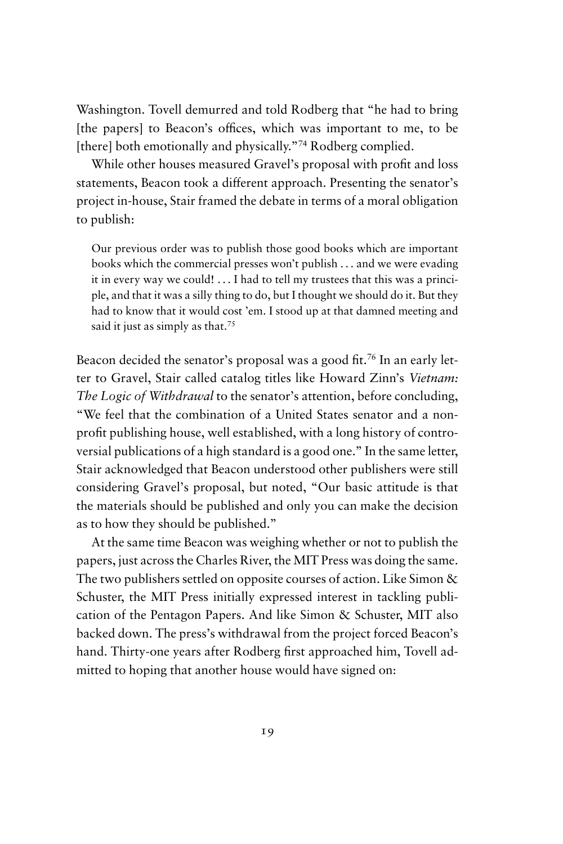Washington. Tovell demurred and told Rodberg that "he had to bring [the papers] to Beacon's offices, which was important to me, to be [there] both emotionally and physically."74 Rodberg complied.

While other houses measured Gravel's proposal with profit and loss statements, Beacon took a different approach. Presenting the senator's project in-house, Stair framed the debate in terms of a moral obligation to publish:

Our previous order was to publish those good books which are important books which the commercial presses won't publish . . . and we were evading it in every way we could! . . . I had to tell my trustees that this was a principle, and that it was a silly thing to do, but I thought we should do it. But they had to know that it would cost 'em. I stood up at that damned meeting and said it just as simply as that.<sup>75</sup>

Beacon decided the senator's proposal was a good fit.<sup>76</sup> In an early letter to Gravel, Stair called catalog titles like Howard Zinn's *Vietnam: The Logic of Withdrawal* to the senator's attention, before concluding, "We feel that the combination of a United States senator and a nonprofit publishing house, well established, with a long history of controversial publications of a high standard is a good one." In the same letter, Stair acknowledged that Beacon understood other publishers were still considering Gravel's proposal, but noted, "Our basic attitude is that the materials should be published and only you can make the decision as to how they should be published."

At the same time Beacon was weighing whether or not to publish the papers, just across the Charles River, the MIT Press was doing the same. The two publishers settled on opposite courses of action. Like Simon & Schuster, the MIT Press initially expressed interest in tackling publication of the Pentagon Papers. And like Simon & Schuster, MIT also backed down. The press's withdrawal from the project forced Beacon's hand. Thirty-one years after Rodberg first approached him, Tovell admitted to hoping that another house would have signed on: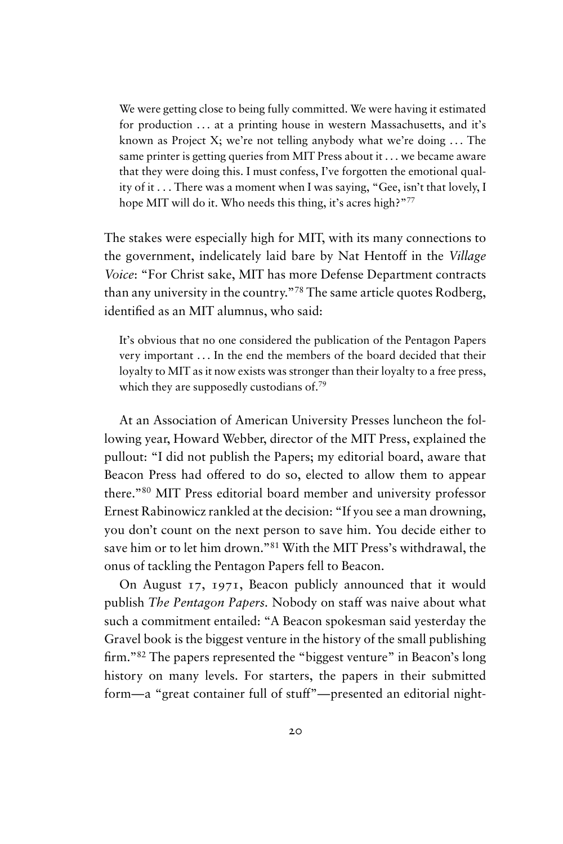We were getting close to being fully committed. We were having it estimated for production ... at a printing house in western Massachusetts, and it's known as Project X; we're not telling anybody what we're doing  $\dots$  The same printer is getting queries from MIT Press about it . . . we became aware that they were doing this. I must confess, I've forgotten the emotional quality of it . . . There was a moment when I was saying, "Gee, isn't that lovely, I hope MIT will do it. Who needs this thing, it's acres high?"<sup>77</sup>

The stakes were especially high for MIT, with its many connections to the government, indelicately laid bare by Nat Hentoff in the *Village Voice*: "For Christ sake, MIT has more Defense Department contracts than any university in the country."<sup>78</sup> The same article quotes Rodberg, identified as an MIT alumnus, who said:

It's obvious that no one considered the publication of the Pentagon Papers very important . . . In the end the members of the board decided that their loyalty to MIT as it now exists was stronger than their loyalty to a free press, which they are supposedly custodians of.<sup>79</sup>

At an Association of American University Presses luncheon the following year, Howard Webber, director of the MIT Press, explained the pullout: "I did not publish the Papers; my editorial board, aware that Beacon Press had offered to do so, elected to allow them to appear there."<sup>80</sup> MIT Press editorial board member and university professor Ernest Rabinowicz rankled at the decision: "If you see a man drowning, you don't count on the next person to save him. You decide either to save him or to let him drown."<sup>81</sup> With the MIT Press's withdrawal, the onus of tackling the Pentagon Papers fell to Beacon.

On August 17, 1971, Beacon publicly announced that it would publish *The Pentagon Papers.* Nobody on staff was naive about what such a commitment entailed: "A Beacon spokesman said yesterday the Gravel book is the biggest venture in the history of the small publishing firm."<sup>82</sup> The papers represented the "biggest venture" in Beacon's long history on many levels. For starters, the papers in their submitted form—a "great container full of stuff"—presented an editorial night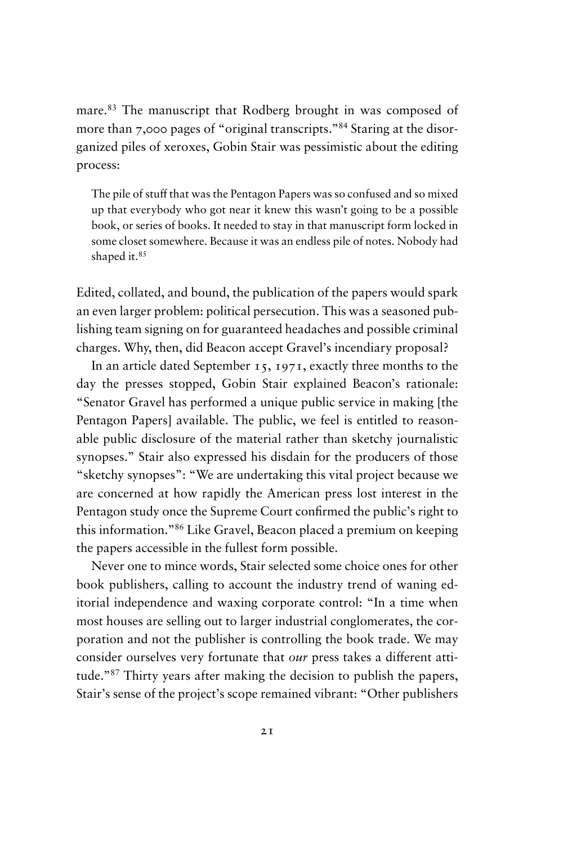mare.<sup>83</sup> The manuscript that Rodberg brought in was composed of more than 7,000 pages of "original transcripts."<sup>84</sup> Staring at the disorganized piles of xeroxes, Gobin Stair was pessimistic about the editing process:

The pile of stuff that was the Pentagon Papers was so confused and so mixed up that everybody who got near it knew this wasn't going to be a possible book, or series of books. It needed to stay in that manuscript form locked in some closet somewhere. Because it was an endless pile of notes. Nobody had shaped it.<sup>85</sup>

Edited, collated, and bound, the publication of the papers would spark an even larger problem: political persecution. This was a seasoned publishing team signing on for guaranteed headaches and possible criminal charges. Why, then, did Beacon accept Gravel's incendiary proposal?

In an article dated September 15, 1971, exactly three months to the day the presses stopped, Gobin Stair explained Beacon's rationale: "Senator Gravel has performed a unique public service in making [the Pentagon Papers] available. The public, we feel is entitled to reasonable public disclosure of the material rather than sketchy journalistic synopses." Stair also expressed his disdain for the producers of those "sketchy synopses": "We are undertaking this vital project because we are concerned at how rapidly the American press lost interest in the Pentagon study once the Supreme Court confirmed the public's right to this information."<sup>86</sup> Like Gravel, Beacon placed a premium on keeping the papers accessible in the fullest form possible.

Never one to mince words, Stair selected some choice ones for other book publishers, calling to account the industry trend of waning editorial independence and waxing corporate control: "In a time when most houses are selling out to larger industrial conglomerates, the corporation and not the publisher is controlling the book trade. We may consider ourselves very fortunate that *our* press takes a different attitude."<sup>87</sup> Thirty years after making the decision to publish the papers, Stair's sense of the project's scope remained vibrant: "Other publishers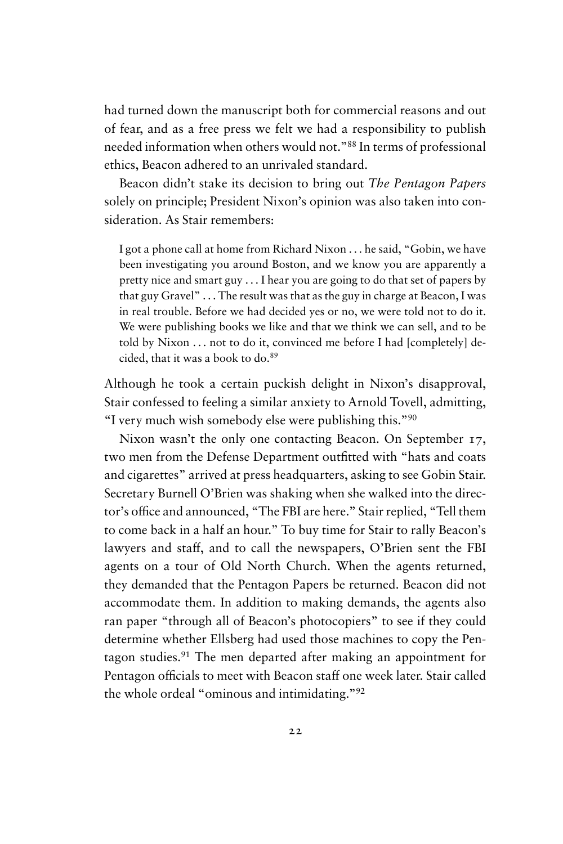had turned down the manuscript both for commercial reasons and out of fear, and as a free press we felt we had a responsibility to publish needed information when others would not."<sup>88</sup> In terms of professional ethics, Beacon adhered to an unrivaled standard.

Beacon didn't stake its decision to bring out *The Pentagon Papers* solely on principle; President Nixon's opinion was also taken into consideration. As Stair remembers:

I got a phone call at home from Richard Nixon . . . he said, "Gobin, we have been investigating you around Boston, and we know you are apparently a pretty nice and smart guy . . . I hear you are going to do that set of papers by that guy Gravel" . . . The result was that as the guy in charge at Beacon, I was in real trouble. Before we had decided yes or no, we were told not to do it. We were publishing books we like and that we think we can sell, and to be told by Nixon . . . not to do it, convinced me before I had [completely] decided, that it was a book to do.<sup>89</sup>

Although he took a certain puckish delight in Nixon's disapproval, Stair confessed to feeling a similar anxiety to Arnold Tovell, admitting, "I very much wish somebody else were publishing this."<sup>90</sup>

Nixon wasn't the only one contacting Beacon. On September 17, two men from the Defense Department outfitted with "hats and coats and cigarettes" arrived at press headquarters, asking to see Gobin Stair. Secretary Burnell O'Brien was shaking when she walked into the director's office and announced, "The FBI are here." Stair replied, "Tell them to come back in a half an hour." To buy time for Stair to rally Beacon's lawyers and staff, and to call the newspapers, O'Brien sent the FBI agents on a tour of Old North Church. When the agents returned, they demanded that the Pentagon Papers be returned. Beacon did not accommodate them. In addition to making demands, the agents also ran paper "through all of Beacon's photocopiers" to see if they could determine whether Ellsberg had used those machines to copy the Pentagon studies.<sup>91</sup> The men departed after making an appointment for Pentagon officials to meet with Beacon staff one week later. Stair called the whole ordeal "ominous and intimidating."<sup>92</sup>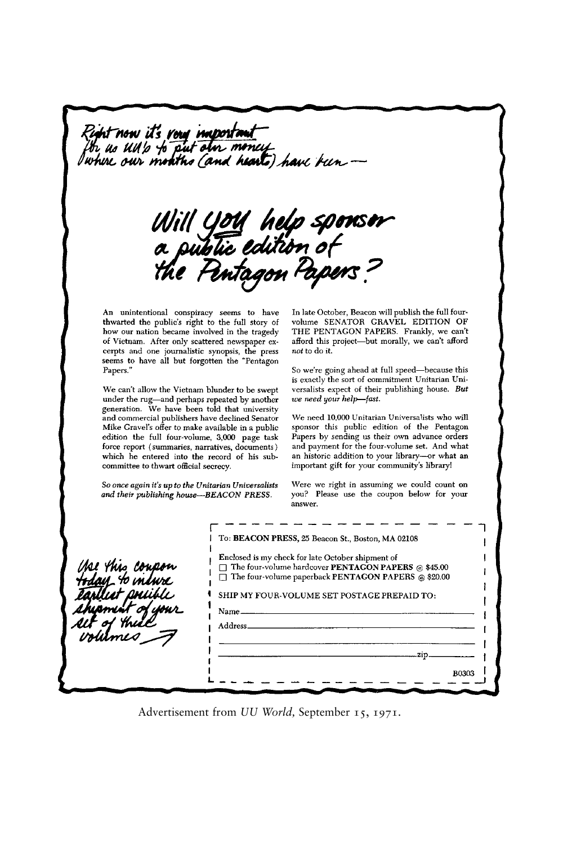Right now it's very important<br>for us UM's to put oin money<br>Iwhere our months (and hearts) have been —

Will You help sponsor<br>a public edition of<br>the Pentagon Papens?

An unintentional conspiracy seems to have thwarted the public's right to the full story of how our nation became involved in the tragedy of Vietnam. After only scattered newspaper excerpts and one journalistic synopsis, the press seems to have all but forgotten the "Pentagon Papers.'

We can't allow the Vietnam blunder to be swept under the rug-and perhaps repeated by another generation. We have been told that university and commercial publishers have declined Senator Mike Gravel's offer to make available in a public edition the full four-volume, 3,000 page task force report (summaries, narratives, documents) which he entered into the record of his subcommittee to thwart official secrecy.

So once again it's up to the Unitarian Universalists and their publishing house-BEACON PRESS.

In late October, Beacon will publish the full fourvolume SENATOR GRAVEL EDITION OF THE PENTAGON PAPERS. Frankly, we can't afford this project-but morally, we can't afford not to do it.

So we're going ahead at full speed-because this is exactly the sort of commitment Unitarian Universalists expect of their publishing house. But we need your help-fast.

We need 10,000 Unitarian Universalists who will sponsor this public edition of the Pentagon Papers by sending us their own advance orders and payment for the four-volume set. And what an historic addition to your library-or what an important gift for your community's library!

Were we right in assuming we could count on you? Please use the coupon below for your answer.

| fse this coupon<br><del>I</del> day to indure | To: BEACON PRESS, 25 Beacon St., Boston, MA 02108<br>Enclosed is my check for late October shipment of<br>$\Box$ The four-volume hardcover <b>PENTAGON PAPERS</b> @ \$45.00<br>The four-volume paperback PENTAGON PAPERS @ \$20.00<br>SHIP MY FOUR-VOLUME SET POSTAGE PREPAID TO:<br>Name_<br>Address. |
|-----------------------------------------------|--------------------------------------------------------------------------------------------------------------------------------------------------------------------------------------------------------------------------------------------------------------------------------------------------------|
|                                               | zin                                                                                                                                                                                                                                                                                                    |
|                                               | <b>B0303</b>                                                                                                                                                                                                                                                                                           |

Advertisement from *UU World,* September 15, 1971.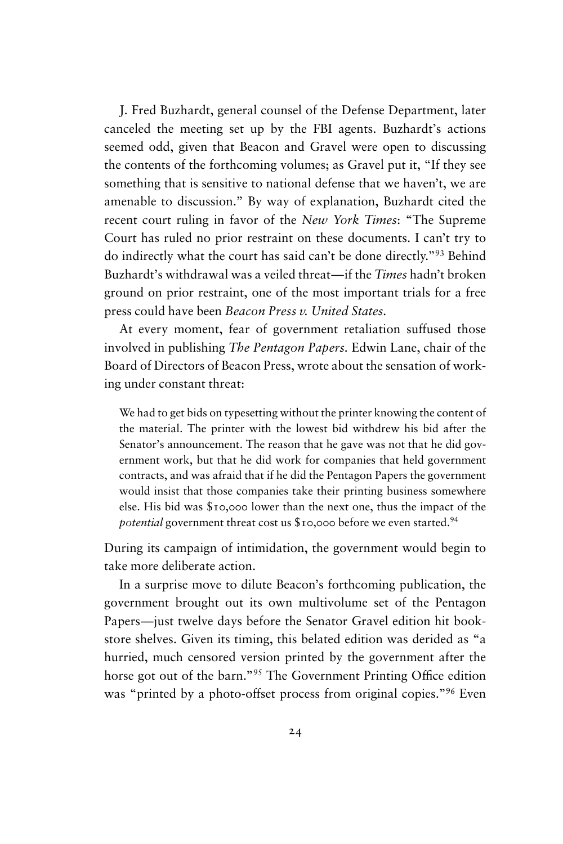J. Fred Buzhardt, general counsel of the Defense Department, later canceled the meeting set up by the FBI agents. Buzhardt's actions seemed odd, given that Beacon and Gravel were open to discussing the contents of the forthcoming volumes; as Gravel put it, "If they see something that is sensitive to national defense that we haven't, we are amenable to discussion." By way of explanation, Buzhardt cited the recent court ruling in favor of the *New York Times*: "The Supreme Court has ruled no prior restraint on these documents. I can't try to do indirectly what the court has said can't be done directly."<sup>93</sup> Behind Buzhardt's withdrawal was a veiled threat—if the *Times* hadn't broken ground on prior restraint, one of the most important trials for a free press could have been *Beacon Press v. United States.*

At every moment, fear of government retaliation suffused those involved in publishing *The Pentagon Papers.* Edwin Lane, chair of the Board of Directors of Beacon Press, wrote about the sensation of working under constant threat:

We had to get bids on typesetting without the printer knowing the content of the material. The printer with the lowest bid withdrew his bid after the Senator's announcement. The reason that he gave was not that he did government work, but that he did work for companies that held government contracts, and was afraid that if he did the Pentagon Papers the government would insist that those companies take their printing business somewhere else. His bid was \$10,000 lower than the next one, thus the impact of the potential government threat cost us \$10,000 before we even started.<sup>94</sup>

During its campaign of intimidation, the government would begin to take more deliberate action.

In a surprise move to dilute Beacon's forthcoming publication, the government brought out its own multivolume set of the Pentagon Papers—just twelve days before the Senator Gravel edition hit bookstore shelves. Given its timing, this belated edition was derided as "a hurried, much censored version printed by the government after the horse got out of the barn."<sup>95</sup> The Government Printing Office edition was "printed by a photo-offset process from original copies."<sup>96</sup> Even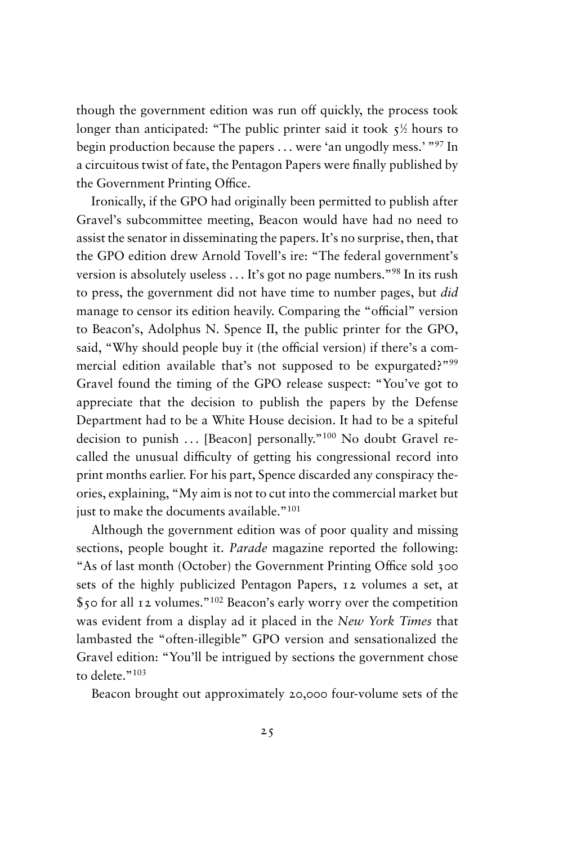though the government edition was run off quickly, the process took longer than anticipated: "The public printer said it took 5<sup>1</sup> ⁄<sup>2</sup> hours to begin production because the papers . . . were 'an ungodly mess.' "<sup>97</sup> In a circuitous twist of fate, the Pentagon Papers were finally published by the Government Printing Office.

Ironically, if the GPO had originally been permitted to publish after Gravel's subcommittee meeting, Beacon would have had no need to assist the senator in disseminating the papers. It's no surprise, then, that the GPO edition drew Arnold Tovell's ire: "The federal government's version is absolutely useless . . . It's got no page numbers."<sup>98</sup> In its rush to press, the government did not have time to number pages, but *did* manage to censor its edition heavily. Comparing the "official" version to Beacon's, Adolphus N. Spence II, the public printer for the GPO, said, "Why should people buy it (the official version) if there's a commercial edition available that's not supposed to be expurgated?"<sup>99</sup> Gravel found the timing of the GPO release suspect: "You've got to appreciate that the decision to publish the papers by the Defense Department had to be a White House decision. It had to be a spiteful decision to punish ... [Beacon] personally."<sup>100</sup> No doubt Gravel recalled the unusual difficulty of getting his congressional record into print months earlier. For his part, Spence discarded any conspiracy theories, explaining, "My aim is not to cut into the commercial market but just to make the documents available."<sup>101</sup>

Although the government edition was of poor quality and missing sections, people bought it. *Parade* magazine reported the following: "As of last month (October) the Government Printing Office sold 300 sets of the highly publicized Pentagon Papers, 12 volumes a set, at \$50 for all 12 volumes."<sup>102</sup> Beacon's early worry over the competition was evident from a display ad it placed in the *New York Times* that lambasted the "often-illegible" GPO version and sensationalized the Gravel edition: "You'll be intrigued by sections the government chose to delete."103

Beacon brought out approximately 20,000 four-volume sets of the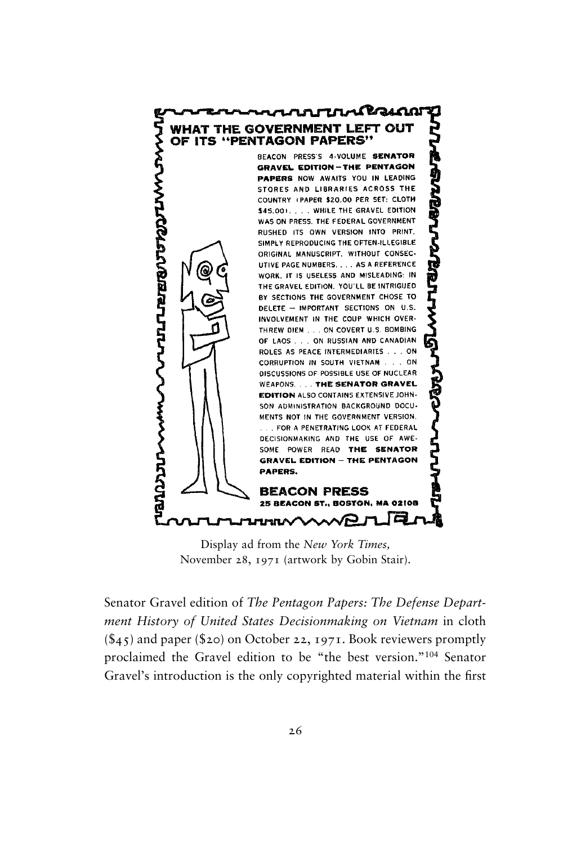

Display ad from the *New York Times,* November 28, 1971 (artwork by Gobin Stair).

Senator Gravel edition of *The Pentagon Papers: The Defense Department History of United States Decisionmaking on Vietnam* in cloth  $(\$45)$  and paper (\$20) on October 22, 1971. Book reviewers promptly proclaimed the Gravel edition to be "the best version."<sup>104</sup> Senator Gravel's introduction is the only copyrighted material within the first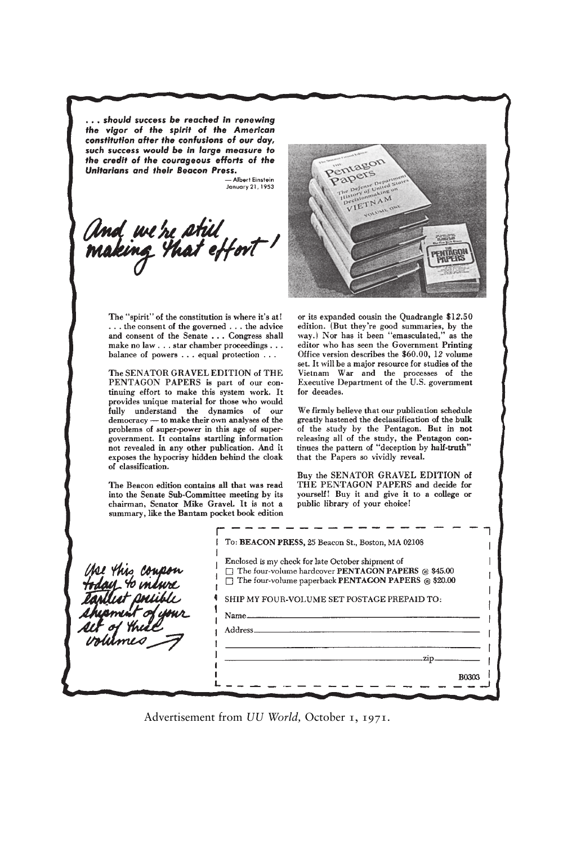... should success be reached in renewing the vigor of the spirit of the American constitution after the confusions of our day, such success would be in large measure to the credit of the courageous efforts of the Unitarians and their Beacon Press.

- Albert Finstein January 21, 1953

And we're still<br>making that effort !



The "spirit" of the constitution is where it's at! ... the consent of the governed ... the advice and consent of the Senate . . . Congress shall make no law . . . star chamber proceedings . . . balance of powers . . . equal protection . . .

The SENATOR GRAVEL EDITION of THE PENTAGON PAPERS is part of our continuing effort to make this system work. It provides unique material for those who would fully understand the dynamics of our democracy - to make their own analyses of the problems of super-power in this age of supergovernment. It contains startling information not revealed in any other publication. And it exposes the hypocrisy hidden behind the cloak of classification.

The Beacon edition contains all that was read into the Senate Sub-Committee meeting by its chairman, Senator Mike Gravel. It is not a summary, like the Bantam pocket book edition

s los  $40 \mu m$  or its expanded cousin the Quadrangle \$12.50 edition. (But they're good summaries, by the way.) Nor has it been "emasculated," as the editor who has seen the Government Printing Office version describes the \$60.00, 12 volume set. It will be a major resource for studies of the Vietnam War and the processes of the Executive Department of the U.S. government for decades.

We firmly believe that our publication schedule greatly hastened the declassification of the bulk of the study by the Pentagon. But in not releasing all of the study, the Pentagon continues the pattern of "deception by half-truth" that the Papers so vividly reveal.

Buy the SENATOR GRAVEL EDITION of THE PENTAGON PAPERS and decide for yourself! Buy it and give it to a college or public library of your choice!

| Enclosed is my check for late October shipment of                                                                                                         |
|-----------------------------------------------------------------------------------------------------------------------------------------------------------|
| The four-volume hardcover PENTAGON PAPERS @ \$45.00<br>The four-volume paperback PENTAGON PAPERS @ \$20.00<br>SHIP MY FOUR-VOLUME SET POSTAGE PREPAID TO: |
|                                                                                                                                                           |
| Address_                                                                                                                                                  |
| .zin_                                                                                                                                                     |

Advertisement from *UU World,* October 1, 1971.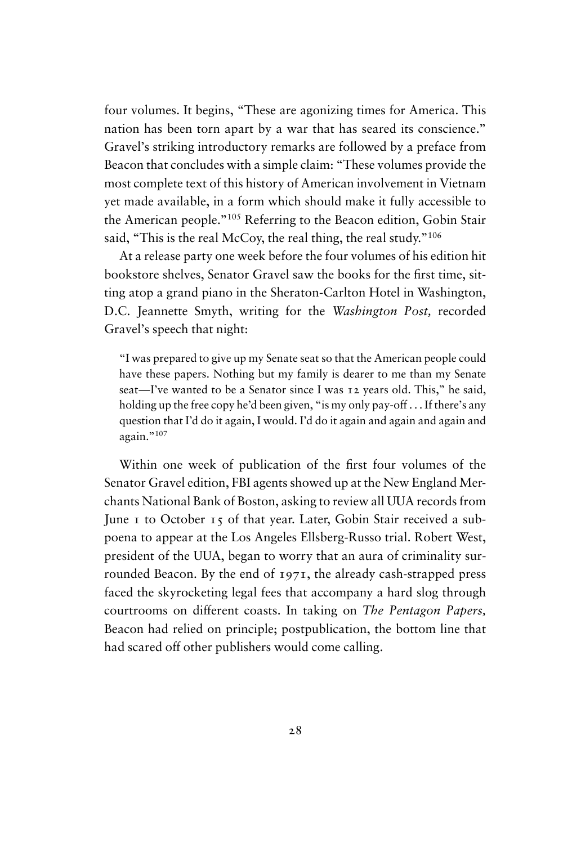four volumes. It begins, "These are agonizing times for America. This nation has been torn apart by a war that has seared its conscience." Gravel's striking introductory remarks are followed by a preface from Beacon that concludes with a simple claim: "These volumes provide the most complete text of this history of American involvement in Vietnam yet made available, in a form which should make it fully accessible to the American people."<sup>105</sup> Referring to the Beacon edition, Gobin Stair said, "This is the real McCoy, the real thing, the real study."<sup>106</sup>

At a release party one week before the four volumes of his edition hit bookstore shelves, Senator Gravel saw the books for the first time, sitting atop a grand piano in the Sheraton-Carlton Hotel in Washington, D.C. Jeannette Smyth, writing for the *Washington Post,* recorded Gravel's speech that night:

"I was prepared to give up my Senate seat so that the American people could have these papers. Nothing but my family is dearer to me than my Senate seat—I've wanted to be a Senator since I was 12 years old. This," he said, holding up the free copy he'd been given, "is my only pay-off . . . If there's any question that I'd do it again, I would. I'd do it again and again and again and again."<sup>107</sup>

Within one week of publication of the first four volumes of the Senator Gravel edition, FBI agents showed up at the New England Merchants National Bank of Boston, asking to review all UUA records from June 1 to October 15 of that year. Later, Gobin Stair received a subpoena to appear at the Los Angeles Ellsberg-Russo trial. Robert West, president of the UUA, began to worry that an aura of criminality surrounded Beacon. By the end of 1971, the already cash-strapped press faced the skyrocketing legal fees that accompany a hard slog through courtrooms on different coasts. In taking on *The Pentagon Papers,* Beacon had relied on principle; postpublication, the bottom line that had scared off other publishers would come calling.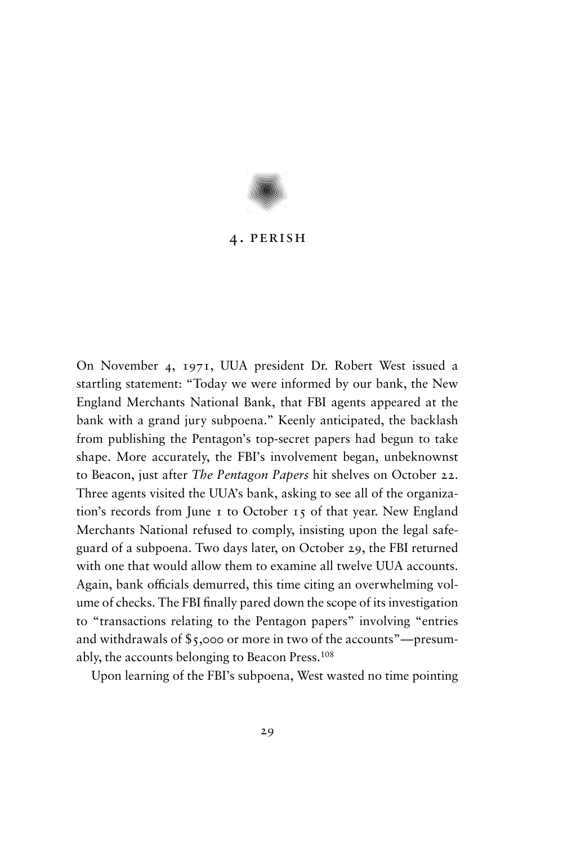

## 4. perish

On November 4, 1971, UUA president Dr. Robert West issued a startling statement: "Today we were informed by our bank, the New England Merchants National Bank, that FBI agents appeared at the bank with a grand jury subpoena." Keenly anticipated, the backlash from publishing the Pentagon's top-secret papers had begun to take shape. More accurately, the FBI's involvement began, unbeknownst to Beacon, just after *The Pentagon Papers* hit shelves on October 22. Three agents visited the UUA's bank, asking to see all of the organization's records from June 1 to October 15 of that year. New England Merchants National refused to comply, insisting upon the legal safeguard of a subpoena. Two days later, on October 29, the FBI returned with one that would allow them to examine all twelve UUA accounts. Again, bank officials demurred, this time citing an overwhelming volume of checks. The FBI finally pared down the scope of its investigation to "transactions relating to the Pentagon papers" involving "entries and withdrawals of \$5,000 or more in two of the accounts"—presumably, the accounts belonging to Beacon Press.<sup>108</sup>

Upon learning of the FBI's subpoena, West wasted no time pointing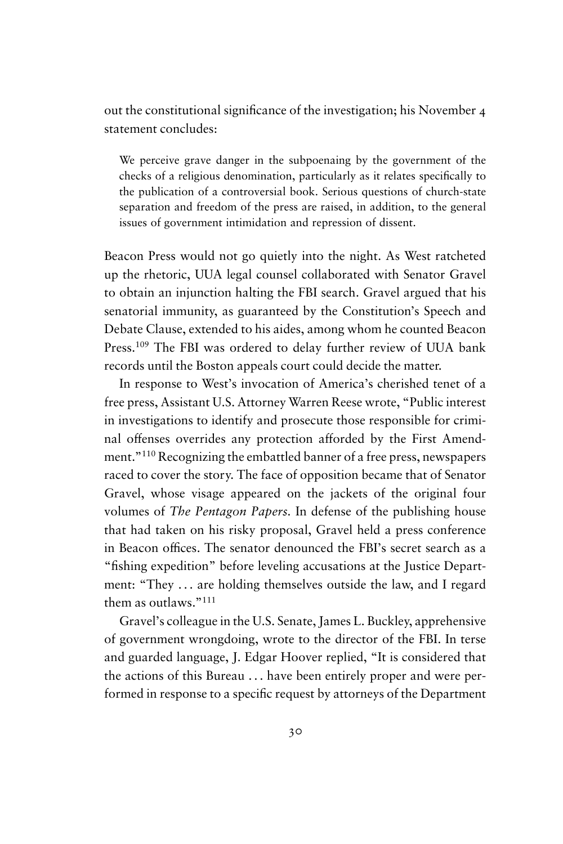out the constitutional significance of the investigation; his November 4 statement concludes:

We perceive grave danger in the subpoenaing by the government of the checks of a religious denomination, particularly as it relates specifically to the publication of a controversial book. Serious questions of church-state separation and freedom of the press are raised, in addition, to the general issues of government intimidation and repression of dissent.

Beacon Press would not go quietly into the night. As West ratcheted up the rhetoric, UUA legal counsel collaborated with Senator Gravel to obtain an injunction halting the FBI search. Gravel argued that his senatorial immunity, as guaranteed by the Constitution's Speech and Debate Clause, extended to his aides, among whom he counted Beacon Press.<sup>109</sup> The FBI was ordered to delay further review of UUA bank records until the Boston appeals court could decide the matter.

In response to West's invocation of America's cherished tenet of a free press, Assistant U.S. Attorney Warren Reese wrote, "Public interest in investigations to identify and prosecute those responsible for criminal offenses overrides any protection afforded by the First Amendment."<sup>110</sup> Recognizing the embattled banner of a free press, newspapers raced to cover the story. The face of opposition became that of Senator Gravel, whose visage appeared on the jackets of the original four volumes of *The Pentagon Papers.* In defense of the publishing house that had taken on his risky proposal, Gravel held a press conference in Beacon offices. The senator denounced the FBI's secret search as a "fishing expedition" before leveling accusations at the Justice Department: "They . . . are holding themselves outside the law, and I regard them as outlaws<sup>"111</sup>

Gravel's colleague in the U.S. Senate, James L. Buckley, apprehensive of government wrongdoing, wrote to the director of the FBI. In terse and guarded language, J. Edgar Hoover replied, "It is considered that the actions of this Bureau . . . have been entirely proper and were performed in response to a specific request by attorneys of the Department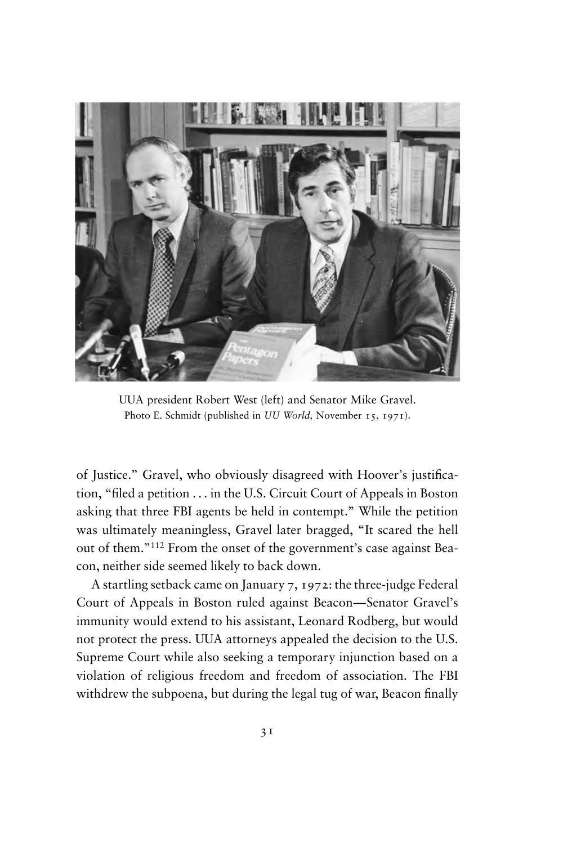

UUA president Robert West (left) and Senator Mike Gravel. Photo E. Schmidt (published in *UU World,* November 15, 1971).

of Justice." Gravel, who obviously disagreed with Hoover's justification, "filed a petition . . . in the U.S. Circuit Court of Appeals in Boston asking that three FBI agents be held in contempt." While the petition was ultimately meaningless, Gravel later bragged, "It scared the hell out of them."<sup>112</sup> From the onset of the government's case against Beacon, neither side seemed likely to back down.

A startling setback came on January 7, 1972: the three-judge Federal Court of Appeals in Boston ruled against Beacon—Senator Gravel's immunity would extend to his assistant, Leonard Rodberg, but would not protect the press. UUA attorneys appealed the decision to the U.S. Supreme Court while also seeking a temporary injunction based on a violation of religious freedom and freedom of association. The FBI withdrew the subpoena, but during the legal tug of war, Beacon finally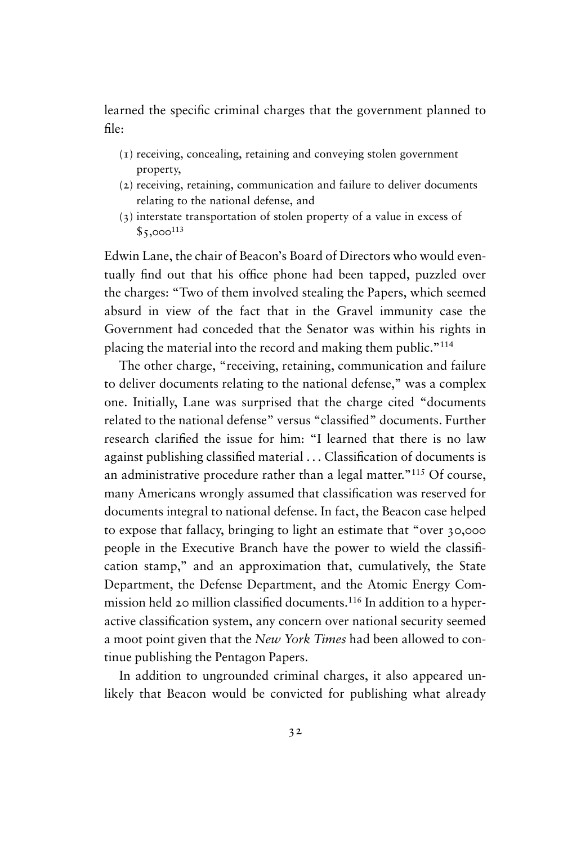learned the specific criminal charges that the government planned to file:

- (1) receiving, concealing, retaining and conveying stolen government property,
- (2) receiving, retaining, communication and failure to deliver documents relating to the national defense, and
- (3) interstate transportation of stolen property of a value in excess of  $$5,000^{113}$

Edwin Lane, the chair of Beacon's Board of Directors who would eventually find out that his office phone had been tapped, puzzled over the charges: "Two of them involved stealing the Papers, which seemed absurd in view of the fact that in the Gravel immunity case the Government had conceded that the Senator was within his rights in placing the material into the record and making them public."<sup>114</sup>

The other charge, "receiving, retaining, communication and failure to deliver documents relating to the national defense," was a complex one. Initially, Lane was surprised that the charge cited "documents related to the national defense" versus "classified" documents. Further research clarified the issue for him: "I learned that there is no law against publishing classified material . . . Classification of documents is an administrative procedure rather than a legal matter."<sup>115</sup> Of course, many Americans wrongly assumed that classification was reserved for documents integral to national defense. In fact, the Beacon case helped to expose that fallacy, bringing to light an estimate that "over 30,000 people in the Executive Branch have the power to wield the classification stamp," and an approximation that, cumulatively, the State Department, the Defense Department, and the Atomic Energy Commission held 20 million classified documents.<sup>116</sup> In addition to a hyperactive classification system, any concern over national security seemed a moot point given that the *New York Times* had been allowed to continue publishing the Pentagon Papers.

In addition to ungrounded criminal charges, it also appeared unlikely that Beacon would be convicted for publishing what already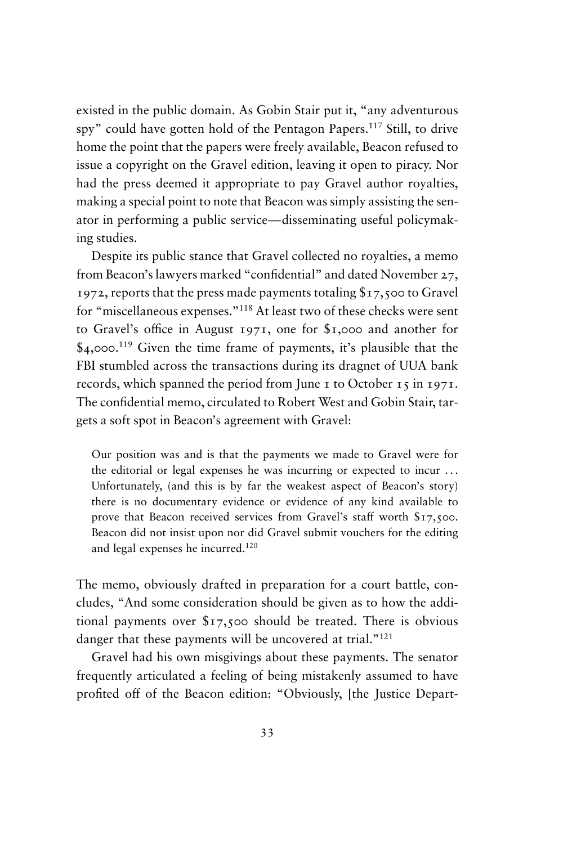existed in the public domain. As Gobin Stair put it, "any adventurous spy" could have gotten hold of the Pentagon Papers.<sup>117</sup> Still, to drive home the point that the papers were freely available, Beacon refused to issue a copyright on the Gravel edition, leaving it open to piracy. Nor had the press deemed it appropriate to pay Gravel author royalties, making a special point to note that Beacon was simply assisting the senator in performing a public service—disseminating useful policymaking studies.

Despite its public stance that Gravel collected no royalties, a memo from Beacon's lawyers marked "confidential" and dated November 27, 1972, reports that the press made payments totaling \$17,500 to Gravel for "miscellaneous expenses."<sup>118</sup> At least two of these checks were sent to Gravel's office in August 1971, one for \$1,000 and another for \$4,000.<sup>119</sup> Given the time frame of payments, it's plausible that the FBI stumbled across the transactions during its dragnet of UUA bank records, which spanned the period from June 1 to October 15 in 1971. The confidential memo, circulated to Robert West and Gobin Stair, targets a soft spot in Beacon's agreement with Gravel:

Our position was and is that the payments we made to Gravel were for the editorial or legal expenses he was incurring or expected to incur . . . Unfortunately, (and this is by far the weakest aspect of Beacon's story) there is no documentary evidence or evidence of any kind available to prove that Beacon received services from Gravel's staff worth \$17,500. Beacon did not insist upon nor did Gravel submit vouchers for the editing and legal expenses he incurred.<sup>120</sup>

The memo, obviously drafted in preparation for a court battle, concludes, "And some consideration should be given as to how the additional payments over \$17,500 should be treated. There is obvious danger that these payments will be uncovered at trial."<sup>121</sup>

Gravel had his own misgivings about these payments. The senator frequently articulated a feeling of being mistakenly assumed to have profited off of the Beacon edition: "Obviously, [the Justice Depart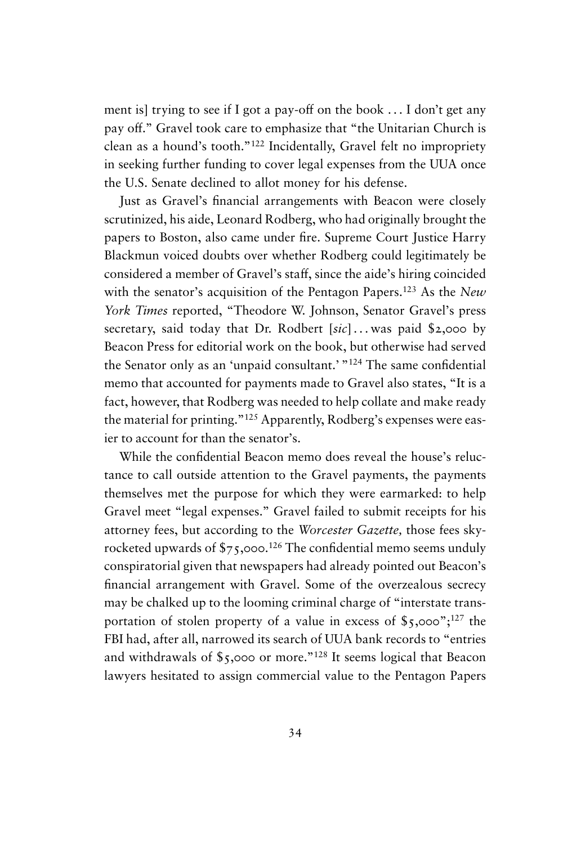ment is] trying to see if I got a pay-off on the book . . . I don't get any pay off." Gravel took care to emphasize that "the Unitarian Church is clean as a hound's tooth."<sup>122</sup> Incidentally, Gravel felt no impropriety in seeking further funding to cover legal expenses from the UUA once the U.S. Senate declined to allot money for his defense.

Just as Gravel's financial arrangements with Beacon were closely scrutinized, his aide, Leonard Rodberg, who had originally brought the papers to Boston, also came under fire. Supreme Court Justice Harry Blackmun voiced doubts over whether Rodberg could legitimately be considered a member of Gravel's staff, since the aide's hiring coincided with the senator's acquisition of the Pentagon Papers.<sup>123</sup> As the *New York Times* reported, "Theodore W. Johnson, Senator Gravel's press secretary, said today that Dr. Rodbert [sic]...was paid \$2,000 by Beacon Press for editorial work on the book, but otherwise had served the Senator only as an 'unpaid consultant.' "<sup>124</sup> The same confidential memo that accounted for payments made to Gravel also states, "It is a fact, however, that Rodberg was needed to help collate and make ready the material for printing."<sup>125</sup> Apparently, Rodberg's expenses were easier to account for than the senator's.

While the confidential Beacon memo does reveal the house's reluctance to call outside attention to the Gravel payments, the payments themselves met the purpose for which they were earmarked: to help Gravel meet "legal expenses." Gravel failed to submit receipts for his attorney fees, but according to the *Worcester Gazette,* those fees skyrocketed upwards of \$75,000.<sup>126</sup> The confidential memo seems unduly conspiratorial given that newspapers had already pointed out Beacon's financial arrangement with Gravel. Some of the overzealous secrecy may be chalked up to the looming criminal charge of "interstate transportation of stolen property of a value in excess of  $\frac{127}{127}$  the FBI had, after all, narrowed its search of UUA bank records to "entries and withdrawals of \$5,000 or more."<sup>128</sup> It seems logical that Beacon lawyers hesitated to assign commercial value to the Pentagon Papers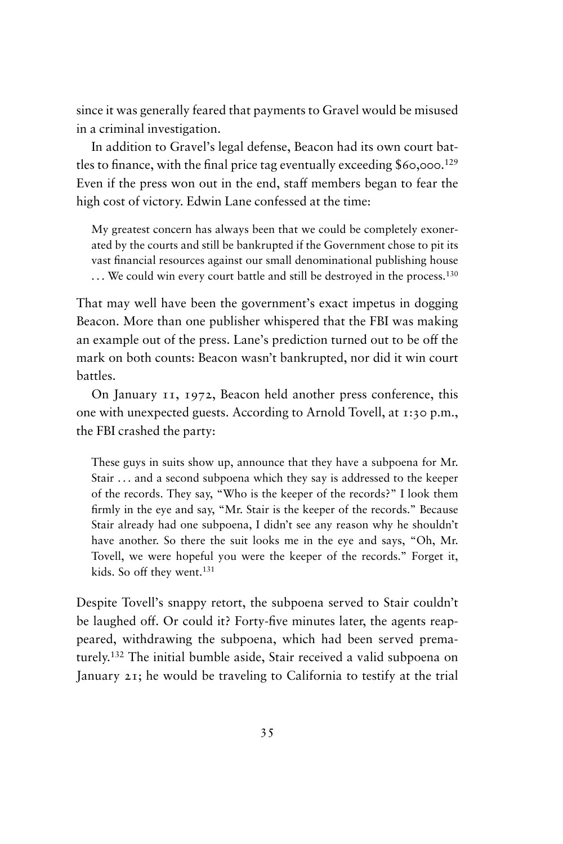since it was generally feared that payments to Gravel would be misused in a criminal investigation.

In addition to Gravel's legal defense, Beacon had its own court battles to finance, with the final price tag eventually exceeding  $$60,000$ .<sup>129</sup> Even if the press won out in the end, staff members began to fear the high cost of victory. Edwin Lane confessed at the time:

My greatest concern has always been that we could be completely exonerated by the courts and still be bankrupted if the Government chose to pit its vast financial resources against our small denominational publishing house ... We could win every court battle and still be destroyed in the process.<sup>130</sup>

That may well have been the government's exact impetus in dogging Beacon. More than one publisher whispered that the FBI was making an example out of the press. Lane's prediction turned out to be off the mark on both counts: Beacon wasn't bankrupted, nor did it win court battles.

On January 11, 1972, Beacon held another press conference, this one with unexpected guests. According to Arnold Tovell, at 1:30 p.m., the FBI crashed the party:

These guys in suits show up, announce that they have a subpoena for Mr. Stair ... and a second subpoena which they say is addressed to the keeper of the records. They say, "Who is the keeper of the records?" I look them firmly in the eye and say, "Mr. Stair is the keeper of the records." Because Stair already had one subpoena, I didn't see any reason why he shouldn't have another. So there the suit looks me in the eye and says, "Oh, Mr. Tovell, we were hopeful you were the keeper of the records." Forget it, kids. So off they went.<sup>131</sup>

Despite Tovell's snappy retort, the subpoena served to Stair couldn't be laughed off. Or could it? Forty-five minutes later, the agents reappeared, withdrawing the subpoena, which had been served prematurely.<sup>132</sup> The initial bumble aside, Stair received a valid subpoena on January 21; he would be traveling to California to testify at the trial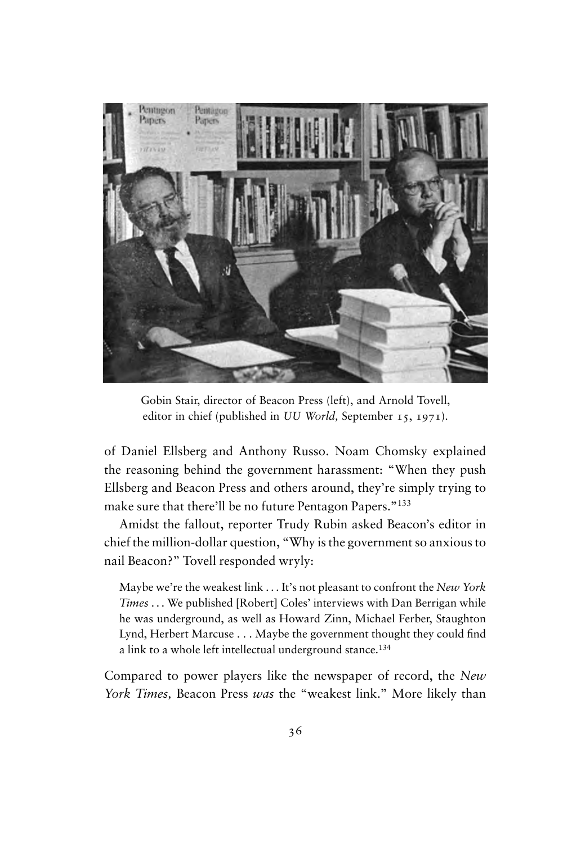

Gobin Stair, director of Beacon Press (left), and Arnold Tovell, editor in chief (published in *UU World,* September 15, 1971).

of Daniel Ellsberg and Anthony Russo. Noam Chomsky explained the reasoning behind the government harassment: "When they push Ellsberg and Beacon Press and others around, they're simply trying to make sure that there'll be no future Pentagon Papers."<sup>133</sup>

Amidst the fallout, reporter Trudy Rubin asked Beacon's editor in chief the million-dollar question, "Why is the government so anxious to nail Beacon?" Tovell responded wryly:

Maybe we're the weakest link . . . It's not pleasant to confront the *New York Times* . . . We published [Robert] Coles' interviews with Dan Berrigan while he was underground, as well as Howard Zinn, Michael Ferber, Staughton Lynd, Herbert Marcuse . . . Maybe the government thought they could find a link to a whole left intellectual underground stance.<sup>134</sup>

Compared to power players like the newspaper of record, the *New York Times,* Beacon Press *was* the "weakest link." More likely than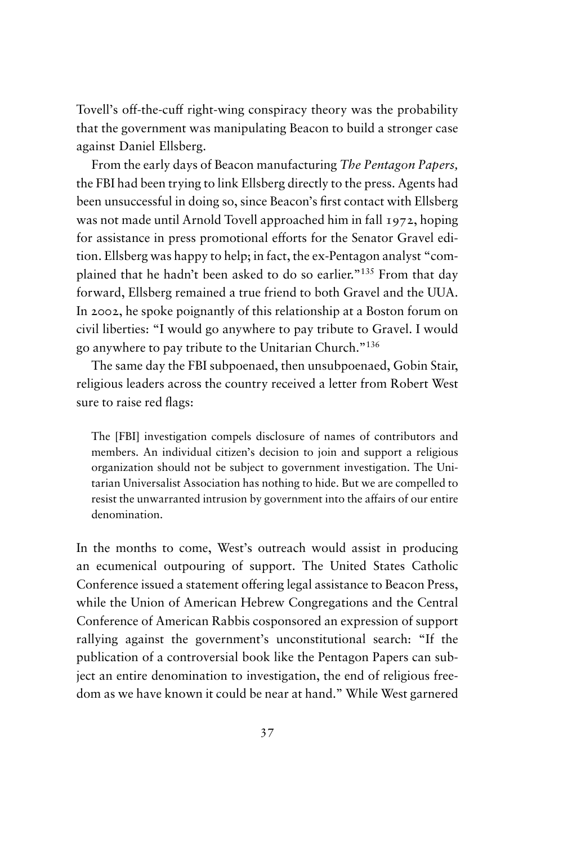Tovell's off-the-cuff right-wing conspiracy theory was the probability that the government was manipulating Beacon to build a stronger case against Daniel Ellsberg.

From the early days of Beacon manufacturing *The Pentagon Papers,* the FBI had been trying to link Ellsberg directly to the press. Agents had been unsuccessful in doing so, since Beacon's first contact with Ellsberg was not made until Arnold Tovell approached him in fall 1972, hoping for assistance in press promotional efforts for the Senator Gravel edition. Ellsberg was happy to help; in fact, the ex-Pentagon analyst "complained that he hadn't been asked to do so earlier."<sup>135</sup> From that day forward, Ellsberg remained a true friend to both Gravel and the UUA. In 2002, he spoke poignantly of this relationship at a Boston forum on civil liberties: "I would go anywhere to pay tribute to Gravel. I would go anywhere to pay tribute to the Unitarian Church."<sup>136</sup>

The same day the FBI subpoenaed, then unsubpoenaed, Gobin Stair, religious leaders across the country received a letter from Robert West sure to raise red flags:

The [FBI] investigation compels disclosure of names of contributors and members. An individual citizen's decision to join and support a religious organization should not be subject to government investigation. The Unitarian Universalist Association has nothing to hide. But we are compelled to resist the unwarranted intrusion by government into the affairs of our entire denomination.

In the months to come, West's outreach would assist in producing an ecumenical outpouring of support. The United States Catholic Conference issued a statement offering legal assistance to Beacon Press, while the Union of American Hebrew Congregations and the Central Conference of American Rabbis cosponsored an expression of support rallying against the government's unconstitutional search: "If the publication of a controversial book like the Pentagon Papers can subject an entire denomination to investigation, the end of religious freedom as we have known it could be near at hand." While West garnered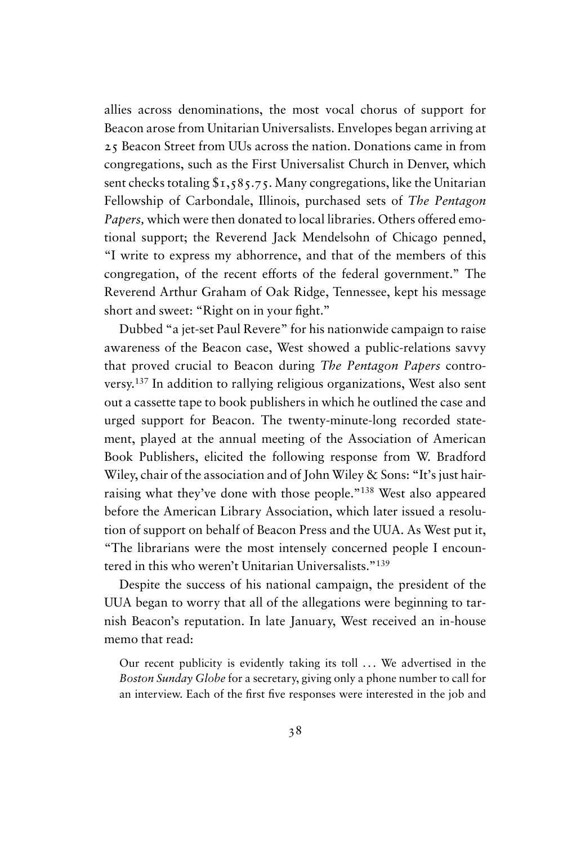allies across denominations, the most vocal chorus of support for Beacon arose from Unitarian Universalists. Envelopes began arriving at 25 Beacon Street from UUs across the nation. Donations came in from congregations, such as the First Universalist Church in Denver, which sent checks totaling  $\frac{1}{2}$ ,  $\frac{1}{5}$ ,  $\frac{1}{5}$ ,  $\frac{1}{5}$ , Many congregations, like the Unitarian Fellowship of Carbondale, Illinois, purchased sets of *The Pentagon Papers,* which were then donated to local libraries. Others offered emotional support; the Reverend Jack Mendelsohn of Chicago penned, "I write to express my abhorrence, and that of the members of this congregation, of the recent efforts of the federal government." The Reverend Arthur Graham of Oak Ridge, Tennessee, kept his message short and sweet: "Right on in your fight."

Dubbed "a jet-set Paul Revere" for his nationwide campaign to raise awareness of the Beacon case, West showed a public-relations savvy that proved crucial to Beacon during *The Pentagon Papers* controversy.<sup>137</sup> In addition to rallying religious organizations, West also sent out a cassette tape to book publishers in which he outlined the case and urged support for Beacon. The twenty-minute-long recorded statement, played at the annual meeting of the Association of American Book Publishers, elicited the following response from W. Bradford Wiley, chair of the association and of John Wiley & Sons: "It's just hairraising what they've done with those people."<sup>138</sup> West also appeared before the American Library Association, which later issued a resolution of support on behalf of Beacon Press and the UUA. As West put it, "The librarians were the most intensely concerned people I encountered in this who weren't Unitarian Universalists."<sup>139</sup>

Despite the success of his national campaign, the president of the UUA began to worry that all of the allegations were beginning to tarnish Beacon's reputation. In late January, West received an in-house memo that read:

Our recent publicity is evidently taking its toll ... We advertised in the *Boston Sunday Globe* for a secretary, giving only a phone number to call for an interview. Each of the first five responses were interested in the job and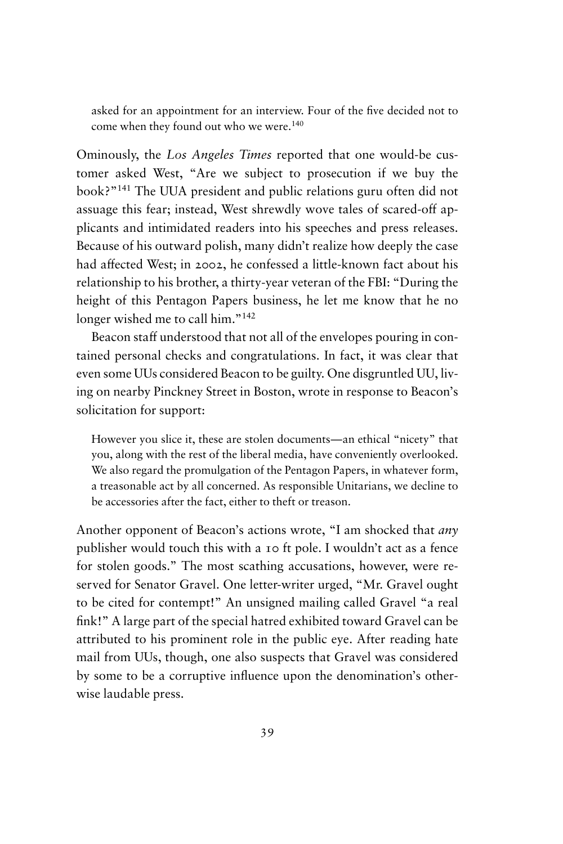asked for an appointment for an interview. Four of the five decided not to come when they found out who we were.<sup>140</sup>

Ominously, the *Los Angeles Times* reported that one would-be customer asked West, "Are we subject to prosecution if we buy the book?"<sup>141</sup> The UUA president and public relations guru often did not assuage this fear; instead, West shrewdly wove tales of scared-off applicants and intimidated readers into his speeches and press releases. Because of his outward polish, many didn't realize how deeply the case had affected West; in 2002, he confessed a little-known fact about his relationship to his brother, a thirty-year veteran of the FBI: "During the height of this Pentagon Papers business, he let me know that he no longer wished me to call him."<sup>142</sup>

Beacon staff understood that not all of the envelopes pouring in contained personal checks and congratulations. In fact, it was clear that even some UUs considered Beacon to be guilty. One disgruntled UU, living on nearby Pinckney Street in Boston, wrote in response to Beacon's solicitation for support:

However you slice it, these are stolen documents—an ethical "nicety" that you, along with the rest of the liberal media, have conveniently overlooked. We also regard the promulgation of the Pentagon Papers, in whatever form, a treasonable act by all concerned. As responsible Unitarians, we decline to be accessories after the fact, either to theft or treason.

Another opponent of Beacon's actions wrote, "I am shocked that *any* publisher would touch this with a 10 ft pole. I wouldn't act as a fence for stolen goods." The most scathing accusations, however, were reserved for Senator Gravel. One letter-writer urged, "Mr. Gravel ought to be cited for contempt!" An unsigned mailing called Gravel "a real fink!" A large part of the special hatred exhibited toward Gravel can be attributed to his prominent role in the public eye. After reading hate mail from UUs, though, one also suspects that Gravel was considered by some to be a corruptive influence upon the denomination's otherwise laudable press.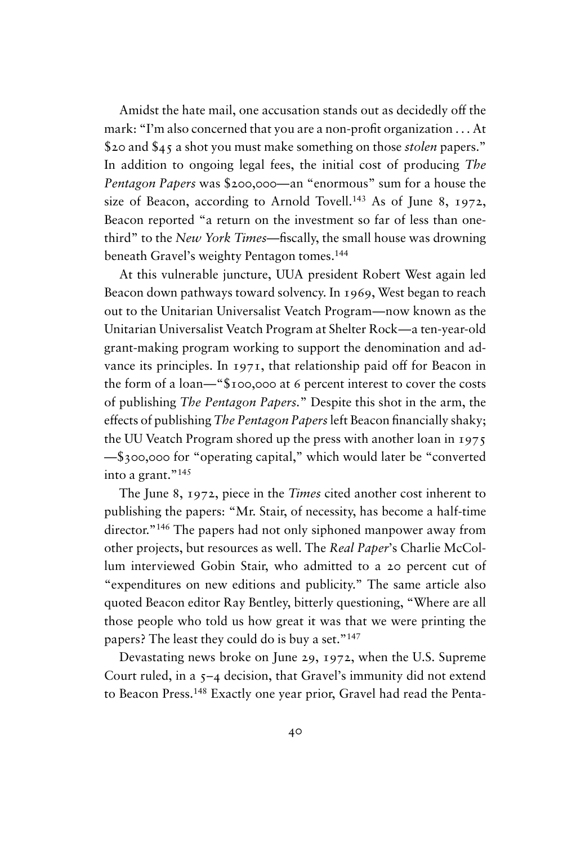Amidst the hate mail, one accusation stands out as decidedly off the mark: "I'm also concerned that you are a non-profit organization . . . At \$20 and \$45 a shot you must make something on those *stolen* papers." In addition to ongoing legal fees, the initial cost of producing *The Pentagon Papers* was \$200,000—an "enormous" sum for a house the size of Beacon, according to Arnold Tovell.<sup>143</sup> As of June 8, 1972, Beacon reported "a return on the investment so far of less than onethird" to the *New York Times*—fiscally, the small house was drowning beneath Gravel's weighty Pentagon tomes.<sup>144</sup>

At this vulnerable juncture, UUA president Robert West again led Beacon down pathways toward solvency. In 1969, West began to reach out to the Unitarian Universalist Veatch Program—now known as the Unitarian Universalist Veatch Program at Shelter Rock—a ten-year-old grant-making program working to support the denomination and advance its principles. In 1971, that relationship paid off for Beacon in the form of a loan—"\$100,000 at 6 percent interest to cover the costs of publishing *The Pentagon Papers.*" Despite this shot in the arm, the effects of publishing *The Pentagon Papers*left Beacon financially shaky; the UU Veatch Program shored up the press with another loan in 1975 —\$300,000 for "operating capital," which would later be "converted into a grant."<sup>145</sup>

The June 8, 1972, piece in the *Times* cited another cost inherent to publishing the papers: "Mr. Stair, of necessity, has become a half-time director."<sup>146</sup> The papers had not only siphoned manpower away from other projects, but resources as well. The *Real Paper*'s Charlie McCollum interviewed Gobin Stair, who admitted to a 20 percent cut of "expenditures on new editions and publicity." The same article also quoted Beacon editor Ray Bentley, bitterly questioning, "Where are all those people who told us how great it was that we were printing the papers? The least they could do is buy a set."<sup>147</sup>

Devastating news broke on June 29, 1972, when the U.S. Supreme Court ruled, in a 5–4 decision, that Gravel's immunity did not extend to Beacon Press.<sup>148</sup> Exactly one year prior, Gravel had read the Penta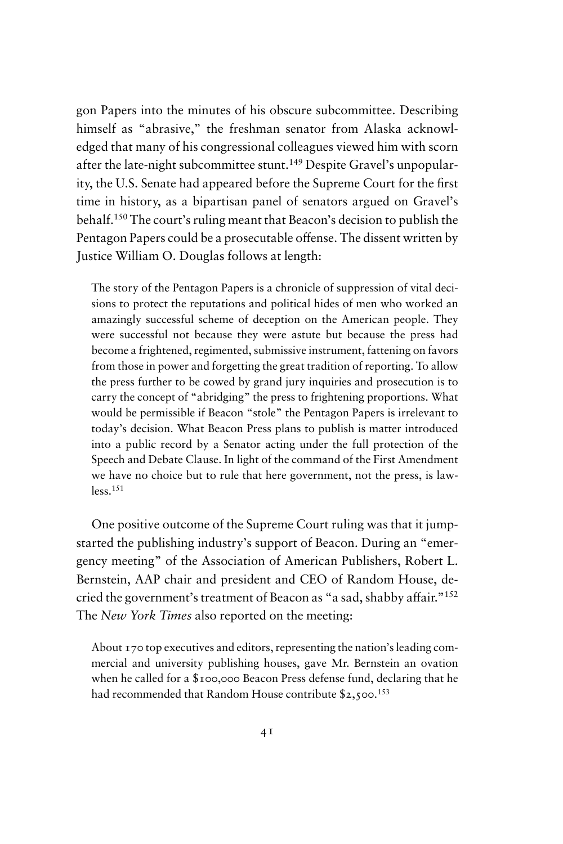gon Papers into the minutes of his obscure subcommittee. Describing himself as "abrasive," the freshman senator from Alaska acknowledged that many of his congressional colleagues viewed him with scorn after the late-night subcommittee stunt.<sup>149</sup> Despite Gravel's unpopularity, the U.S. Senate had appeared before the Supreme Court for the first time in history, as a bipartisan panel of senators argued on Gravel's behalf.<sup>150</sup> The court's ruling meant that Beacon's decision to publish the Pentagon Papers could be a prosecutable offense. The dissent written by Justice William O. Douglas follows at length:

The story of the Pentagon Papers is a chronicle of suppression of vital decisions to protect the reputations and political hides of men who worked an amazingly successful scheme of deception on the American people. They were successful not because they were astute but because the press had become a frightened, regimented, submissive instrument, fattening on favors from those in power and forgetting the great tradition of reporting. To allow the press further to be cowed by grand jury inquiries and prosecution is to carry the concept of "abridging" the press to frightening proportions. What would be permissible if Beacon "stole" the Pentagon Papers is irrelevant to today's decision. What Beacon Press plans to publish is matter introduced into a public record by a Senator acting under the full protection of the Speech and Debate Clause. In light of the command of the First Amendment we have no choice but to rule that here government, not the press, is lawless.<sup>151</sup>

One positive outcome of the Supreme Court ruling was that it jumpstarted the publishing industry's support of Beacon. During an "emergency meeting" of the Association of American Publishers, Robert L. Bernstein, AAP chair and president and CEO of Random House, decried the government's treatment of Beacon as "a sad, shabby affair."<sup>152</sup> The *New York Times* also reported on the meeting:

About 170 top executives and editors, representing the nation's leading commercial and university publishing houses, gave Mr. Bernstein an ovation when he called for a \$100,000 Beacon Press defense fund, declaring that he had recommended that Random House contribute \$2,500.<sup>153</sup>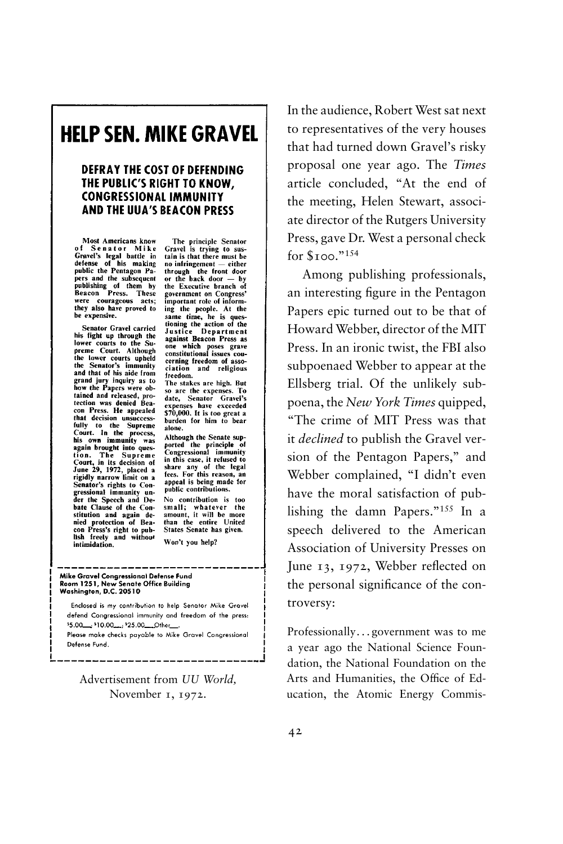# **HELP SEN. MIKE GRAVEL**

#### **DEFRAY THE COST OF DEFENDING** THE PUBLIC'S RIGHT TO KNOW. **CONGRESSIONAL IMMUNITY AND THE UUA'S BEACON PRESS**

Most Americans know<br>of Se na to r Mike<br>Greed's legal battle in<br>defense of his making<br>public the Pentagon Pa-<br>publishing of them by<br>Beacon Press. These<br>West our georageous acts;<br>were courageous acts;<br>they also have proved t they also have proved to be expensive.

Senator Gravel carried his fight up through the<br>lower courts to the Supreme Court. Although<br>the lower courts upheld the Senator's immunity and that of his aide from grand jury inquiry as to<br>how the Papers were obtained and released, protection was denied Bea-<br>con Press. He appealed con Press. He appealed<br>that decision unsucces-<br>fully to the Supreme<br>court. In the process,<br>his own immunity was<br>again brought into ques-<br>Court, in its decision of<br>June 29, 1972, placed a<br>secont, in its decision of<br>trieidly Signally narrow limit on a<br>regidly narrow limit on a<br>Senator's rights to Con-<br>gressional immunity un-<br>der the Speech and Deoer the Speech and De-<br>bate Clause of the Con-<br>stitution and again de-<br>nied protection of Bea-<br>con Press's right to pub-<br>lish freely and without intimidation.

The principle Senator<br>Gravel is trying to sus-<br>tain is that there must be no infringement - either through the front door<br>or the back door — by the Executive branch of government on Congress'<br>important role of informing the people. At the same time, he is ques-<br>same time, he is ques-<br>tioning the action of the<br>against Beacon Press as<br>one which poses grave<br>constitutional issues coucerning freedom of asso-<br>ciation and religious freedom.

The stakes are high. But so are the expenses. To date, Senator Gravel's expenses have exceeded<br>\$70,000. It is too great a burden for him to bear alone.

Although the Senate supported the principle of<br>Congressional immunity our season is more than the case, it refused to<br>share any of the legal<br>fees. For this reason, an<br>appeal is being made for public contributions.

No contribution is too small; whatever the<br>amount, it will be more than the entire United States Senate has given. Won't you help?

#### Mike Gravel Congressional Defense Fund Room 1251, New Senate Office Building<br>Washington, D.C. 20510

Enclosed is my contribution to help Senator Mike Gravel defend Congressional immunity and freedom of the press: \$5.00 ... 10.00 ...; \$25.00 Other Please make checks payable to Mike Gravel Congressional Defense Fund.

Advertisement from *UU World,* November 1, 1972.

In the audience, Robert West sat next to representatives of the very houses that had turned down Gravel's risky proposal one year ago. The *Times* article concluded, "At the end of the meeting, Helen Stewart, associate director of the Rutgers University Press, gave Dr. West a personal check for \$100."<sup>154</sup>

Among publishing professionals, an interesting figure in the Pentagon Papers epic turned out to be that of Howard Webber, director of the MIT Press. In an ironic twist, the FBI also subpoenaed Webber to appear at the Ellsberg trial. Of the unlikely subpoena, the *New York Times* quipped, "The crime of MIT Press was that it *declined* to publish the Gravel version of the Pentagon Papers," and Webber complained, "I didn't even have the moral satisfaction of publishing the damn Papers."<sup>155</sup> In a speech delivered to the American Association of University Presses on June 13, 1972, Webber reflected on the personal significance of the controversy:

Professionally. . . government was to me a year ago the National Science Foundation, the National Foundation on the Arts and Humanities, the Office of Education, the Atomic Energy Commis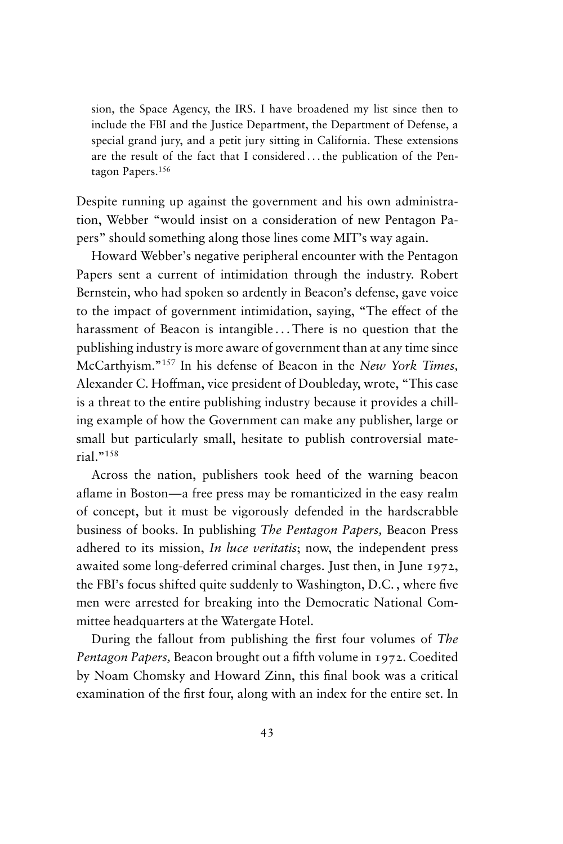sion, the Space Agency, the IRS. I have broadened my list since then to include the FBI and the Justice Department, the Department of Defense, a special grand jury, and a petit jury sitting in California. These extensions are the result of the fact that I considered . . . the publication of the Pentagon Papers.<sup>156</sup>

Despite running up against the government and his own administration, Webber "would insist on a consideration of new Pentagon Papers" should something along those lines come MIT's way again.

Howard Webber's negative peripheral encounter with the Pentagon Papers sent a current of intimidation through the industry. Robert Bernstein, who had spoken so ardently in Beacon's defense, gave voice to the impact of government intimidation, saying, "The effect of the harassment of Beacon is intangible... There is no question that the publishing industry is more aware of government than at any time since McCarthyism."<sup>157</sup> In his defense of Beacon in the *New York Times,* Alexander C. Hoffman, vice president of Doubleday, wrote, "This case is a threat to the entire publishing industry because it provides a chilling example of how the Government can make any publisher, large or small but particularly small, hesitate to publish controversial material."<sup>158</sup>

Across the nation, publishers took heed of the warning beacon aflame in Boston—a free press may be romanticized in the easy realm of concept, but it must be vigorously defended in the hardscrabble business of books. In publishing *The Pentagon Papers,* Beacon Press adhered to its mission, *In luce veritatis*; now, the independent press awaited some long-deferred criminal charges. Just then, in June 1972, the FBI's focus shifted quite suddenly to Washington, D.C. , where five men were arrested for breaking into the Democratic National Committee headquarters at the Watergate Hotel.

During the fallout from publishing the first four volumes of *The Pentagon Papers,* Beacon brought out a fifth volume in 1972. Coedited by Noam Chomsky and Howard Zinn, this final book was a critical examination of the first four, along with an index for the entire set. In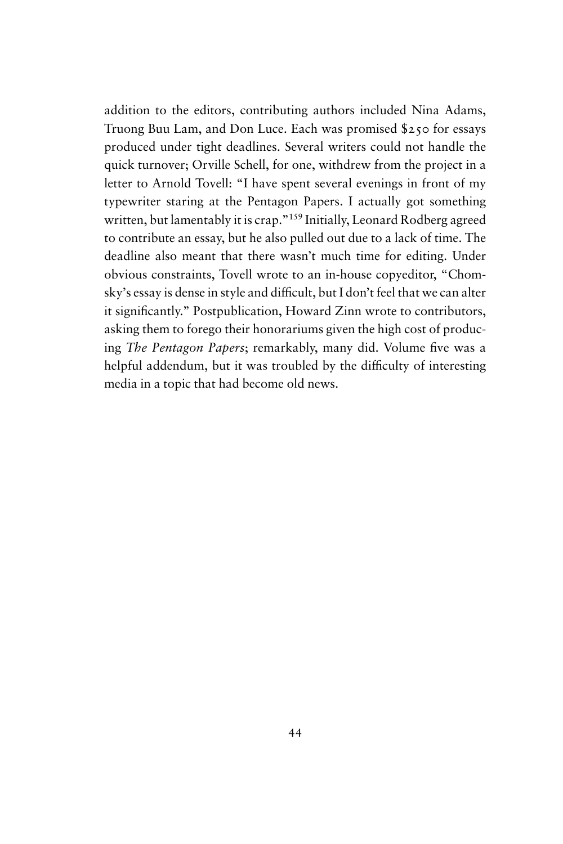addition to the editors, contributing authors included Nina Adams, Truong Buu Lam, and Don Luce. Each was promised \$250 for essays produced under tight deadlines. Several writers could not handle the quick turnover; Orville Schell, for one, withdrew from the project in a letter to Arnold Tovell: "I have spent several evenings in front of my typewriter staring at the Pentagon Papers. I actually got something written, but lamentably it is crap."<sup>159</sup> Initially, Leonard Rodberg agreed to contribute an essay, but he also pulled out due to a lack of time. The deadline also meant that there wasn't much time for editing. Under obvious constraints, Tovell wrote to an in-house copyeditor, "Chomsky's essay is dense in style and difficult, but I don't feel that we can alter it significantly." Postpublication, Howard Zinn wrote to contributors, asking them to forego their honorariums given the high cost of producing *The Pentagon Papers*; remarkably, many did. Volume five was a helpful addendum, but it was troubled by the difficulty of interesting media in a topic that had become old news.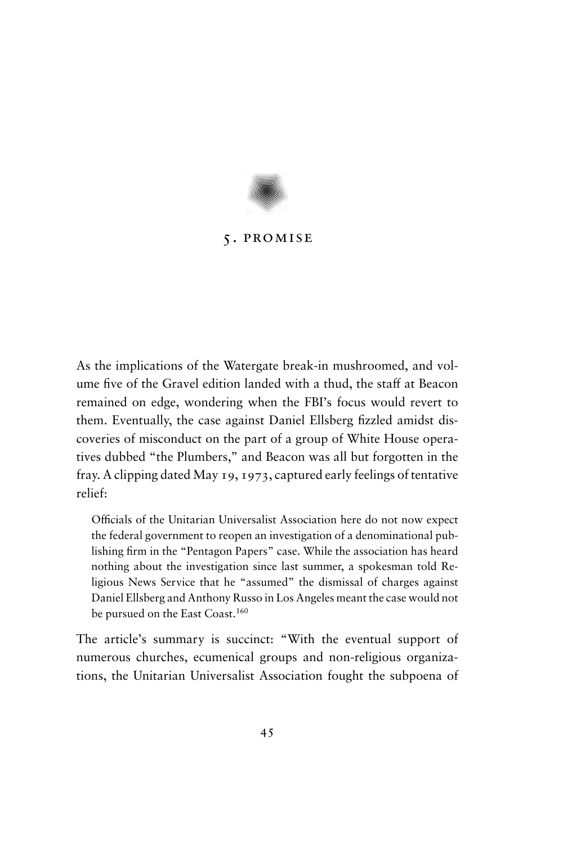

# 5. promise

As the implications of the Watergate break-in mushroomed, and volume five of the Gravel edition landed with a thud, the staff at Beacon remained on edge, wondering when the FBI's focus would revert to them. Eventually, the case against Daniel Ellsberg fizzled amidst discoveries of misconduct on the part of a group of White House operatives dubbed "the Plumbers," and Beacon was all but forgotten in the fray. A clipping dated May 19, 1973, captured early feelings of tentative relief:

Officials of the Unitarian Universalist Association here do not now expect the federal government to reopen an investigation of a denominational publishing firm in the "Pentagon Papers" case. While the association has heard nothing about the investigation since last summer, a spokesman told Religious News Service that he "assumed" the dismissal of charges against Daniel Ellsberg and Anthony Russo in Los Angeles meant the case would not be pursued on the East Coast.<sup>160</sup>

The article's summary is succinct: "With the eventual support of numerous churches, ecumenical groups and non-religious organizations, the Unitarian Universalist Association fought the subpoena of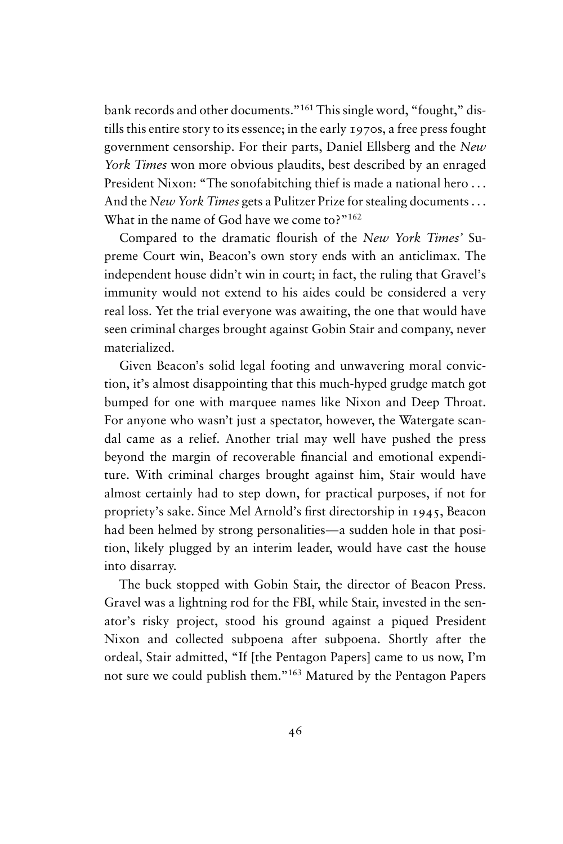bank records and other documents."<sup>161</sup> This single word, "fought," distills this entire story to its essence; in the early 1970s, a free press fought government censorship. For their parts, Daniel Ellsberg and the *New York Times* won more obvious plaudits, best described by an enraged President Nixon: "The sonofabitching thief is made a national hero . . . And the *New York Times* gets a Pulitzer Prize for stealing documents . . . What in the name of God have we come to?"<sup>162</sup>

Compared to the dramatic flourish of the *New York Times'* Supreme Court win, Beacon's own story ends with an anticlimax. The independent house didn't win in court; in fact, the ruling that Gravel's immunity would not extend to his aides could be considered a very real loss. Yet the trial everyone was awaiting, the one that would have seen criminal charges brought against Gobin Stair and company, never materialized.

Given Beacon's solid legal footing and unwavering moral conviction, it's almost disappointing that this much-hyped grudge match got bumped for one with marquee names like Nixon and Deep Throat. For anyone who wasn't just a spectator, however, the Watergate scandal came as a relief. Another trial may well have pushed the press beyond the margin of recoverable financial and emotional expenditure. With criminal charges brought against him, Stair would have almost certainly had to step down, for practical purposes, if not for propriety's sake. Since Mel Arnold's first directorship in 1945, Beacon had been helmed by strong personalities—a sudden hole in that position, likely plugged by an interim leader, would have cast the house into disarray.

The buck stopped with Gobin Stair, the director of Beacon Press. Gravel was a lightning rod for the FBI, while Stair, invested in the senator's risky project, stood his ground against a piqued President Nixon and collected subpoena after subpoena. Shortly after the ordeal, Stair admitted, "If [the Pentagon Papers] came to us now, I'm not sure we could publish them."<sup>163</sup> Matured by the Pentagon Papers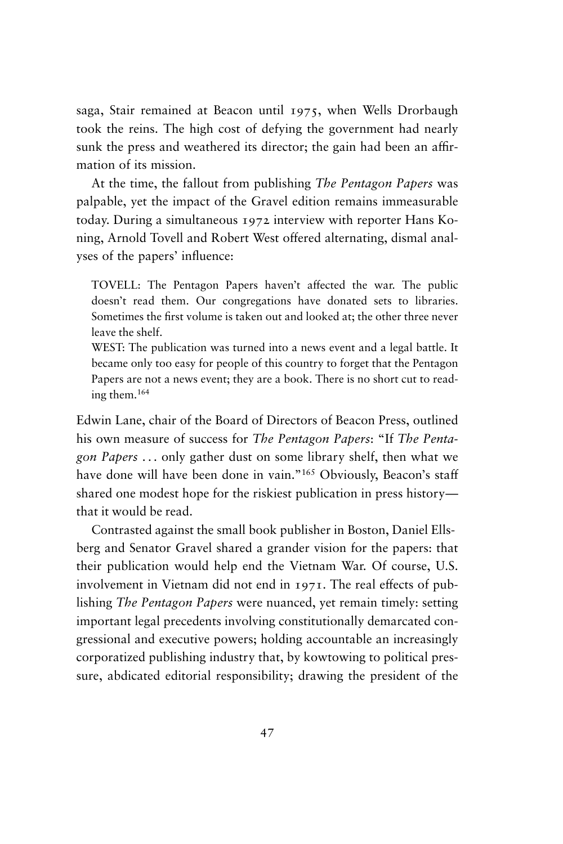saga, Stair remained at Beacon until 1975, when Wells Drorbaugh took the reins. The high cost of defying the government had nearly sunk the press and weathered its director; the gain had been an affirmation of its mission.

At the time, the fallout from publishing *The Pentagon Papers* was palpable, yet the impact of the Gravel edition remains immeasurable today. During a simultaneous 1972 interview with reporter Hans Koning, Arnold Tovell and Robert West offered alternating, dismal analyses of the papers' influence:

TOVELL: The Pentagon Papers haven't affected the war. The public doesn't read them. Our congregations have donated sets to libraries. Sometimes the first volume is taken out and looked at; the other three never leave the shelf.

WEST: The publication was turned into a news event and a legal battle. It became only too easy for people of this country to forget that the Pentagon Papers are not a news event; they are a book. There is no short cut to reading them.<sup>164</sup>

Edwin Lane, chair of the Board of Directors of Beacon Press, outlined his own measure of success for *The Pentagon Papers*: "If *The Pentagon Papers* . . . only gather dust on some library shelf, then what we have done will have been done in vain."<sup>165</sup> Obviously, Beacon's staff shared one modest hope for the riskiest publication in press history that it would be read.

Contrasted against the small book publisher in Boston, Daniel Ellsberg and Senator Gravel shared a grander vision for the papers: that their publication would help end the Vietnam War. Of course, U.S. involvement in Vietnam did not end in 1971. The real effects of publishing *The Pentagon Papers* were nuanced, yet remain timely: setting important legal precedents involving constitutionally demarcated congressional and executive powers; holding accountable an increasingly corporatized publishing industry that, by kowtowing to political pressure, abdicated editorial responsibility; drawing the president of the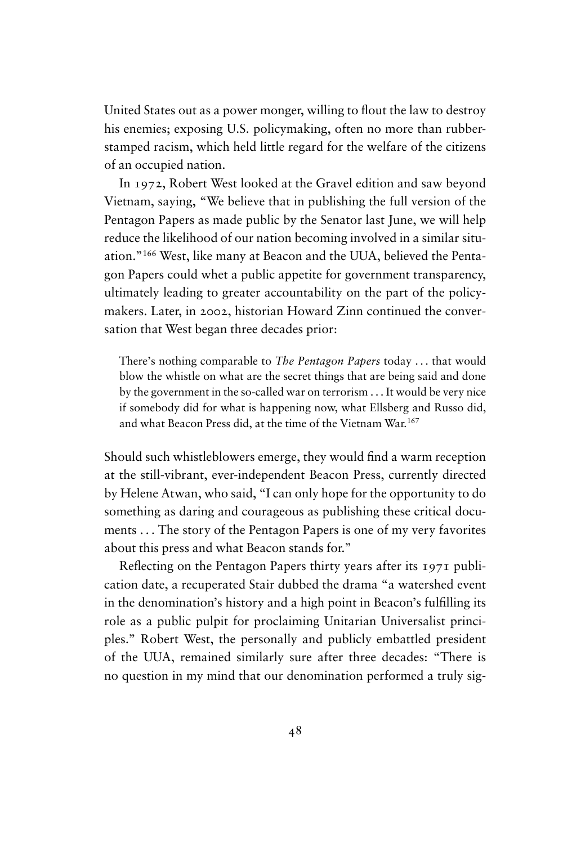United States out as a power monger, willing to flout the law to destroy his enemies; exposing U.S. policymaking, often no more than rubberstamped racism, which held little regard for the welfare of the citizens of an occupied nation.

In 1972, Robert West looked at the Gravel edition and saw beyond Vietnam, saying, "We believe that in publishing the full version of the Pentagon Papers as made public by the Senator last June, we will help reduce the likelihood of our nation becoming involved in a similar situation."<sup>166</sup> West, like many at Beacon and the UUA, believed the Pentagon Papers could whet a public appetite for government transparency, ultimately leading to greater accountability on the part of the policymakers. Later, in 2002, historian Howard Zinn continued the conversation that West began three decades prior:

There's nothing comparable to *The Pentagon Papers* today . . . that would blow the whistle on what are the secret things that are being said and done by the government in the so-called war on terrorism . . . It would be very nice if somebody did for what is happening now, what Ellsberg and Russo did, and what Beacon Press did, at the time of the Vietnam War.<sup>167</sup>

Should such whistleblowers emerge, they would find a warm reception at the still-vibrant, ever-independent Beacon Press, currently directed by Helene Atwan, who said, "I can only hope for the opportunity to do something as daring and courageous as publishing these critical documents . . . The story of the Pentagon Papers is one of my very favorites about this press and what Beacon stands for."

Reflecting on the Pentagon Papers thirty years after its 1971 publication date, a recuperated Stair dubbed the drama "a watershed event in the denomination's history and a high point in Beacon's fulfilling its role as a public pulpit for proclaiming Unitarian Universalist principles." Robert West, the personally and publicly embattled president of the UUA, remained similarly sure after three decades: "There is no question in my mind that our denomination performed a truly sig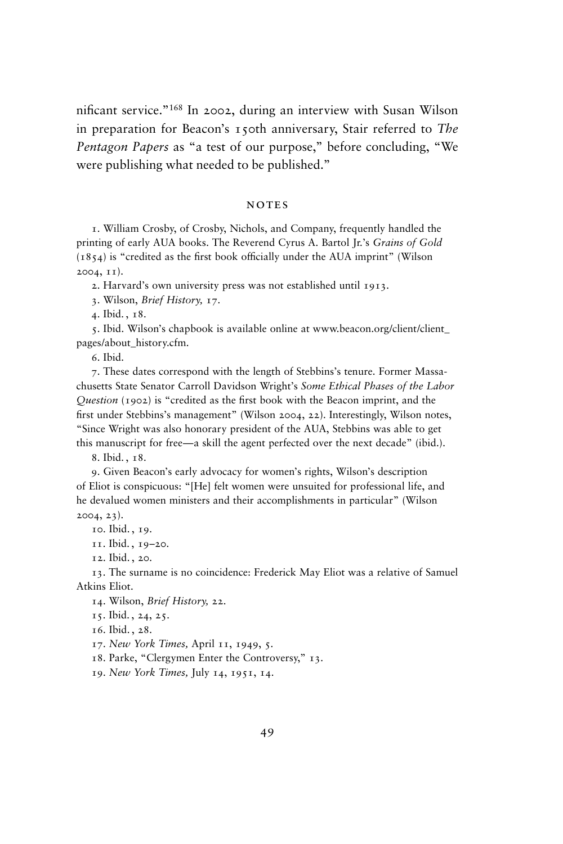nificant service."<sup>168</sup> In 2002, during an interview with Susan Wilson in preparation for Beacon's 150th anniversary, Stair referred to *The Pentagon Papers* as "a test of our purpose," before concluding, "We were publishing what needed to be published."

#### **NOTES**

1. William Crosby, of Crosby, Nichols, and Company, frequently handled the printing of early AUA books. The Reverend Cyrus A. Bartol Jr.'s *Grains of Gold* (1854) is "credited as the first book officially under the AUA imprint" (Wilson 2004, 11).

2. Harvard's own university press was not established until 1913.

3. Wilson, *Brief History,* 17.

4. Ibid. , 18.

5. Ibid. Wilson's chapbook is available online at www.beacon.org/client/client\_ pages/about\_history.cfm.

6. Ibid.

7. These dates correspond with the length of Stebbins's tenure. Former Massachusetts State Senator Carroll Davidson Wright's *Some Ethical Phases of the Labor Question* (1902) is "credited as the first book with the Beacon imprint, and the first under Stebbins's management" (Wilson 2004, 22). Interestingly, Wilson notes, "Since Wright was also honorary president of the AUA, Stebbins was able to get this manuscript for free—a skill the agent perfected over the next decade" (ibid.).

8. Ibid. , 18.

9. Given Beacon's early advocacy for women's rights, Wilson's description of Eliot is conspicuous: "[He] felt women were unsuited for professional life, and he devalued women ministers and their accomplishments in particular" (Wilson 2004, 23).

10. Ibid. , 19.

11. Ibid. , 19–20.

12. Ibid. , 20.

13. The surname is no coincidence: Frederick May Eliot was a relative of Samuel Atkins Eliot.

14. Wilson, *Brief History,* 22.

15. Ibid. , 24, 25.

16. Ibid. , 28.

17. *New York Times,* April 11, 1949, 5.

18. Parke, "Clergymen Enter the Controversy," 13.

19. *New York Times,* July 14, 1951, 14.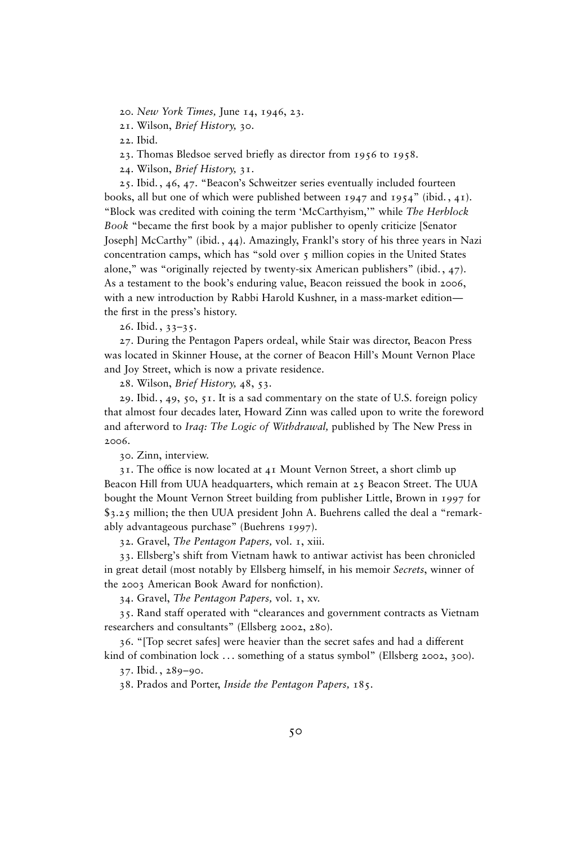20. *New York Times,* June 14, 1946, 23*.*

21. Wilson, *Brief History,* 30.

22. Ibid.

23. Thomas Bledsoe served briefly as director from 1956 to 1958.

24. Wilson, *Brief History,* 31.

25. Ibid. , 46, 47. "Beacon's Schweitzer series eventually included fourteen books, all but one of which were published between 1947 and 1954" (ibid. , 41). "Block was credited with coining the term 'McCarthyism,'" while *The Herblock Book* "became the first book by a major publisher to openly criticize [Senator Joseph] McCarthy" (ibid. , 44). Amazingly, Frankl's story of his three years in Nazi concentration camps, which has "sold over 5 million copies in the United States alone," was "originally rejected by twenty-six American publishers" (ibid. , 47). As a testament to the book's enduring value, Beacon reissued the book in 2006, with a new introduction by Rabbi Harold Kushner, in a mass-market edition the first in the press's history.

26. Ibid. , 33–35.

27. During the Pentagon Papers ordeal, while Stair was director, Beacon Press was located in Skinner House, at the corner of Beacon Hill's Mount Vernon Place and Joy Street, which is now a private residence.

28. Wilson, *Brief History,* 48, 53.

29. Ibid., 49, 50, 51. It is a sad commentary on the state of U.S. foreign policy that almost four decades later, Howard Zinn was called upon to write the foreword and afterword to *Iraq: The Logic of Withdrawal,* published by The New Press in 2006.

30. Zinn, interview.

31. The office is now located at 41 Mount Vernon Street, a short climb up Beacon Hill from UUA headquarters, which remain at 25 Beacon Street. The UUA bought the Mount Vernon Street building from publisher Little, Brown in 1997 for \$3.25 million; the then UUA president John A. Buehrens called the deal a "remarkably advantageous purchase" (Buehrens 1997).

32. Gravel, *The Pentagon Papers,* vol. 1, xiii.

33. Ellsberg's shift from Vietnam hawk to antiwar activist has been chronicled in great detail (most notably by Ellsberg himself, in his memoir *Secrets*, winner of the 2003 American Book Award for nonfiction).

34. Gravel, *The Pentagon Papers,* vol. 1, xv.

35. Rand staff operated with "clearances and government contracts as Vietnam researchers and consultants" (Ellsberg 2002, 280).

36. "[Top secret safes] were heavier than the secret safes and had a different kind of combination lock ... something of a status symbol" (Ellsberg 2002, 300).

37. Ibid. , 289–90.

38. Prados and Porter, *Inside the Pentagon Papers,* 185.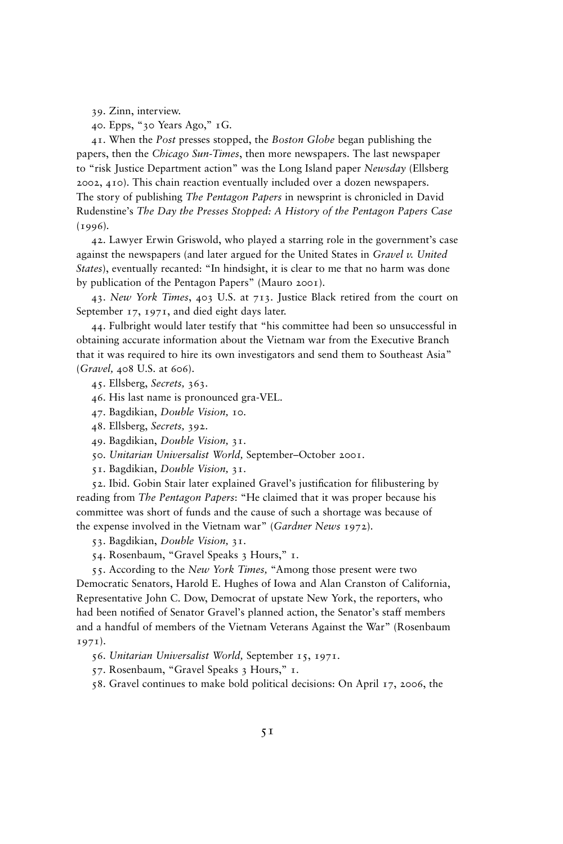39. Zinn, interview.

40. Epps, "30 Years Ago," 1G.

41. When the *Post* presses stopped, the *Boston Globe* began publishing the papers, then the *Chicago Sun-Times*, then more newspapers. The last newspaper to "risk Justice Department action" was the Long Island paper *Newsday* (Ellsberg 2002, 410). This chain reaction eventually included over a dozen newspapers. The story of publishing *The Pentagon Papers* in newsprint is chronicled in David Rudenstine's *The Day the Presses Stopped: A History of the Pentagon Papers Case* (1996)*.*

42. Lawyer Erwin Griswold, who played a starring role in the government's case against the newspapers (and later argued for the United States in *Gravel v. United States*), eventually recanted: "In hindsight, it is clear to me that no harm was done by publication of the Pentagon Papers" (Mauro 2001).

43. *New York Times*, 403 U.S. at 713. Justice Black retired from the court on September 17, 1971, and died eight days later.

44. Fulbright would later testify that "his committee had been so unsuccessful in obtaining accurate information about the Vietnam war from the Executive Branch that it was required to hire its own investigators and send them to Southeast Asia" (*Gravel,* 408 U.S. at 606).

45. Ellsberg, *Secrets,* 363.

46. His last name is pronounced gra-VEL.

47. Bagdikian, *Double Vision,* 10.

48. Ellsberg, *Secrets,* 392.

49. Bagdikian, *Double Vision,* 31.

50. *Unitarian Universalist World,* September–October 2001.

51. Bagdikian, *Double Vision,* 31.

52. Ibid. Gobin Stair later explained Gravel's justification for filibustering by reading from *The Pentagon Papers*: "He claimed that it was proper because his committee was short of funds and the cause of such a shortage was because of the expense involved in the Vietnam war" (*Gardner News* 1972).

53. Bagdikian, *Double Vision,* 31.

54. Rosenbaum, "Gravel Speaks 3 Hours," 1.

55. According to the *New York Times,* "Among those present were two Democratic Senators, Harold E. Hughes of Iowa and Alan Cranston of California, Representative John C. Dow, Democrat of upstate New York, the reporters, who had been notified of Senator Gravel's planned action, the Senator's staff members and a handful of members of the Vietnam Veterans Against the War" (Rosenbaum 1971).

56. *Unitarian Universalist World,* September 15, 1971.

57. Rosenbaum, "Gravel Speaks 3 Hours," 1.

58. Gravel continues to make bold political decisions: On April 17, 2006, the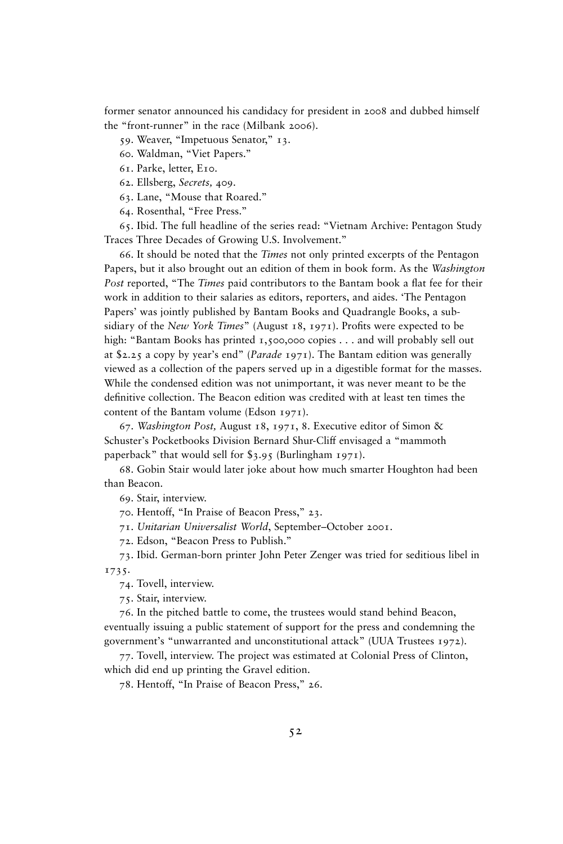former senator announced his candidacy for president in 2008 and dubbed himself the "front-runner" in the race (Milbank 2006).

59. Weaver, "Impetuous Senator," 13.

60. Waldman, "Viet Papers."

61. Parke, letter, E10.

62. Ellsberg, *Secrets,* 409.

63. Lane, "Mouse that Roared."

64. Rosenthal, "Free Press."

65. Ibid. The full headline of the series read: "Vietnam Archive: Pentagon Study Traces Three Decades of Growing U.S. Involvement."

66. It should be noted that the *Times* not only printed excerpts of the Pentagon Papers, but it also brought out an edition of them in book form. As the *Washington Post* reported, "The *Times* paid contributors to the Bantam book a flat fee for their work in addition to their salaries as editors, reporters, and aides. 'The Pentagon Papers' was jointly published by Bantam Books and Quadrangle Books, a subsidiary of the *New York Times*" (August 18, 1971). Profits were expected to be high: "Bantam Books has printed 1,500,000 copies . . . and will probably sell out at \$2.25 a copy by year's end" (*Parade* 1971). The Bantam edition was generally viewed as a collection of the papers served up in a digestible format for the masses. While the condensed edition was not unimportant, it was never meant to be the definitive collection. The Beacon edition was credited with at least ten times the content of the Bantam volume (Edson 1971).

67. *Washington Post,* August 18, 1971, 8. Executive editor of Simon & Schuster's Pocketbooks Division Bernard Shur-Cliff envisaged a "mammoth paperback" that would sell for \$3.95 (Burlingham 1971).

68. Gobin Stair would later joke about how much smarter Houghton had been than Beacon.

69. Stair, interview.

70. Hentoff, "In Praise of Beacon Press," 23.

71. *Unitarian Universalist World*, September–October 2001.

72. Edson, "Beacon Press to Publish."

73. Ibid. German-born printer John Peter Zenger was tried for seditious libel in 1735.

74. Tovell, interview.

75. Stair, interview.

76. In the pitched battle to come, the trustees would stand behind Beacon, eventually issuing a public statement of support for the press and condemning the government's "unwarranted and unconstitutional attack" (UUA Trustees 1972).

77. Tovell, interview. The project was estimated at Colonial Press of Clinton, which did end up printing the Gravel edition.

78. Hentoff, "In Praise of Beacon Press," 26.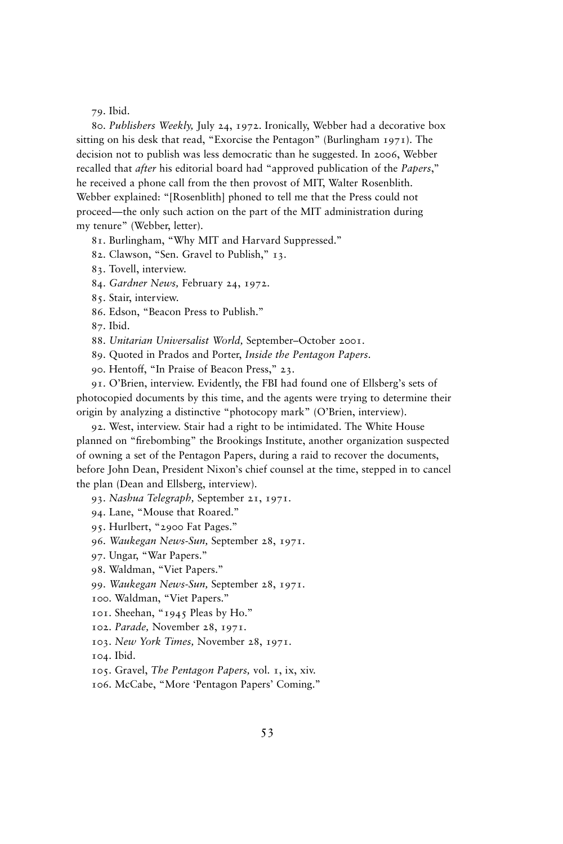79. Ibid.

80. *Publishers Weekly,* July 24, 1972. Ironically, Webber had a decorative box sitting on his desk that read, "Exorcise the Pentagon" (Burlingham 1971). The decision not to publish was less democratic than he suggested. In 2006, Webber recalled that *after* his editorial board had "approved publication of the *Papers*," he received a phone call from the then provost of MIT, Walter Rosenblith. Webber explained: "[Rosenblith] phoned to tell me that the Press could not proceed—the only such action on the part of the MIT administration during my tenure" (Webber, letter).

81. Burlingham, "Why MIT and Harvard Suppressed."

82. Clawson, "Sen. Gravel to Publish," 13.

83. Tovell, interview.

84. *Gardner News,* February 24, 1972.

85. Stair, interview.

86. Edson, "Beacon Press to Publish."

87. Ibid.

88. *Unitarian Universalist World,* September–October 2001.

89. Quoted in Prados and Porter, *Inside the Pentagon Papers*.

90. Hentoff, "In Praise of Beacon Press," 23.

91. O'Brien, interview. Evidently, the FBI had found one of Ellsberg's sets of photocopied documents by this time, and the agents were trying to determine their origin by analyzing a distinctive "photocopy mark" (O'Brien, interview).

92. West, interview. Stair had a right to be intimidated. The White House planned on "firebombing" the Brookings Institute, another organization suspected of owning a set of the Pentagon Papers, during a raid to recover the documents, before John Dean, President Nixon's chief counsel at the time, stepped in to cancel the plan (Dean and Ellsberg, interview).

93. *Nashua Telegraph,* September 21, 1971.

94. Lane, "Mouse that Roared."

95. Hurlbert, "2900 Fat Pages."

96. *Waukegan News-Sun,* September 28, 1971.

97. Ungar, "War Papers."

98. Waldman, "Viet Papers."

99. *Waukegan News-Sun,* September 28, 1971.

100. Waldman, "Viet Papers."

101. Sheehan, "1945 Pleas by Ho."

102. *Parade,* November 28, 1971.

103. *New York Times,* November 28, 1971.

104. Ibid.

105. Gravel, *The Pentagon Papers,* vol. 1, ix, xiv.

106. McCabe, "More 'Pentagon Papers' Coming."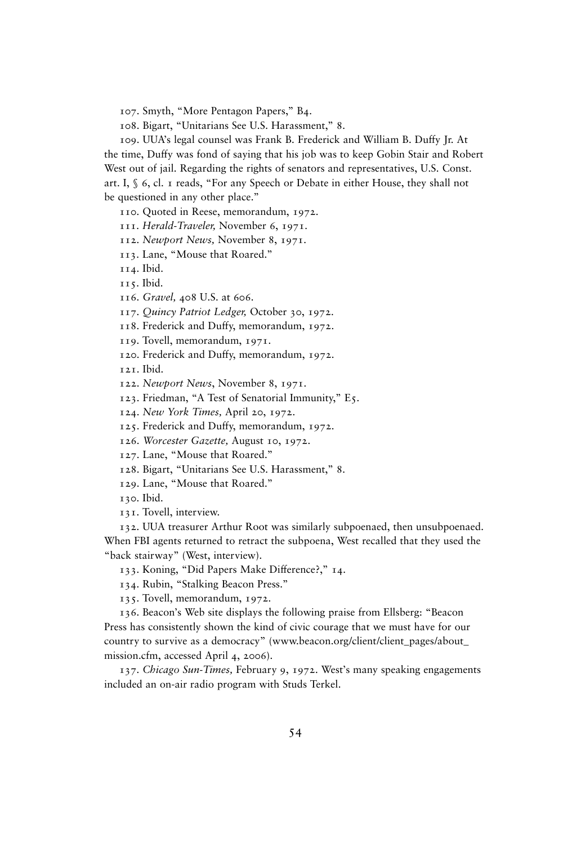107. Smyth, "More Pentagon Papers," B4.

108. Bigart, "Unitarians See U.S. Harassment," 8.

109. UUA's legal counsel was Frank B. Frederick and William B. Duffy Jr. At the time, Duffy was fond of saying that his job was to keep Gobin Stair and Robert West out of jail. Regarding the rights of senators and representatives, U.S. Const. art. I, § 6, cl. 1 reads, "For any Speech or Debate in either House, they shall not be questioned in any other place."

110. Quoted in Reese, memorandum, 1972.

111. *Herald-Traveler,* November 6, 1971.

112. *Newport News,* November 8, 1971.

113. Lane, "Mouse that Roared."

114. Ibid.

115. Ibid.

116. *Gravel,* 408 U.S. at 606.

117. *Quincy Patriot Ledger,* October 30, 1972.

118. Frederick and Duffy, memorandum, 1972.

119. Tovell, memorandum, 1971.

120. Frederick and Duffy, memorandum, 1972.

121. Ibid.

122. *Newport News*, November 8, 1971.

123. Friedman, "A Test of Senatorial Immunity," E5.

124. *New York Times,* April 20, 1972.

125. Frederick and Duffy, memorandum, 1972.

126. *Worcester Gazette,* August 10, 1972.

127. Lane, "Mouse that Roared."

128. Bigart, "Unitarians See U.S. Harassment," 8.

129. Lane, "Mouse that Roared."

130. Ibid.

131. Tovell, interview.

132. UUA treasurer Arthur Root was similarly subpoenaed, then unsubpoenaed. When FBI agents returned to retract the subpoena, West recalled that they used the "back stairway" (West, interview).

133. Koning, "Did Papers Make Difference?," 14.

134. Rubin, "Stalking Beacon Press."

135. Tovell, memorandum, 1972.

136. Beacon's Web site displays the following praise from Ellsberg: "Beacon Press has consistently shown the kind of civic courage that we must have for our country to survive as a democracy" (www.beacon.org/client/client\_pages/about\_ mission.cfm, accessed April 4, 2006).

137. *Chicago Sun-Times,* February 9, 1972. West's many speaking engagements included an on-air radio program with Studs Terkel.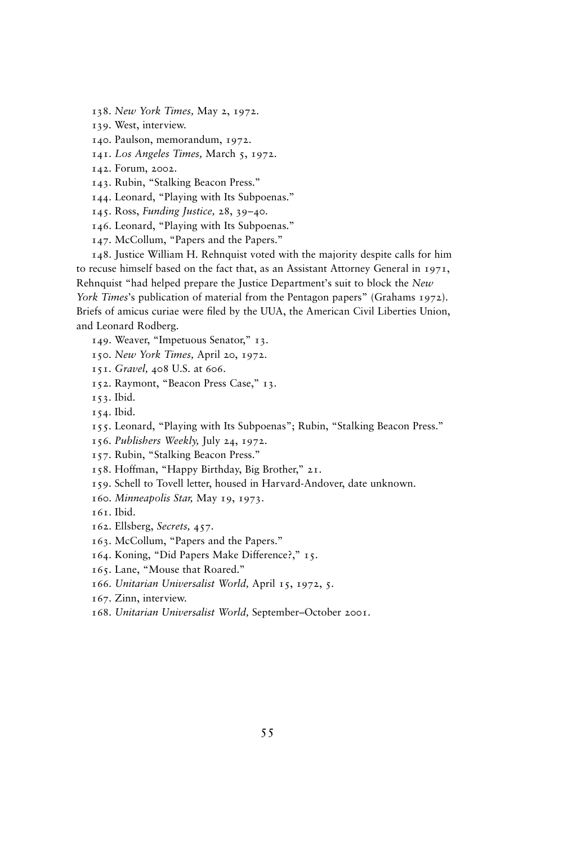138. *New York Times,* May 2, 1972.

139. West, interview.

140. Paulson, memorandum, 1972.

141. *Los Angeles Times,* March 5, 1972.

142. Forum, 2002.

143. Rubin, "Stalking Beacon Press."

144. Leonard, "Playing with Its Subpoenas."

145. Ross, *Funding Justice,* 28, 39–40.

146. Leonard, "Playing with Its Subpoenas."

147. McCollum, "Papers and the Papers."

148. Justice William H. Rehnquist voted with the majority despite calls for him to recuse himself based on the fact that, as an Assistant Attorney General in 1971, Rehnquist "had helped prepare the Justice Department's suit to block the *New York Times*'s publication of material from the Pentagon papers" (Grahams 1972). Briefs of amicus curiae were filed by the UUA, the American Civil Liberties Union, and Leonard Rodberg.

149. Weaver, "Impetuous Senator," 13.

150. *New York Times,* April 20, 1972.

151. *Gravel,* 408 U.S. at 606.

152. Raymont, "Beacon Press Case," 13.

153. Ibid.

154. Ibid.

155. Leonard, "Playing with Its Subpoenas"; Rubin, "Stalking Beacon Press."

156. *Publishers Weekly,* July 24, 1972.

157. Rubin, "Stalking Beacon Press."

158. Hoffman, "Happy Birthday, Big Brother," 21.

159. Schell to Tovell letter, housed in Harvard-Andover, date unknown.

160. *Minneapolis Star,* May 19, 1973.

161. Ibid.

162. Ellsberg, *Secrets,* 457.

163. McCollum, "Papers and the Papers."

164. Koning, "Did Papers Make Difference?," 15.

165. Lane, "Mouse that Roared."

166. *Unitarian Universalist World,* April 15, 1972, 5.

167. Zinn, interview.

168. *Unitarian Universalist World,* September–October 2001.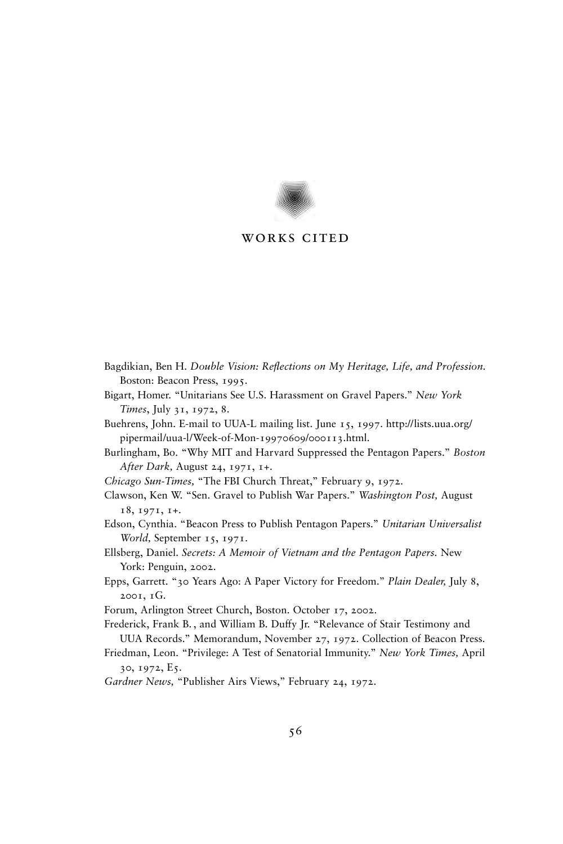

### works cited

- Bagdikian, Ben H. *Double Vision: Reflections on My Heritage, Life, and Profession.* Boston: Beacon Press, 1995.
- Bigart, Homer. "Unitarians See U.S. Harassment on Gravel Papers." *New York Times*, July 31, 1972, 8.
- Buehrens, John. E-mail to UUA-L mailing list. June 15, 1997. http://lists.uua.org/ pipermail/uua-l/Week-of-Mon-19970609/000113.html.
- Burlingham, Bo. "Why MIT and Harvard Suppressed the Pentagon Papers." *Boston After Dark,* August 24, 1971, 1+.
- *Chicago Sun-Times,* "The FBI Church Threat," February 9, 1972.
- Clawson, Ken W. "Sen. Gravel to Publish War Papers." *Washington Post,* August 18, 1971, 1+.
- Edson, Cynthia. "Beacon Press to Publish Pentagon Papers." *Unitarian Universalist World,* September 15, 1971.
- Ellsberg, Daniel. *Secrets: A Memoir of Vietnam and the Pentagon Papers.* New York: Penguin, 2002.
- Epps, Garrett. "30 Years Ago: A Paper Victory for Freedom." *Plain Dealer,* July 8, 2001, 1G.
- Forum, Arlington Street Church, Boston. October 17, 2002.
- Frederick, Frank B. , and William B. Duffy Jr. "Relevance of Stair Testimony and UUA Records." Memorandum, November 27, 1972. Collection of Beacon Press.
- Friedman, Leon. "Privilege: A Test of Senatorial Immunity." *New York Times,* April 30, 1972, E5.
- *Gardner News,* "Publisher Airs Views," February 24, 1972.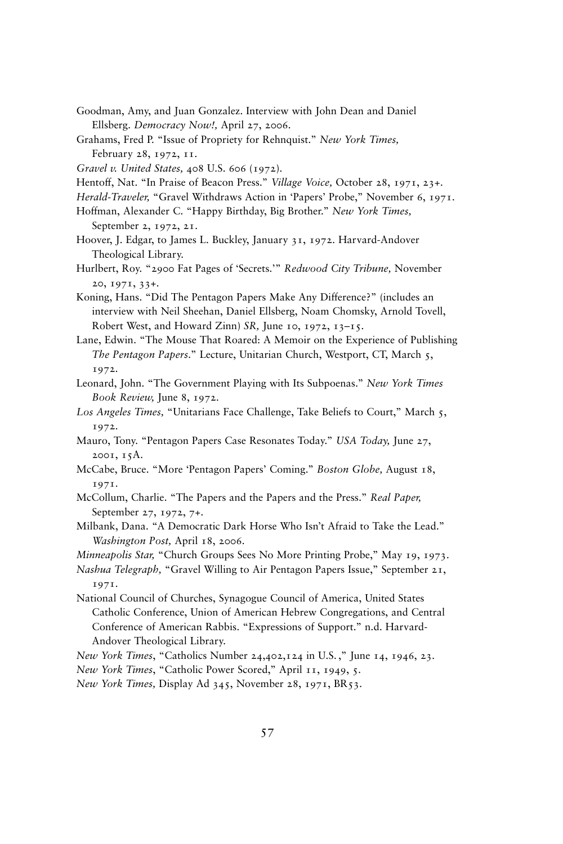- Goodman, Amy, and Juan Gonzalez. Interview with John Dean and Daniel Ellsberg. *Democracy Now!,* April 27, 2006.
- Grahams, Fred P. "Issue of Propriety for Rehnquist." *New York Times,* February 28, 1972, 11.
- *Gravel v. United States,* 408 U.S. 606 (1972).
- Hentoff, Nat. "In Praise of Beacon Press." *Village Voice,* October 28, 1971, 23+.
- *Herald-Traveler,* "Gravel Withdraws Action in 'Papers' Probe," November 6, 1971.
- Hoffman, Alexander C. "Happy Birthday, Big Brother." *New York Times,* September 2, 1972, 21.
- Hoover, J. Edgar, to James L. Buckley, January 31, 1972. Harvard-Andover Theological Library.
- Hurlbert, Roy. "2900 Fat Pages of 'Secrets.'" *Redwood City Tribune,* November 20, 1971, 33+.
- Koning, Hans. "Did The Pentagon Papers Make Any Difference?" (includes an interview with Neil Sheehan, Daniel Ellsberg, Noam Chomsky, Arnold Tovell, Robert West, and Howard Zinn) *SR,* June 10, 1972, 13–15.
- Lane, Edwin. "The Mouse That Roared: A Memoir on the Experience of Publishing *The Pentagon Papers*." Lecture, Unitarian Church, Westport, CT, March 5, 1972.
- Leonard, John. "The Government Playing with Its Subpoenas." *New York Times Book Review,* June 8, 1972.
- *Los Angeles Times,* "Unitarians Face Challenge, Take Beliefs to Court," March 5, 1972.
- Mauro, Tony. "Pentagon Papers Case Resonates Today." *USA Today,* June 27, 2001, 15A.
- McCabe, Bruce. "More 'Pentagon Papers' Coming." *Boston Globe,* August 18, 1971.
- McCollum, Charlie. "The Papers and the Papers and the Press." *Real Paper,* September 27, 1972, 7+.
- Milbank, Dana. "A Democratic Dark Horse Who Isn't Afraid to Take the Lead." *Washington Post,* April 18, 2006.
- *Minneapolis Star,* "Church Groups Sees No More Printing Probe," May 19, 1973.
- *Nashua Telegraph,* "Gravel Willing to Air Pentagon Papers Issue," September 21, 1971.
- National Council of Churches, Synagogue Council of America, United States Catholic Conference, Union of American Hebrew Congregations, and Central Conference of American Rabbis. "Expressions of Support." n.d. Harvard-Andover Theological Library.
- *New York Times*, "Catholics Number 24,402,124 in U.S. ," June 14, 1946, 23.

*New York Times*, "Catholic Power Scored," April 11, 1949, 5.

*New York Times,* Display Ad 345, November 28, 1971, BR53.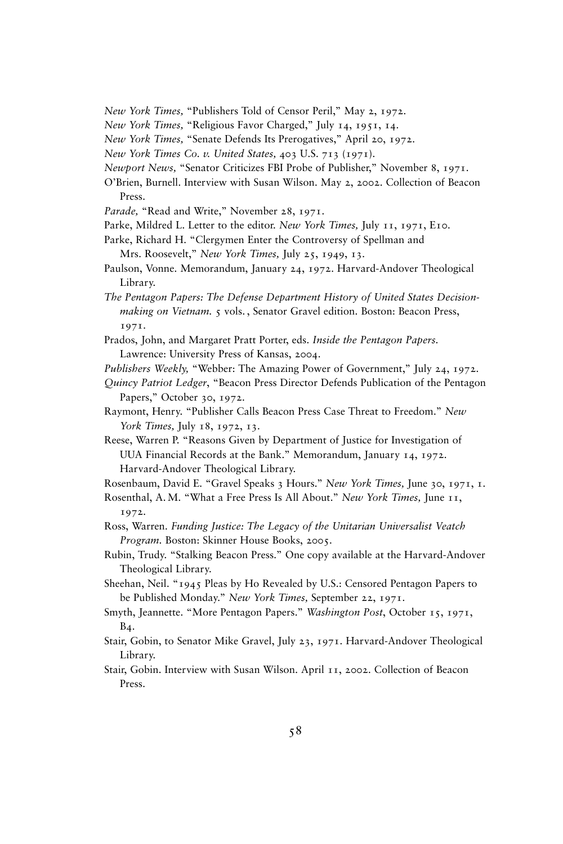- *New York Times,* "Publishers Told of Censor Peril," May 2, 1972.
- *New York Times,* "Religious Favor Charged," July 14, 1951, 14.
- *New York Times,* "Senate Defends Its Prerogatives," April 20, 1972.
- *New York Times Co. v. United States,* 403 U.S. 713 (1971).
- *Newport News,* "Senator Criticizes FBI Probe of Publisher," November 8, 1971.
- O'Brien, Burnell. Interview with Susan Wilson. May 2, 2002. Collection of Beacon Press.
- *Parade,* "Read and Write," November 28, 1971.
- Parke, Mildred L. Letter to the editor. *New York Times,* July 11, 1971, E10.
- Parke, Richard H. "Clergymen Enter the Controversy of Spellman and
	- Mrs. Roosevelt," *New York Times,* July 25, 1949, 13.
- Paulson, Vonne. Memorandum, January 24, 1972. Harvard-Andover Theological Library.
- *The Pentagon Papers: The Defense Department History of United States Decisionmaking on Vietnam.* 5 vols. , Senator Gravel edition. Boston: Beacon Press, 1971.
- Prados, John, and Margaret Pratt Porter, eds. *Inside the Pentagon Papers.* Lawrence: University Press of Kansas, 2004.
- *Publishers Weekly,* "Webber: The Amazing Power of Government," July 24, 1972.
- *Quincy Patriot Ledger*, "Beacon Press Director Defends Publication of the Pentagon Papers," October 30, 1972.
- Raymont, Henry. "Publisher Calls Beacon Press Case Threat to Freedom." *New York Times,* July 18, 1972, 13.
- Reese, Warren P. "Reasons Given by Department of Justice for Investigation of UUA Financial Records at the Bank." Memorandum, January 14, 1972. Harvard-Andover Theological Library.
- Rosenbaum, David E. "Gravel Speaks 3 Hours." *New York Times,* June 30, 1971, 1.
- Rosenthal, A. M. "What a Free Press Is All About." *New York Times,* June 11, 1972.
- Ross, Warren. *Funding Justice: The Legacy of the Unitarian Universalist Veatch Program.* Boston: Skinner House Books, 2005.
- Rubin, Trudy. "Stalking Beacon Press." One copy available at the Harvard-Andover Theological Library.
- Sheehan, Neil. "1945 Pleas by Ho Revealed by U.S.: Censored Pentagon Papers to be Published Monday." *New York Times,* September 22, 1971.
- Smyth, Jeannette. "More Pentagon Papers." *Washington Post*, October 15, 1971, B<sub>4</sub>.
- Stair, Gobin, to Senator Mike Gravel, July 23, 1971. Harvard-Andover Theological Library.
- Stair, Gobin. Interview with Susan Wilson. April 11, 2002. Collection of Beacon Press.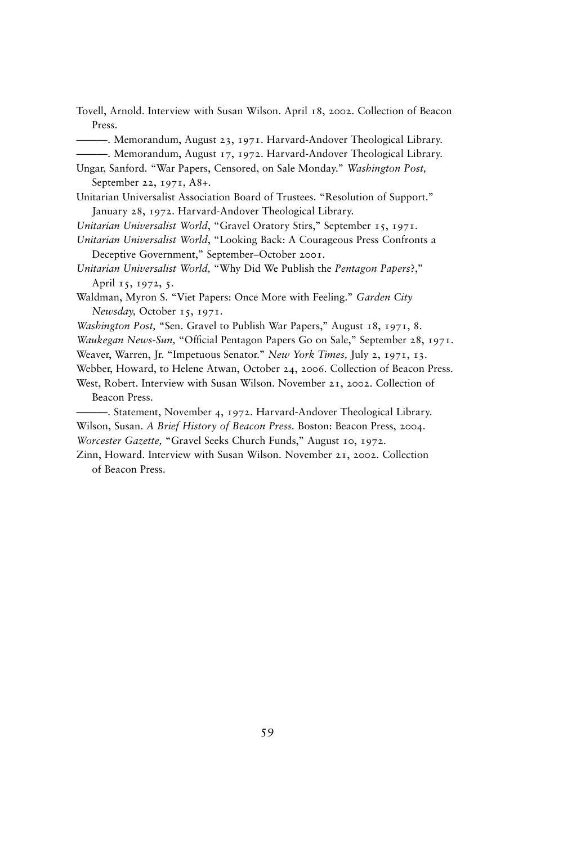Tovell, Arnold. Interview with Susan Wilson. April 18, 2002. Collection of Beacon Press.

———. Memorandum, August 23, 1971. Harvard-Andover Theological Library.

———. Memorandum, August 17, 1972. Harvard-Andover Theological Library.

Ungar, Sanford. "War Papers, Censored, on Sale Monday." *Washington Post,* September 22, 1971, A8+.

Unitarian Universalist Association Board of Trustees. "Resolution of Support." January 28, 1972. Harvard-Andover Theological Library.

*Unitarian Universalist World*, "Gravel Oratory Stirs," September 15, 1971.

*Unitarian Universalist World*, "Looking Back: A Courageous Press Confronts a Deceptive Government," September–October 2001.

*Unitarian Universalist World,* "Why Did We Publish the *Pentagon Papers*?," April 15, 1972, 5.

Waldman, Myron S. "Viet Papers: Once More with Feeling." *Garden City Newsday,* October 15, 1971.

*Washington Post,* "Sen. Gravel to Publish War Papers," August 18, 1971, 8.

*Waukegan News-Sun,* "Official Pentagon Papers Go on Sale," September 28, 1971.

Weaver, Warren, Jr. "Impetuous Senator." *New York Times,* July 2, 1971, 13.

Webber, Howard, to Helene Atwan, October 24, 2006. Collection of Beacon Press.

West, Robert. Interview with Susan Wilson. November 21, 2002. Collection of Beacon Press.

———. Statement, November 4, 1972. Harvard-Andover Theological Library. Wilson, Susan. *A Brief History of Beacon Press.* Boston: Beacon Press, 2004. *Worcester Gazette,* "Gravel Seeks Church Funds," August 10, 1972.

Zinn, Howard. Interview with Susan Wilson. November 21, 2002. Collection of Beacon Press.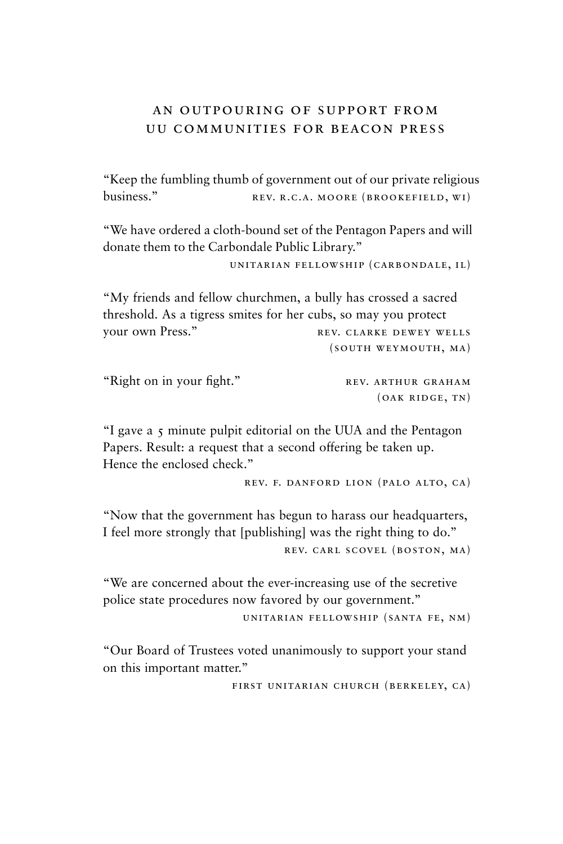# an outpouring of support from uu communities for beacon press

"Keep the fumbling thumb of government out of our private religious business." REV. R.C.A. MOORE (BROOKEFIELD, WI)

"We have ordered a cloth-bound set of the Pentagon Papers and will donate them to the Carbondale Public Library."

unitarian fellowship (carbondale, il)

"My friends and fellow churchmen, a bully has crossed a sacred threshold. As a tigress smites for her cubs, so may you protect vour own Press." REV. CLARKE DEWEY WELLS (south weymouth, ma)

| "Right on in your fight." | REV. ARTHUR GRAHAM |
|---------------------------|--------------------|
|                           | (OAK RIDGE, TN)    |

"I gave a 5 minute pulpit editorial on the UUA and the Pentagon Papers. Result: a request that a second offering be taken up. Hence the enclosed check."

rev. f. danford lion (palo alto, ca)

"Now that the government has begun to harass our headquarters, I feel more strongly that [publishing] was the right thing to do." rev. carl scovel (boston, ma)

"We are concerned about the ever-increasing use of the secretive police state procedures now favored by our government."

unitarian fellowship (santa fe, nm)

"Our Board of Trustees voted unanimously to support your stand on this important matter."

first unitarian church (berkeley, ca)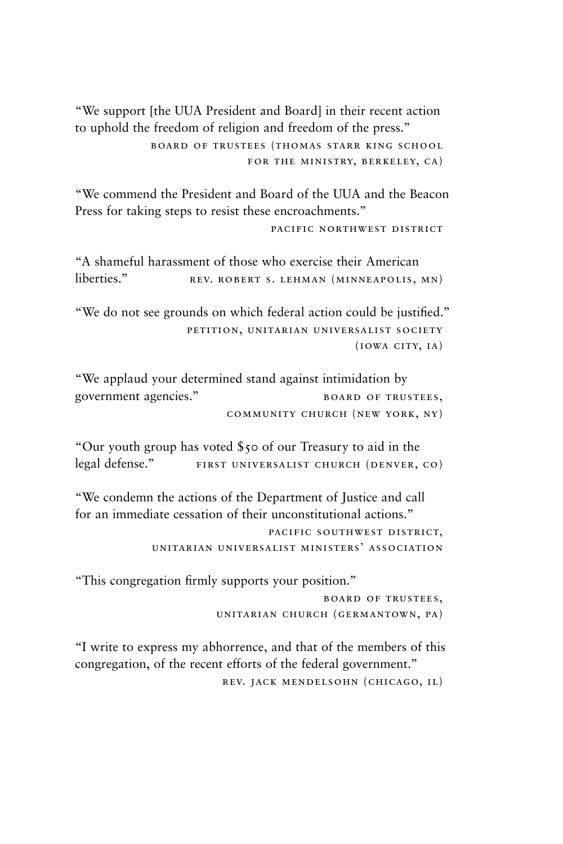"We support [the UUA President and Board] in their recent action to uphold the freedom of religion and freedom of the press." board of trustees (thomas starr king school for the ministry, berkeley, ca)

"We commend the President and Board of the UUA and the Beacon Press for taking steps to resist these encroachments."

pacific northwest district

"A shameful harassment of those who exercise their American liberties." REV. ROBERT S. LEHMAN (MINNEAPOLIS, MN)

"We do not see grounds on which federal action could be justified." petition, unitarian universalist society  $(10WA$  CITY,  $IA)$ 

"We applaud your determined stand against intimidation by government agencies." BOARD OF TRUSTEES, community church (new york, ny)

"Our youth group has voted \$50 of our Treasury to aid in the legal defense." FIRST UNIVERSALIST CHURCH (DENVER, CO)

"We condemn the actions of the Department of Justice and call for an immediate cessation of their unconstitutional actions." pacific southwest district, unitarian universalist ministers' association

"This congregation firmly supports your position."

board of trustees, unitarian church (germantown, pa)

"I write to express my abhorrence, and that of the members of this congregation, of the recent efforts of the federal government." rev. jack mendelsohn (chicago, il)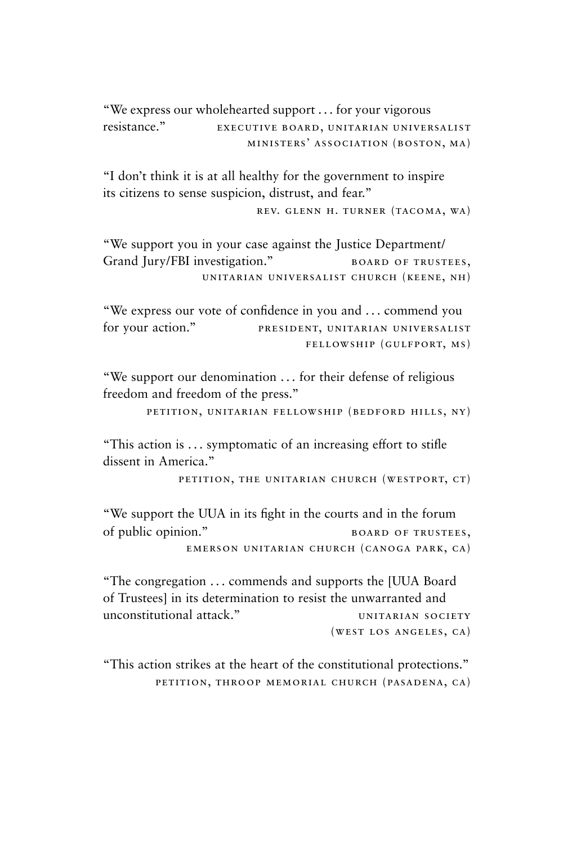"We express our wholehearted support . . . for your vigorous resistance." EXECUTIVE BOARD, UNITARIAN UNIVERSALIST ministers' association (boston, ma)

"I don't think it is at all healthy for the government to inspire its citizens to sense suspicion, distrust, and fear."

rev. glenn h. turner (tacoma, wa)

"We support you in your case against the Justice Department/ Grand Jury/FBI investigation." BOARD OF TRUSTEES, unitarian universalist church (keene, nh)

"We express our vote of confidence in you and . . . commend you for your action." PRESIDENT, UNITARIAN UNIVERSALIST fellowship (gulfport, ms)

"We support our denomination . . . for their defense of religious freedom and freedom of the press."

petition, unitarian fellowship (bedford hills, ny)

"This action is ... symptomatic of an increasing effort to stifle dissent in America."

petition, the unitarian church (westport, ct)

"We support the UUA in its fight in the courts and in the forum of public opinion." BOARD OF TRUSTEES, emerson unitarian church (canoga park, ca)

"The congregation . . . commends and supports the [UUA Board of Trustees] in its determination to resist the unwarranted and unconstitutional attack." UNITARIAN SOCIETY (west los angeles, ca)

"This action strikes at the heart of the constitutional protections." petition, throop memorial church (pasadena, ca)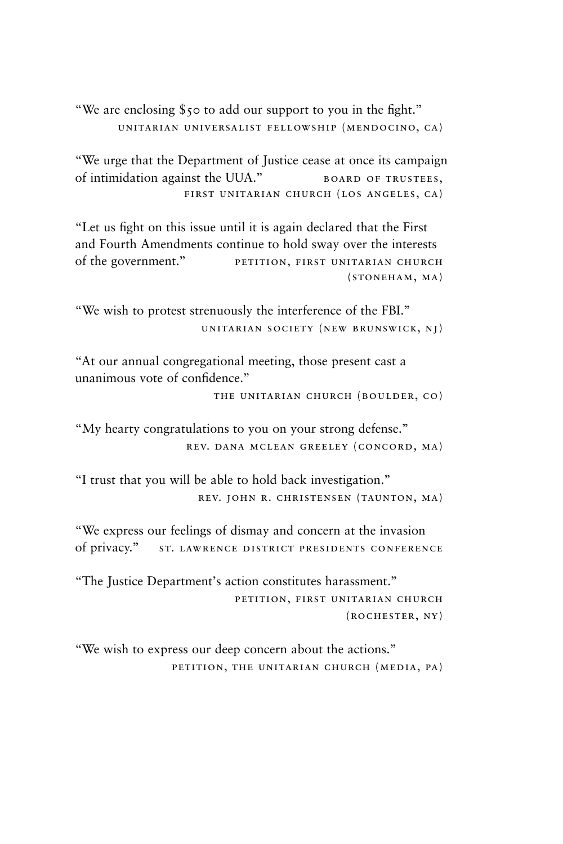"We are enclosing \$50 to add our support to you in the fight." unitarian universalist fellowship (mendocino, ca)

"We urge that the Department of Justice cease at once its campaign of intimidation against the UUA." BOARD OF TRUSTEES, first unitarian church (los angeles, ca)

"Let us fight on this issue until it is again declared that the First and Fourth Amendments continue to hold sway over the interests of the government." PETITION, FIRST UNITARIAN CHURCH (stoneham, ma)

"We wish to protest strenuously the interference of the FBI." unitarian society (new brunswick, nj)

"At our annual congregational meeting, those present cast a unanimous vote of confidence."

the unitarian church (boulder, co)

"My hearty congratulations to you on your strong defense." rev. dana mclean greeley (concord, ma)

"I trust that you will be able to hold back investigation." rev. john r. christensen (taunton, ma)

"We express our feelings of dismay and concern at the invasion of privacy." st. lawrence district presidents conference

"The Justice Department's action constitutes harassment." petition, first unitarian church (rochester, ny)

"We wish to express our deep concern about the actions." petition, the unitarian church (media, pa)